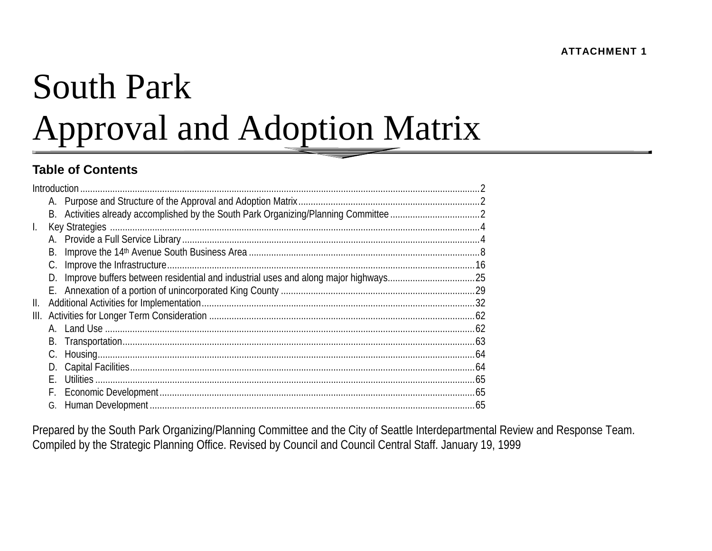# **South Park Approval and Adoption Matrix**

### **Table of Contents**

|              | Introduction |  |
|--------------|--------------|--|
|              |              |  |
|              |              |  |
| $\mathbf{L}$ |              |  |
|              |              |  |
|              | В.           |  |
|              | C.           |  |
|              | D.           |  |
|              |              |  |
| II.          |              |  |
| III.         |              |  |
|              |              |  |
|              | В.           |  |
|              | C.           |  |
|              | D.           |  |
|              |              |  |
|              | F.           |  |
|              | G.           |  |

Prepared by the South Park Organizing/Planning Committee and the City of Seattle Interdepartmental Review and Response Team. Compiled by the Strategic Planning Office. Revised by Council and Council Central Staff. January 19, 1999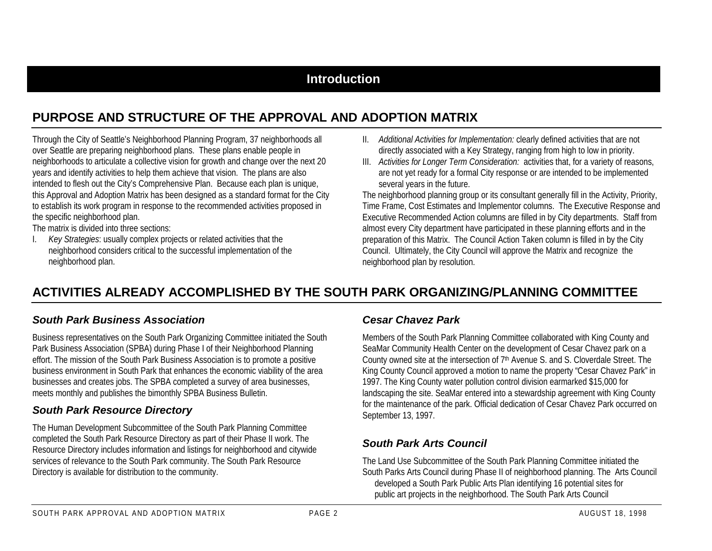### **Introduction**

### **PURPOSE AND STRUCTURE OF THE APPROVAL AND ADOPTION MATRIX**

Through the City of Seattle's Neighborhood Planning Program, 37 neighborhoods all over Seattle are preparing neighborhood plans. These plans enable people in neighborhoods to articulate a collective vision for growth and change over the next 20 years and identify activities to help them achieve that vision. The plans are also intended to flesh out the City's Comprehensive Plan. Because each plan is unique, this Approval and Adoption Matrix has been designed as a standard format for the City to establish its work program in response to the recommended activities proposed in the specific neighborhood plan.

The matrix is divided into three sections:

I. *Key Strategies*: usually complex projects or related activities that the neighborhood considers critical to the successful implementation of the neighborhood plan.

- II. *Additional Activities for Implementation:* clearly defined activities that are not directly associated with a Key Strategy, ranging from high to low in priority.
- III. *Activities for Longer Term Consideration:* activities that, for a variety of reasons, are not yet ready for a formal City response or are intended to be implemented several years in the future.

The neighborhood planning group or its consultant generally fill in the Activity, Priority, Time Frame, Cost Estimates and Implementor columns. The Executive Response and Executive Recommended Action columns are filled in by City departments. Staff from almost every City department have participated in these planning efforts and in the preparation of this Matrix. The Council Action Taken column is filled in by the City Council. Ultimately, the City Council will approve the Matrix and recognize the neighborhood plan by resolution.

### **ACTIVITIES ALREADY ACCOMPLISHED BY THE SOUTH PARK ORGANIZING/PLANNING COMMITTEE**

#### *South Park Business Association*

Business representatives on the South Park Organizing Committee initiated the South Park Business Association (SPBA) during Phase I of their Neighborhood Planning effort. The mission of the South Park Business Association is to promote a positive business environment in South Park that enhances the economic viability of the area businesses and creates jobs. The SPBA completed a survey of area businesses, meets monthly and publishes the bimonthly SPBA Business Bulletin.

### *South Park Resource Directory*

The Human Development Subcommittee of the South Park Planning Committee completed the South Park Resource Directory as part of their Phase II work. The Resource Directory includes information and listings for neighborhood and citywide services of relevance to the South Park community. The South Park Resource Directory is available for distribution to the community.

### *Cesar Chavez Park*

Members of the South Park Planning Committee collaborated with King County and SeaMar Community Health Center on the development of Cesar Chavez park on a County owned site at the intersection of 7<sup>th</sup> Avenue S. and S. Cloverdale Street. The King County Council approved a motion to name the property "Cesar Chavez Park" in 1997. The King County water pollution control division earmarked \$15,000 for landscaping the site. SeaMar entered into a stewardship agreement with King County for the maintenance of the park. Official dedication of Cesar Chavez Park occurred on September 13, 1997.

### *South Park Arts Council*

The Land Use Subcommittee of the South Park Planning Committee initiated the South Parks Arts Council during Phase II of neighborhood planning. The Arts Council developed a South Park Public Arts Plan identifying 16 potential sites for public art projects in the neighborhood. The South Park Arts Council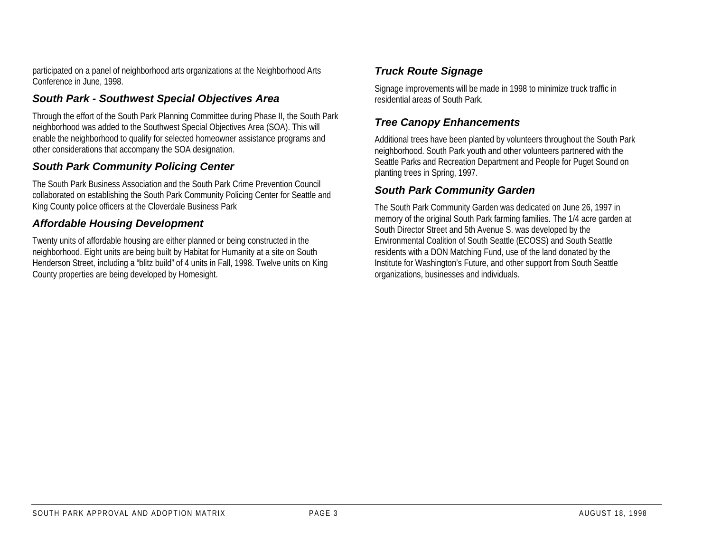participated on a panel of neighborhood arts organizations at the Neighborhood Arts Conference in June, 1998.

### *South Park - Southwest Special Objectives Area*

Through the effort of the South Park Planning Committee during Phase II, the South Park neighborhood was added to the Southwest Special Objectives Area (SOA). This will enable the neighborhood to qualify for selected homeowner assistance programs and other considerations that accompany the SOA designation.

### *South Park Community Policing Center*

The South Park Business Association and the South Park Crime Prevention Councilcollaborated on establishing the South Park Community Policing Center for Seattle and King County police officers at the Cloverdale Business Park

### *Affordable Housing Development*

Twenty units of affordable housing are either planned or being constructed in the neighborhood. Eight units are being built by Habitat for Humanity at a site on South Henderson Street, including a "blitz build" of 4 units in Fall, 1998. Twelve units on King County properties are being developed by Homesight.

### *Truck Route Signage*

Signage improvements will be made in 1998 to minimize truck traffic in residential areas of South Park.

### *Tree Canopy Enhancements*

Additional trees have been planted by volunteers throughout the South Park neighborhood. South Park youth and other volunteers partnered with the Seattle Parks and Recreation Department and People for Puget Sound on planting trees in Spring, 1997.

### *South Park Community Garden*

The South Park Community Garden was dedicated on June 26, 1997 in memory of the original South Park farming families. The 1/4 acre garden at South Director Street and 5th Avenue S. was developed by the Environmental Coalition of South Seattle (ECOSS) and South Seattle residents with a DON Matching Fund, use of the land donated by the Institute for Washington's Future, and other support from South Seattle organizations, businesses and individuals.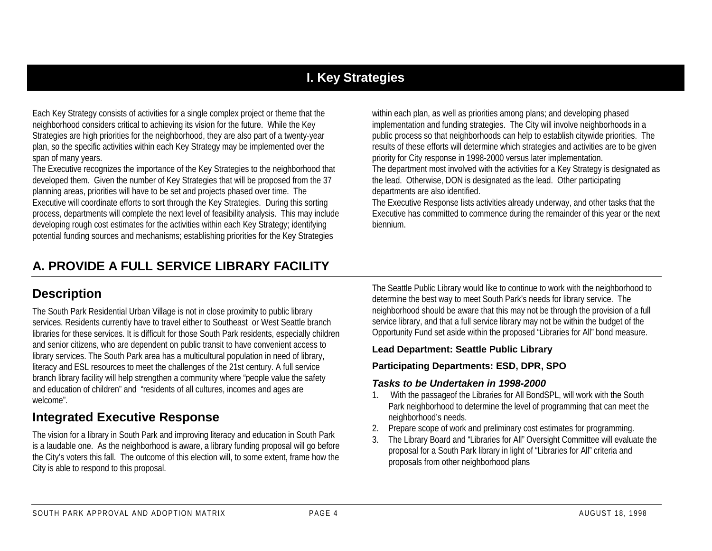### **I. Key Strategies**

Each Key Strategy consists of activities for a single complex project or theme that the neighborhood considers critical to achieving its vision for the future. While the Key Strategies are high priorities for the neighborhood, they are also part of a twenty-year plan, so the specific activities within each Key Strategy may be implemented over the span of many years.

The Executive recognizes the importance of the Key Strategies to the neighborhood that developed them. Given the number of Key Strategies that will be proposed from the 37 planning areas, priorities will have to be set and projects phased over time. The Executive will coordinate efforts to sort through the Key Strategies. During this sorting process, departments will complete the next level of feasibility analysis. This may include developing rough cost estimates for the activities within each Key Strategy; identifying potential funding sources and mechanisms; establishing priorities for the Key Strategies

within each plan, as well as priorities among plans; and developing phased implementation and funding strategies. The City will involve neighborhoods in a public process so that neighborhoods can help to establish citywide priorities. The results of these efforts will determine which strategies and activities are to be given priority for City response in 1998-2000 versus later implementation.

The department most involved with the activities for a Key Strategy is designated as the lead. Otherwise, DON is designated as the lead. Other participating departments are also identified.

The Executive Response lists activities already underway, and other tasks that the Executive has committed to commence during the remainder of this year or the next biennium.

### **A. PROVIDE A FULL SERVICE LIBRARY FACILITY**

### **Description**

The South Park Residential Urban Village is not in close proximity to public library services. Residents currently have to travel either to Southeast or West Seattle branch libraries for these services. It is difficult for those South Park residents, especially children and senior citizens, who are dependent on public transit to have convenient access to library services. The South Park area has a multicultural population in need of library, literacy and ESL resources to meet the challenges of the 21st century. A full service branch library facility will help strengthen a community where "people value the safety and education of children" and "residents of all cultures, incomes and ages are welcome".

### **Integrated Executive Response**

The vision for a library in South Park and improving literacy and education in South Park is a laudable one. As the neighborhood is aware, a library funding proposal will go before the City's voters this fall. The outcome of this election will, to some extent, frame how the City is able to respond to this proposal.

The Seattle Public Library would like to continue to work with the neighborhood to determine the best way to meet South Park's needs for library service. The neighborhood should be aware that this may not be through the provision of a full service library, and that a full service library may not be within the budget of the Opportunity Fund set aside within the proposed "Libraries for All" bond measure.

#### **Lead Department: Seattle Public Library**

#### **Participating Departments: ESD, DPR, SPO**

#### *Tasks to be Undertaken in 1998-2000*

- 1. With the passageof the Libraries for All BondSPL, will work with the South Park neighborhood to determine the level of programming that can meet the neighborhood's needs.
- 2. Prepare scope of work and preliminary cost estimates for programming.
- 3. The Library Board and "Libraries for All" Oversight Committee will evaluate the proposal for a South Park library in light of "Libraries for All" criteria and proposals from other neighborhood plans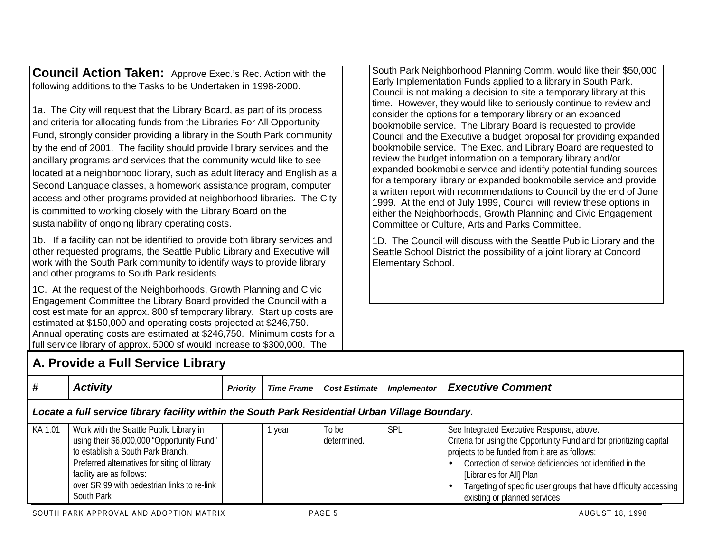**Council Action Taken:** Approve Exec.'s Rec. Action with the following additions to the Tasks to be Undertaken in 1998-2000.

1a. The City will request that the Library Board, as part of its process and criteria for allocating funds from the Libraries For All Opportunity Fund, strongly consider providing a library in the South Park community by the end of 2001. The facility should provide library services and the ancillary programs and services that the community would like to see located at a neighborhood library, such as adult literacy and English as a Second Language classes, a homework assistance program, computer access and other programs provided at neighborhood libraries. The City is committed to working closely with the Library Board on the sustainability of ongoing library operating costs.

1b. If a facility can not be identified to provide both library services and other requested programs, the Seattle Public Library and Executive will work with the South Park community to identify ways to provide library and other programs to South Park residents.

1C. At the request of the Neighborhoods, Growth Planning and Civic Engagement Committee the Library Board provided the Council with a cost estimate for an approx. 800 sf temporary library. Start up costs are estimated at \$150,000 and operating costs projected at \$246,750. Annual operating costs are estimated at \$246,750. Minimum costs for a full service library of approx. 5000 sf would increase to \$300,000. The

South Park Neighborhood Planning Comm. would like their \$50,000 Early Implementation Funds applied to a library in South Park. Council is not making a decision to site a temporary library at this time. However, they would like to seriously continue to review and consider the options for a temporary library or an expanded bookmobile service. The Library Board is requested to provide Council and the Executive a budget proposal for providing expanded bookmobile service. The Exec. and Library Board are requested to review the budget information on a temporary library and/or expanded bookmobile service and identify potential funding sources for a temporary library or expanded bookmobile service and provide a written report with recommendations to Council by the end of June 1999. At the end of July 1999, Council will review these options in either the Neighborhoods, Growth Planning and Civic Engagement Committee or Culture, Arts and Parks Committee.

1D. The Council will discuss with the Seattle Public Library and the Seattle School District the possibility of a joint library at Concord Elementary School.

|         | A. Provide a Full Service Library                                                                                                                                                                                                                                   |                 |                   |                      |                    |                                                                                                                                                                                                                                                                                                                                                                |  |  |  |  |
|---------|---------------------------------------------------------------------------------------------------------------------------------------------------------------------------------------------------------------------------------------------------------------------|-----------------|-------------------|----------------------|--------------------|----------------------------------------------------------------------------------------------------------------------------------------------------------------------------------------------------------------------------------------------------------------------------------------------------------------------------------------------------------------|--|--|--|--|
| #       | <b>Activity</b>                                                                                                                                                                                                                                                     | <b>Priority</b> | <b>Time Frame</b> | <b>Cost Estimate</b> | <b>Implementor</b> | <b>Executive Comment</b>                                                                                                                                                                                                                                                                                                                                       |  |  |  |  |
|         | Locate a full service library facility within the South Park Residential Urban Village Boundary.                                                                                                                                                                    |                 |                   |                      |                    |                                                                                                                                                                                                                                                                                                                                                                |  |  |  |  |
| KA 1.01 | Work with the Seattle Public Library in<br>using their \$6,000,000 "Opportunity Fund"<br>to establish a South Park Branch.<br>Preferred alternatives for siting of library<br>facility are as follows:<br>over SR 99 with pedestrian links to re-link<br>South Park |                 | 1 year            | To be<br>determined. | SPL                | See Integrated Executive Response, above.<br>Criteria for using the Opportunity Fund and for prioritizing capital<br>projects to be funded from it are as follows:<br>Correction of service deficiencies not identified in the<br>[Libraries for All] Plan<br>Targeting of specific user groups that have difficulty accessing<br>existing or planned services |  |  |  |  |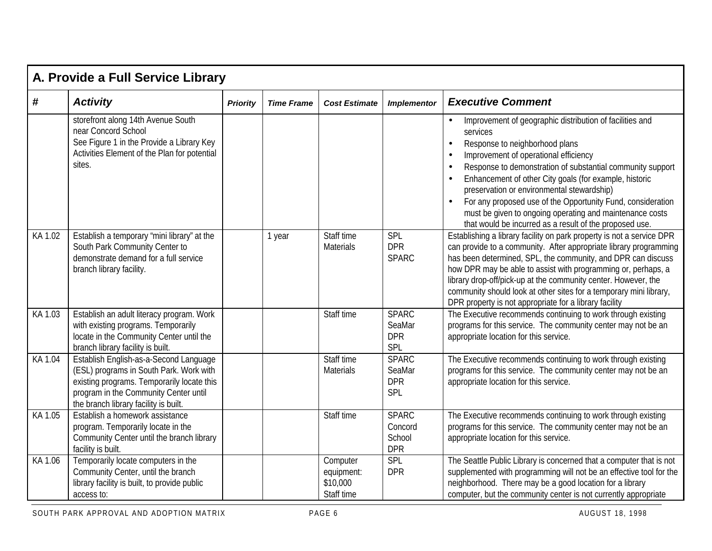|            | A. Provide a Full Service Library                                                                                                                                                                                 |                 |                   |                                                  |                                                 |                                                                                                                                                                                                                                                                                                                                                                                                                                                                                                                                                                                           |  |  |  |
|------------|-------------------------------------------------------------------------------------------------------------------------------------------------------------------------------------------------------------------|-----------------|-------------------|--------------------------------------------------|-------------------------------------------------|-------------------------------------------------------------------------------------------------------------------------------------------------------------------------------------------------------------------------------------------------------------------------------------------------------------------------------------------------------------------------------------------------------------------------------------------------------------------------------------------------------------------------------------------------------------------------------------------|--|--|--|
| $\pmb{\#}$ | <b>Activity</b>                                                                                                                                                                                                   | <b>Priority</b> | <b>Time Frame</b> | <b>Cost Estimate</b>                             | <b>Implementor</b>                              | <b>Executive Comment</b>                                                                                                                                                                                                                                                                                                                                                                                                                                                                                                                                                                  |  |  |  |
|            | storefront along 14th Avenue South<br>near Concord School<br>See Figure 1 in the Provide a Library Key<br>Activities Element of the Plan for potential<br>sites.                                                  |                 |                   |                                                  |                                                 | Improvement of geographic distribution of facilities and<br>$\bullet$<br>services<br>Response to neighborhood plans<br>$\bullet$<br>Improvement of operational efficiency<br>$\bullet$<br>Response to demonstration of substantial community support<br>$\bullet$<br>Enhancement of other City goals (for example, historic<br>$\bullet$<br>preservation or environmental stewardship)<br>For any proposed use of the Opportunity Fund, consideration<br>$\bullet$<br>must be given to ongoing operating and maintenance costs<br>that would be incurred as a result of the proposed use. |  |  |  |
| KA 1.02    | Establish a temporary "mini library" at the<br>South Park Community Center to<br>demonstrate demand for a full service<br>branch library facility.                                                                |                 | 1 year            | Staff time<br><b>Materials</b>                   | SPL<br><b>DPR</b><br><b>SPARC</b>               | Establishing a library facility on park property is not a service DPR<br>can provide to a community. After appropriate library programming<br>has been determined, SPL, the community, and DPR can discuss<br>how DPR may be able to assist with programming or, perhaps, a<br>library drop-off/pick-up at the community center. However, the<br>community should look at other sites for a temporary mini library,<br>DPR property is not appropriate for a library facility                                                                                                             |  |  |  |
| KA 1.03    | Establish an adult literacy program. Work<br>with existing programs. Temporarily<br>locate in the Community Center until the<br>branch library facility is built.                                                 |                 |                   | Staff time                                       | <b>SPARC</b><br>SeaMar<br><b>DPR</b><br>SPL     | The Executive recommends continuing to work through existing<br>programs for this service. The community center may not be an<br>appropriate location for this service.                                                                                                                                                                                                                                                                                                                                                                                                                   |  |  |  |
| KA 1.04    | Establish English-as-a-Second Language<br>(ESL) programs in South Park. Work with<br>existing programs. Temporarily locate this<br>program in the Community Center until<br>the branch library facility is built. |                 |                   | Staff time<br><b>Materials</b>                   | <b>SPARC</b><br>SeaMar<br><b>DPR</b><br>SPL     | The Executive recommends continuing to work through existing<br>programs for this service. The community center may not be an<br>appropriate location for this service.                                                                                                                                                                                                                                                                                                                                                                                                                   |  |  |  |
| KA 1.05    | Establish a homework assistance<br>program. Temporarily locate in the<br>Community Center until the branch library<br>facility is built.                                                                          |                 |                   | Staff time                                       | <b>SPARC</b><br>Concord<br>School<br><b>DPR</b> | The Executive recommends continuing to work through existing<br>programs for this service. The community center may not be an<br>appropriate location for this service.                                                                                                                                                                                                                                                                                                                                                                                                                   |  |  |  |
| KA 1.06    | Temporarily locate computers in the<br>Community Center, until the branch<br>library facility is built, to provide public<br>access to:                                                                           |                 |                   | Computer<br>equipment:<br>\$10,000<br>Staff time | <b>SPL</b><br><b>DPR</b>                        | The Seattle Public Library is concerned that a computer that is not<br>supplemented with programming will not be an effective tool for the<br>neighborhood. There may be a good location for a library<br>computer, but the community center is not currently appropriate                                                                                                                                                                                                                                                                                                                 |  |  |  |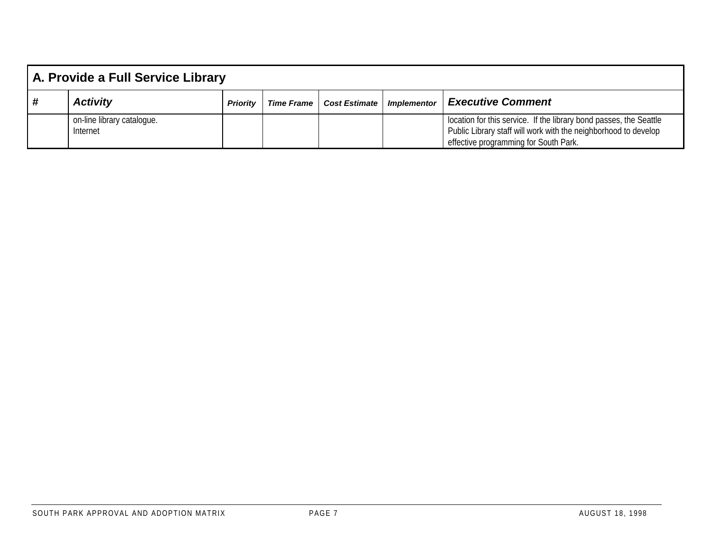|     | A. Provide a Full Service Library      |                 |                   |                                      |  |                                                                                                                                                                                |  |  |
|-----|----------------------------------------|-----------------|-------------------|--------------------------------------|--|--------------------------------------------------------------------------------------------------------------------------------------------------------------------------------|--|--|
| l # | <b>Activity</b>                        | <b>Priority</b> | <b>Time Frame</b> | <b>Cost Estimate   Implementor  </b> |  | <b>Executive Comment</b>                                                                                                                                                       |  |  |
|     | on-line library catalogue.<br>Internet |                 |                   |                                      |  | location for this service. If the library bond passes, the Seattle<br>Public Library staff will work with the neighborhood to develop<br>effective programming for South Park. |  |  |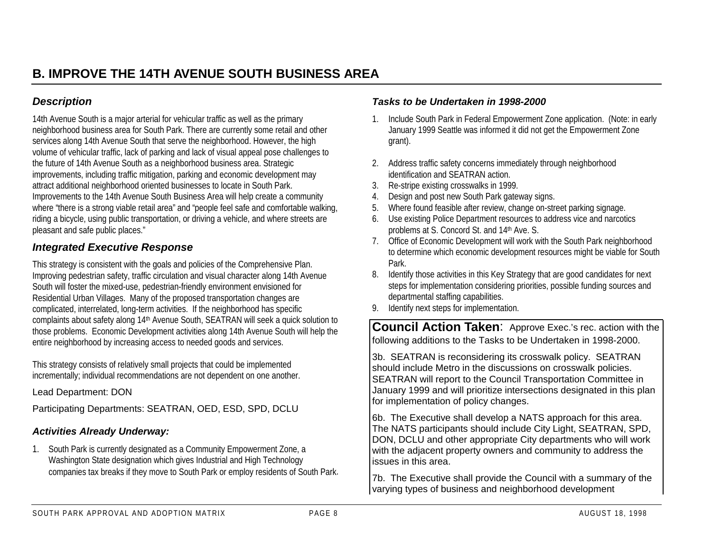### *Description*

14th Avenue South is a major arterial for vehicular traffic as well as the primary neighborhood business area for South Park. There are currently some retail and other services along 14th Avenue South that serve the neighborhood. However, the high volume of vehicular traffic, lack of parking and lack of visual appeal pose challenges to the future of 14th Avenue South as a neighborhood business area. Strategic improvements, including traffic mitigation, parking and economic development may attract additional neighborhood oriented businesses to locate in South Park. Improvements to the 14th Avenue South Business Area will help create a community where "there is a strong viable retail area" and "people feel safe and comfortable walking, riding a bicycle, using public transportation, or driving a vehicle, and where streets are pleasant and safe public places."

### *Integrated Executive Response*

This strategy is consistent with the goals and policies of the Comprehensive Plan. Improving pedestrian safety, traffic circulation and visual character along 14th Avenue South will foster the mixed-use, pedestrian-friendly environment envisioned for Residential Urban Villages. Many of the proposed transportation changes are complicated, interrelated, long-term activities. If the neighborhood has specific complaints about safety along 14th Avenue South, SEATRAN will seek a quick solution to those problems. Economic Development activities along 14th Avenue South will help the entire neighborhood by increasing access to needed goods and services.

This strategy consists of relatively small projects that could be implemented incrementally; individual recommendations are not dependent on one another.

Lead Department: DON

Participating Departments: SEATRAN, OED, ESD, SPD, DCLU

#### *Activities Already Underway:*

1. South Park is currently designated as a Community Empowerment Zone, a Washington State designation which gives Industrial and High Technology companies tax breaks if they move to South Park or employ residents of South Park.

#### *Tasks to be Undertaken in 1998-2000*

- 1. Include South Park in Federal Empowerment Zone application. (Note: in early January 1999 Seattle was informed it did not get the Empowerment Zone grant).
- 2. Address traffic safety concerns immediately through neighborhood identification and SEATRAN action.
- 3. Re-stripe existing crosswalks in 1999.
- 4.Design and post new South Park gateway signs.
- 5. Where found feasible after review, change on-street parking signage.
- 6. Use existing Police Department resources to address vice and narcotics problems at S. Concord St. and 14th Ave. S.
- 7. Office of Economic Development will work with the South Park neighborhood to determine which economic development resources might be viable for South Park.
- 8. Identify those activities in this Key Strategy that are good candidates for next steps for implementation considering priorities, possible funding sources and departmental staffing capabilities.
- 9. Identify next steps for implementation.

**Council Action Taken**: Approve Exec.'s rec. action with the following additions to the Tasks to be Undertaken in 1998-2000.

3b. SEATRAN is reconsidering its crosswalk policy. SEATRAN should include Metro in the discussions on crosswalk policies. SEATRAN will report to the Council Transportation Committee in January 1999 and will prioritize intersections designated in this plan for implementation of policy changes.

6b. The Executive shall develop a NATS approach for this area. The NATS participants should include City Light, SEATRAN, SPD, DON, DCLU and other appropriate City departments who will work with the adjacent property owners and community to address the issues in this area.

7b. The Executive shall provide the Council with a summary of the varying types of business and neighborhood development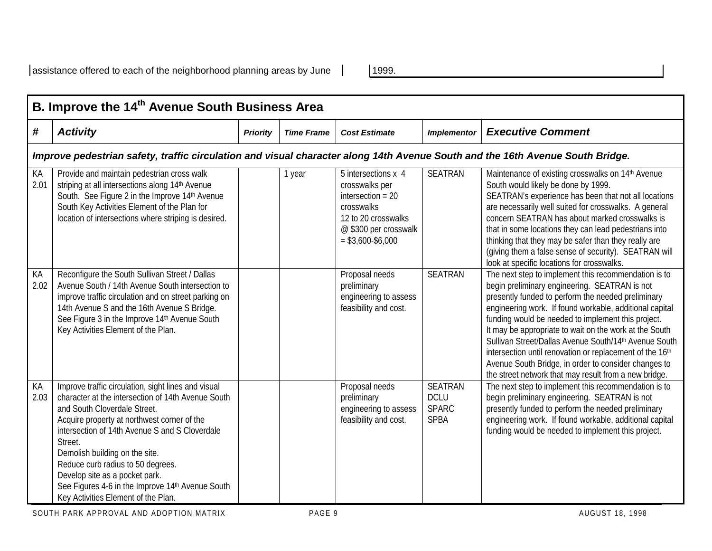|            | B. Improve the 14 <sup>th</sup> Avenue South Business Area                                                                                                                                                                                                                                                                                                                                                                                                |                 |                   |                                                                                                                                                   |                                                              |                                                                                                                                                                                                                                                                                                                                                                                                                                                                                                                                                                              |  |  |  |
|------------|-----------------------------------------------------------------------------------------------------------------------------------------------------------------------------------------------------------------------------------------------------------------------------------------------------------------------------------------------------------------------------------------------------------------------------------------------------------|-----------------|-------------------|---------------------------------------------------------------------------------------------------------------------------------------------------|--------------------------------------------------------------|------------------------------------------------------------------------------------------------------------------------------------------------------------------------------------------------------------------------------------------------------------------------------------------------------------------------------------------------------------------------------------------------------------------------------------------------------------------------------------------------------------------------------------------------------------------------------|--|--|--|
| #          | <b>Activity</b>                                                                                                                                                                                                                                                                                                                                                                                                                                           | <b>Priority</b> | <b>Time Frame</b> | <b>Cost Estimate</b>                                                                                                                              | <b>Implementor</b>                                           | <b>Executive Comment</b>                                                                                                                                                                                                                                                                                                                                                                                                                                                                                                                                                     |  |  |  |
|            | Improve pedestrian safety, traffic circulation and visual character along 14th Avenue South and the 16th Avenue South Bridge.                                                                                                                                                                                                                                                                                                                             |                 |                   |                                                                                                                                                   |                                                              |                                                                                                                                                                                                                                                                                                                                                                                                                                                                                                                                                                              |  |  |  |
| KA<br>2.01 | Provide and maintain pedestrian cross walk<br>striping at all intersections along 14th Avenue<br>South. See Figure 2 in the Improve 14th Avenue<br>South Key Activities Element of the Plan for<br>location of intersections where striping is desired.                                                                                                                                                                                                   |                 | 1 year            | 5 intersections x 4<br>crosswalks per<br>intersection $= 20$<br>crosswalks<br>12 to 20 crosswalks<br>@ \$300 per crosswalk<br>$=$ \$3,600-\$6,000 | <b>SEATRAN</b>                                               | Maintenance of existing crosswalks on 14th Avenue<br>South would likely be done by 1999.<br>SEATRAN's experience has been that not all locations<br>are necessarily well suited for crosswalks. A general<br>concern SEATRAN has about marked crosswalks is<br>that in some locations they can lead pedestrians into<br>thinking that they may be safer than they really are<br>(giving them a false sense of security). SEATRAN will<br>look at specific locations for crosswalks.                                                                                          |  |  |  |
| KA<br>2.02 | Reconfigure the South Sullivan Street / Dallas<br>Avenue South / 14th Avenue South intersection to<br>improve traffic circulation and on street parking on<br>14th Avenue S and the 16th Avenue S Bridge.<br>See Figure 3 in the Improve 14th Avenue South<br>Key Activities Element of the Plan.                                                                                                                                                         |                 |                   | Proposal needs<br>preliminary<br>engineering to assess<br>feasibility and cost.                                                                   | <b>SEATRAN</b>                                               | The next step to implement this recommendation is to<br>begin preliminary engineering. SEATRAN is not<br>presently funded to perform the needed preliminary<br>engineering work. If found workable, additional capital<br>funding would be needed to implement this project.<br>It may be appropriate to wait on the work at the South<br>Sullivan Street/Dallas Avenue South/14th Avenue South<br>intersection until renovation or replacement of the 16th<br>Avenue South Bridge, in order to consider changes to<br>the street network that may result from a new bridge. |  |  |  |
| KA<br>2.03 | Improve traffic circulation, sight lines and visual<br>character at the intersection of 14th Avenue South<br>and South Cloverdale Street.<br>Acquire property at northwest corner of the<br>intersection of 14th Avenue S and S Cloverdale<br>Street.<br>Demolish building on the site.<br>Reduce curb radius to 50 degrees.<br>Develop site as a pocket park.<br>See Figures 4-6 in the Improve 14th Avenue South<br>Key Activities Element of the Plan. |                 |                   | Proposal needs<br>preliminary<br>engineering to assess<br>feasibility and cost.                                                                   | <b>SEATRAN</b><br><b>DCLU</b><br><b>SPARC</b><br><b>SPBA</b> | The next step to implement this recommendation is to<br>begin preliminary engineering. SEATRAN is not<br>presently funded to perform the needed preliminary<br>engineering work. If found workable, additional capital<br>funding would be needed to implement this project.                                                                                                                                                                                                                                                                                                 |  |  |  |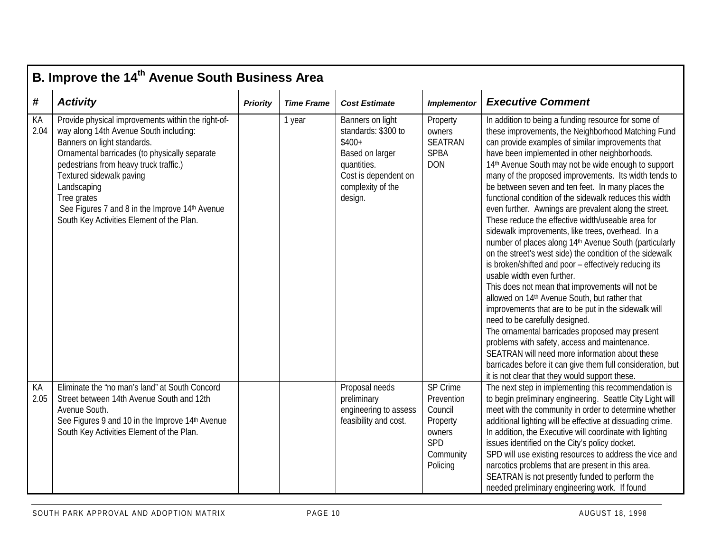|            | B. Improve the 14 <sup>th</sup> Avenue South Business Area                                                                                                                                                                                                                                                                                                                      |                 |                   |                                                                                                                                              |                                                                                         |                                                                                                                                                                                                                                                                                                                                                                                                                                                                                                                                                                                                                                                                                                                                                                                                                                                                                                                                                                                                                                                                                                                                                                                                                                                                                                                             |  |  |  |  |
|------------|---------------------------------------------------------------------------------------------------------------------------------------------------------------------------------------------------------------------------------------------------------------------------------------------------------------------------------------------------------------------------------|-----------------|-------------------|----------------------------------------------------------------------------------------------------------------------------------------------|-----------------------------------------------------------------------------------------|-----------------------------------------------------------------------------------------------------------------------------------------------------------------------------------------------------------------------------------------------------------------------------------------------------------------------------------------------------------------------------------------------------------------------------------------------------------------------------------------------------------------------------------------------------------------------------------------------------------------------------------------------------------------------------------------------------------------------------------------------------------------------------------------------------------------------------------------------------------------------------------------------------------------------------------------------------------------------------------------------------------------------------------------------------------------------------------------------------------------------------------------------------------------------------------------------------------------------------------------------------------------------------------------------------------------------------|--|--|--|--|
| #          | <b>Activity</b>                                                                                                                                                                                                                                                                                                                                                                 | <b>Priority</b> | <b>Time Frame</b> | <b>Cost Estimate</b>                                                                                                                         | <b>Implementor</b>                                                                      | <b>Executive Comment</b>                                                                                                                                                                                                                                                                                                                                                                                                                                                                                                                                                                                                                                                                                                                                                                                                                                                                                                                                                                                                                                                                                                                                                                                                                                                                                                    |  |  |  |  |
| KA<br>2.04 | Provide physical improvements within the right-of-<br>way along 14th Avenue South including:<br>Banners on light standards.<br>Ornamental barricades (to physically separate<br>pedestrians from heavy truck traffic.)<br>Textured sidewalk paving<br>Landscaping<br>Tree grates<br>See Figures 7 and 8 in the Improve 14th Avenue<br>South Key Activities Element of the Plan. |                 | 1 year            | Banners on light<br>standards: \$300 to<br>$$400+$<br>Based on larger<br>quantities.<br>Cost is dependent on<br>complexity of the<br>design. | Property<br>owners<br><b>SEATRAN</b><br><b>SPBA</b><br><b>DON</b>                       | In addition to being a funding resource for some of<br>these improvements, the Neighborhood Matching Fund<br>can provide examples of similar improvements that<br>have been implemented in other neighborhoods.<br>14th Avenue South may not be wide enough to support<br>many of the proposed improvements. Its width tends to<br>be between seven and ten feet. In many places the<br>functional condition of the sidewalk reduces this width<br>even further. Awnings are prevalent along the street.<br>These reduce the effective width/useable area for<br>sidewalk improvements, like trees, overhead. In a<br>number of places along 14 <sup>th</sup> Avenue South (particularly<br>on the street's west side) the condition of the sidewalk<br>is broken/shifted and poor - effectively reducing its<br>usable width even further.<br>This does not mean that improvements will not be<br>allowed on 14 <sup>th</sup> Avenue South, but rather that<br>improvements that are to be put in the sidewalk will<br>need to be carefully designed.<br>The ornamental barricades proposed may present<br>problems with safety, access and maintenance.<br>SEATRAN will need more information about these<br>barricades before it can give them full consideration, but<br>it is not clear that they would support these. |  |  |  |  |
| KA<br>2.05 | Eliminate the "no man's land" at South Concord<br>Street between 14th Avenue South and 12th<br>Avenue South.<br>See Figures 9 and 10 in the Improve 14th Avenue<br>South Key Activities Element of the Plan.                                                                                                                                                                    |                 |                   | Proposal needs<br>preliminary<br>engineering to assess<br>feasibility and cost.                                                              | SP Crime<br>Prevention<br>Council<br>Property<br>owners<br>SPD<br>Community<br>Policing | The next step in implementing this recommendation is<br>to begin preliminary engineering. Seattle City Light will<br>meet with the community in order to determine whether<br>additional lighting will be effective at dissuading crime.<br>In addition, the Executive will coordinate with lighting<br>issues identified on the City's policy docket.<br>SPD will use existing resources to address the vice and<br>narcotics problems that are present in this area.<br>SEATRAN is not presently funded to perform the<br>needed preliminary engineering work. If found                                                                                                                                                                                                                                                                                                                                                                                                                                                                                                                                                                                                                                                                                                                                                   |  |  |  |  |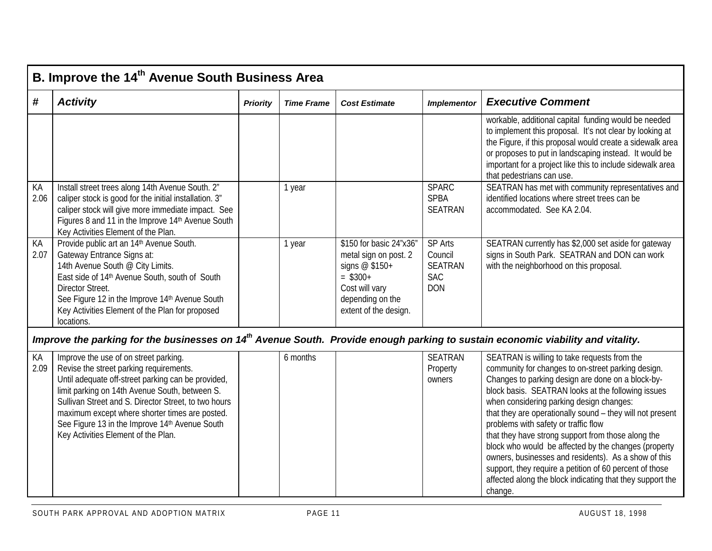|            | B. Improve the 14 <sup>th</sup> Avenue South Business Area                                                                                                                                                                                                                                          |          |                   |                                                                                                                                                   |                                                                         |                                                                                                                                                                                                                                                                                                                                    |  |  |  |
|------------|-----------------------------------------------------------------------------------------------------------------------------------------------------------------------------------------------------------------------------------------------------------------------------------------------------|----------|-------------------|---------------------------------------------------------------------------------------------------------------------------------------------------|-------------------------------------------------------------------------|------------------------------------------------------------------------------------------------------------------------------------------------------------------------------------------------------------------------------------------------------------------------------------------------------------------------------------|--|--|--|
| #          | <b>Activity</b>                                                                                                                                                                                                                                                                                     | Priority | <b>Time Frame</b> | <b>Cost Estimate</b>                                                                                                                              | <b>Implementor</b>                                                      | <b>Executive Comment</b>                                                                                                                                                                                                                                                                                                           |  |  |  |
|            |                                                                                                                                                                                                                                                                                                     |          |                   |                                                                                                                                                   |                                                                         | workable, additional capital funding would be needed<br>to implement this proposal. It's not clear by looking at<br>the Figure, if this proposal would create a sidewalk area<br>or proposes to put in landscaping instead. It would be<br>important for a project like this to include sidewalk area<br>that pedestrians can use. |  |  |  |
| KA<br>2.06 | Install street trees along 14th Avenue South. 2"<br>caliper stock is good for the initial installation. 3"<br>caliper stock will give more immediate impact. See<br>Figures 8 and 11 in the Improve 14th Avenue South<br>Key Activities Element of the Plan.                                        |          | 1 year            |                                                                                                                                                   | <b>SPARC</b><br><b>SPBA</b><br><b>SEATRAN</b>                           | SEATRAN has met with community representatives and<br>identified locations where street trees can be<br>accommodated. See KA 2.04.                                                                                                                                                                                                 |  |  |  |
| KA<br>2.07 | Provide public art an 14th Avenue South.<br>Gateway Entrance Signs at:<br>14th Avenue South @ City Limits.<br>East side of 14th Avenue South, south of South<br>Director Street.<br>See Figure 12 in the Improve 14th Avenue South<br>Key Activities Element of the Plan for proposed<br>locations. |          | 1 year            | \$150 for basic 24"x36"<br>metal sign on post. 2<br>signs $@$ \$150+<br>$=$ \$300+<br>Cost will vary<br>depending on the<br>extent of the design. | <b>SP Arts</b><br>Council<br><b>SEATRAN</b><br><b>SAC</b><br><b>DON</b> | SEATRAN currently has \$2,000 set aside for gateway<br>signs in South Park. SEATRAN and DON can work<br>with the neighborhood on this proposal.                                                                                                                                                                                    |  |  |  |
|            | Improve the parking for the businesses on 14 <sup>th</sup> Avenue South. Provide enough parking to sustain economic viability and vitality.                                                                                                                                                         |          |                   |                                                                                                                                                   |                                                                         |                                                                                                                                                                                                                                                                                                                                    |  |  |  |
| KA<br>2.09 | Improve the use of on street parking.<br>Revise the street parking requirements.<br>Until adequate off-street parking can be provided,                                                                                                                                                              |          | 6 months          |                                                                                                                                                   | <b>SEATRAN</b><br>Property<br>owners                                    | SEATRAN is willing to take requests from the<br>community for changes to on-street parking design.<br>Changes to parking design are done on a block-by-                                                                                                                                                                            |  |  |  |

|                                                      |  | $\cdot$ $\cdot$ $\sim$ $\sim$ $\cdot$ $\cdot$ | opening about the changed to one on our partiting aborder |
|------------------------------------------------------|--|-----------------------------------------------|-----------------------------------------------------------|
| Until adequate off-street parking can be provided,   |  | owners                                        | Changes to parking design are done on a block-by-         |
| limit parking on 14th Avenue South, between S.       |  |                                               | block basis. SEATRAN looks at the following issues        |
| Sullivan Street and S. Director Street, to two hours |  |                                               | when considering parking design changes:                  |
| maximum except where shorter times are posted.       |  |                                               | that they are operationally sound - they will not present |
| See Figure 13 in the Improve 14th Avenue South       |  |                                               | problems with safety or traffic flow                      |
| Key Activities Element of the Plan.                  |  |                                               | that they have strong support from those along the        |
|                                                      |  |                                               | block who would be affected by the changes (property      |
|                                                      |  |                                               | owners, businesses and residents). As a show of this      |
|                                                      |  |                                               | support, they require a petition of 60 percent of those   |
|                                                      |  |                                               | affected along the block indicating that they support the |
|                                                      |  |                                               | change.                                                   |
|                                                      |  |                                               |                                                           |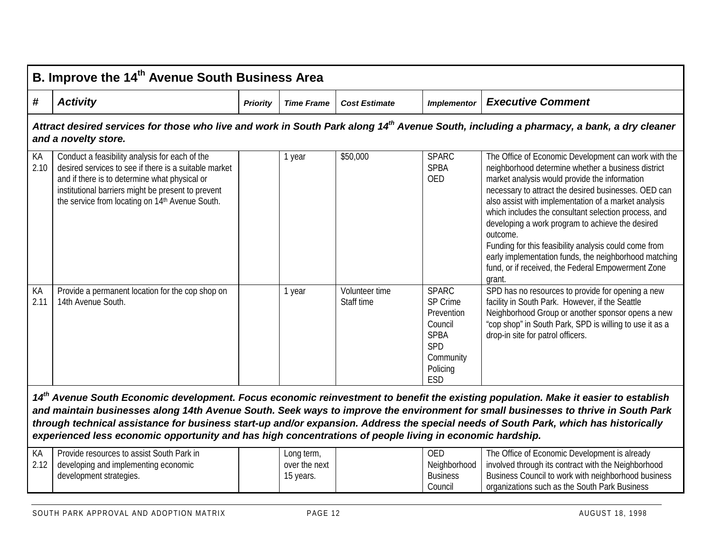|            | B. Improve the 14 <sup>th</sup> Avenue South Business Area                                                                                                                                                                                                        |                 |                   |                              |                                                                                                                |                                                                                                                                                                                                                                                                                                                                                                                                                                                                                                                                                                                       |  |  |  |
|------------|-------------------------------------------------------------------------------------------------------------------------------------------------------------------------------------------------------------------------------------------------------------------|-----------------|-------------------|------------------------------|----------------------------------------------------------------------------------------------------------------|---------------------------------------------------------------------------------------------------------------------------------------------------------------------------------------------------------------------------------------------------------------------------------------------------------------------------------------------------------------------------------------------------------------------------------------------------------------------------------------------------------------------------------------------------------------------------------------|--|--|--|
| #          | <b>Activity</b>                                                                                                                                                                                                                                                   | <b>Priority</b> | <b>Time Frame</b> | <b>Cost Estimate</b>         | <b>Implementor</b>                                                                                             | <b>Executive Comment</b>                                                                                                                                                                                                                                                                                                                                                                                                                                                                                                                                                              |  |  |  |
|            | and a novelty store.                                                                                                                                                                                                                                              |                 |                   |                              |                                                                                                                | Attract desired services for those who live and work in South Park along 14 <sup>th</sup> Avenue South, including a pharmacy, a bank, a dry cleaner                                                                                                                                                                                                                                                                                                                                                                                                                                   |  |  |  |
| KA<br>2.10 | Conduct a feasibility analysis for each of the<br>desired services to see if there is a suitable market<br>and if there is to determine what physical or<br>institutional barriers might be present to prevent<br>the service from locating on 14th Avenue South. |                 | 1 year            | \$50,000                     | <b>SPARC</b><br><b>SPBA</b><br><b>OED</b>                                                                      | The Office of Economic Development can work with the<br>neighborhood determine whether a business district<br>market analysis would provide the information<br>necessary to attract the desired businesses. OED can<br>also assist with implementation of a market analysis<br>which includes the consultant selection process, and<br>developing a work program to achieve the desired<br>outcome.<br>Funding for this feasibility analysis could come from<br>early implementation funds, the neighborhood matching<br>fund, or if received, the Federal Empowerment Zone<br>grant. |  |  |  |
| КA<br>2.11 | Provide a permanent location for the cop shop on<br>14th Avenue South.                                                                                                                                                                                            |                 | 1 year            | Volunteer time<br>Staff time | <b>SPARC</b><br>SP Crime<br>Prevention<br>Council<br><b>SPBA</b><br>SPD<br>Community<br>Policing<br><b>ESD</b> | SPD has no resources to provide for opening a new<br>facility in South Park. However, if the Seattle<br>Neighborhood Group or another sponsor opens a new<br>"cop shop" in South Park, SPD is willing to use it as a<br>drop-in site for patrol officers.                                                                                                                                                                                                                                                                                                                             |  |  |  |
|            | through technical assistance for business start-up and/or expansion. Address the special needs of South Park, which has historically<br>experienced less economic opportunity and has high concentrations of people living in economic hardship.                  |                 |                   |                              |                                                                                                                | 14 <sup>th</sup> Avenue South Economic development. Focus economic reinvestment to benefit the existing population. Make it easier to establish<br>and maintain businesses along 14th Avenue South. Seek ways to improve the environment for small businesses to thrive in South Park                                                                                                                                                                                                                                                                                                 |  |  |  |

| КA | Provide resources to assist South Park in        | Long term,    | <b>OED</b>      | The Office of Economic Development is already       |
|----|--------------------------------------------------|---------------|-----------------|-----------------------------------------------------|
|    | $\,$ 2.12   developing and implementing economic | over the next | Neighborhood    | involved through its contract with the Neighborhood |
|    | development strategies.                          | 15 years.     | <b>Business</b> | Business Council to work with neighborhood business |
|    |                                                  |               | Council         | organizations such as the South Park Business       |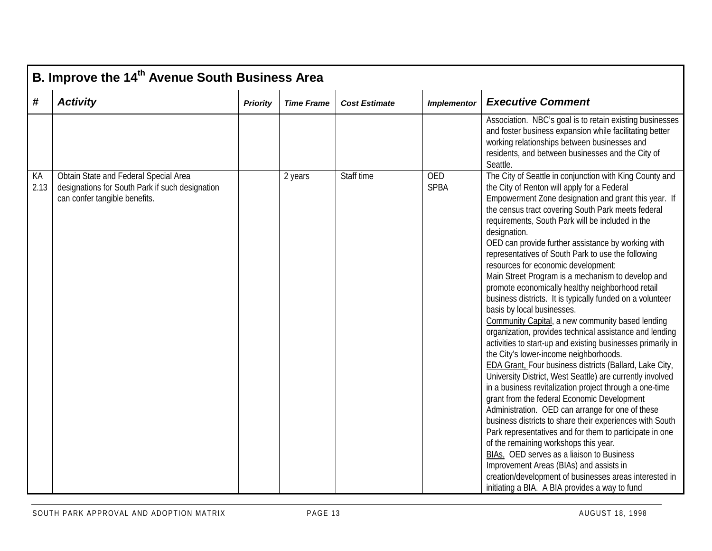|            | B. Improve the 14 <sup>th</sup> Avenue South Business Area                                                                |                 |                   |                      |                           |                                                                                                                                                                                                                                                                                                                                                                                                                                                                                                                                                                                                                                                                                                                                                                                                                                                                                                                                                                                                                                                                                                                                                                                                                                                                                                                                                                                                                                                                                                                                   |  |  |  |  |
|------------|---------------------------------------------------------------------------------------------------------------------------|-----------------|-------------------|----------------------|---------------------------|-----------------------------------------------------------------------------------------------------------------------------------------------------------------------------------------------------------------------------------------------------------------------------------------------------------------------------------------------------------------------------------------------------------------------------------------------------------------------------------------------------------------------------------------------------------------------------------------------------------------------------------------------------------------------------------------------------------------------------------------------------------------------------------------------------------------------------------------------------------------------------------------------------------------------------------------------------------------------------------------------------------------------------------------------------------------------------------------------------------------------------------------------------------------------------------------------------------------------------------------------------------------------------------------------------------------------------------------------------------------------------------------------------------------------------------------------------------------------------------------------------------------------------------|--|--|--|--|
| #          | <b>Activity</b>                                                                                                           | <b>Priority</b> | <b>Time Frame</b> | <b>Cost Estimate</b> | <b>Implementor</b>        | <b>Executive Comment</b>                                                                                                                                                                                                                                                                                                                                                                                                                                                                                                                                                                                                                                                                                                                                                                                                                                                                                                                                                                                                                                                                                                                                                                                                                                                                                                                                                                                                                                                                                                          |  |  |  |  |
|            |                                                                                                                           |                 |                   |                      |                           | Association. NBC's goal is to retain existing businesses<br>and foster business expansion while facilitating better<br>working relationships between businesses and<br>residents, and between businesses and the City of<br>Seattle.                                                                                                                                                                                                                                                                                                                                                                                                                                                                                                                                                                                                                                                                                                                                                                                                                                                                                                                                                                                                                                                                                                                                                                                                                                                                                              |  |  |  |  |
| KA<br>2.13 | Obtain State and Federal Special Area<br>designations for South Park if such designation<br>can confer tangible benefits. |                 | 2 years           | Staff time           | <b>OED</b><br><b>SPBA</b> | The City of Seattle in conjunction with King County and<br>the City of Renton will apply for a Federal<br>Empowerment Zone designation and grant this year. If<br>the census tract covering South Park meets federal<br>requirements, South Park will be included in the<br>designation.<br>OED can provide further assistance by working with<br>representatives of South Park to use the following<br>resources for economic development:<br>Main Street Program is a mechanism to develop and<br>promote economically healthy neighborhood retail<br>business districts. It is typically funded on a volunteer<br>basis by local businesses.<br>Community Capital, a new community based lending<br>organization, provides technical assistance and lending<br>activities to start-up and existing businesses primarily in<br>the City's lower-income neighborhoods.<br>EDA Grant, Four business districts (Ballard, Lake City,<br>University District, West Seattle) are currently involved<br>in a business revitalization project through a one-time<br>grant from the federal Economic Development<br>Administration. OED can arrange for one of these<br>business districts to share their experiences with South<br>Park representatives and for them to participate in one<br>of the remaining workshops this year.<br>BIAs, OED serves as a liaison to Business<br>Improvement Areas (BIAs) and assists in<br>creation/development of businesses areas interested in<br>initiating a BIA. A BIA provides a way to fund |  |  |  |  |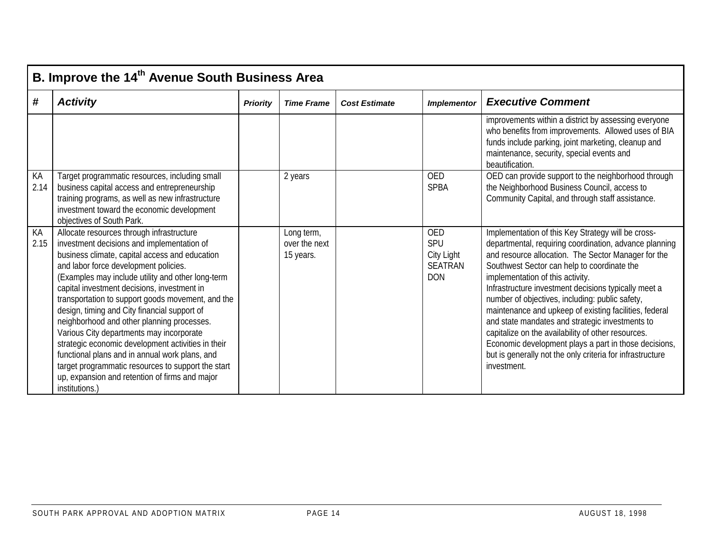|            | B. Improve the 14 <sup>th</sup> Avenue South Business Area                                                                                                                                                                                                                                                                                                                                                                                                                                                                                                                                                                                                                                                              |                 |                                          |                      |                                                                 |                                                                                                                                                                                                                                                                                                                                                                                                                                                                                                                                                                                                                                                                           |  |  |  |
|------------|-------------------------------------------------------------------------------------------------------------------------------------------------------------------------------------------------------------------------------------------------------------------------------------------------------------------------------------------------------------------------------------------------------------------------------------------------------------------------------------------------------------------------------------------------------------------------------------------------------------------------------------------------------------------------------------------------------------------------|-----------------|------------------------------------------|----------------------|-----------------------------------------------------------------|---------------------------------------------------------------------------------------------------------------------------------------------------------------------------------------------------------------------------------------------------------------------------------------------------------------------------------------------------------------------------------------------------------------------------------------------------------------------------------------------------------------------------------------------------------------------------------------------------------------------------------------------------------------------------|--|--|--|
| #          | <b>Activity</b>                                                                                                                                                                                                                                                                                                                                                                                                                                                                                                                                                                                                                                                                                                         | <b>Priority</b> | <b>Time Frame</b>                        | <b>Cost Estimate</b> | <b>Implementor</b>                                              | <b>Executive Comment</b>                                                                                                                                                                                                                                                                                                                                                                                                                                                                                                                                                                                                                                                  |  |  |  |
|            |                                                                                                                                                                                                                                                                                                                                                                                                                                                                                                                                                                                                                                                                                                                         |                 |                                          |                      |                                                                 | improvements within a district by assessing everyone<br>who benefits from improvements. Allowed uses of BIA<br>funds include parking, joint marketing, cleanup and<br>maintenance, security, special events and<br>beautification.                                                                                                                                                                                                                                                                                                                                                                                                                                        |  |  |  |
| KA<br>2.14 | Target programmatic resources, including small<br>business capital access and entrepreneurship<br>training programs, as well as new infrastructure<br>investment toward the economic development<br>objectives of South Park.                                                                                                                                                                                                                                                                                                                                                                                                                                                                                           |                 | 2 years                                  |                      | <b>OED</b><br><b>SPBA</b>                                       | OED can provide support to the neighborhood through<br>the Neighborhood Business Council, access to<br>Community Capital, and through staff assistance.                                                                                                                                                                                                                                                                                                                                                                                                                                                                                                                   |  |  |  |
| KA<br>2.15 | Allocate resources through infrastructure<br>investment decisions and implementation of<br>business climate, capital access and education<br>and labor force development policies.<br>(Examples may include utility and other long-term<br>capital investment decisions, investment in<br>transportation to support goods movement, and the<br>design, timing and City financial support of<br>neighborhood and other planning processes.<br>Various City departments may incorporate<br>strategic economic development activities in their<br>functional plans and in annual work plans, and<br>target programmatic resources to support the start<br>up, expansion and retention of firms and major<br>institutions.) |                 | Long term,<br>over the next<br>15 years. |                      | <b>OED</b><br>SPU<br>City Light<br><b>SEATRAN</b><br><b>DON</b> | Implementation of this Key Strategy will be cross-<br>departmental, requiring coordination, advance planning<br>and resource allocation. The Sector Manager for the<br>Southwest Sector can help to coordinate the<br>implementation of this activity.<br>Infrastructure investment decisions typically meet a<br>number of objectives, including: public safety,<br>maintenance and upkeep of existing facilities, federal<br>and state mandates and strategic investments to<br>capitalize on the availability of other resources.<br>Economic development plays a part in those decisions,<br>but is generally not the only criteria for infrastructure<br>investment. |  |  |  |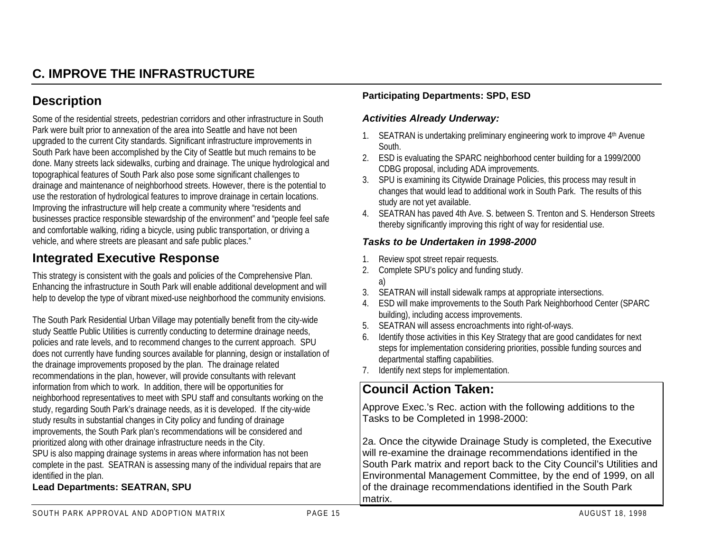## **C. IMPROVE THE INFRASTRUCTURE**

### **Description**

Some of the residential streets, pedestrian corridors and other infrastructure in South Park were built prior to annexation of the area into Seattle and have not been upgraded to the current City standards. Significant infrastructure improvements in South Park have been accomplished by the City of Seattle but much remains to be done. Many streets lack sidewalks, curbing and drainage. The unique hydrological and topographical features of South Park also pose some significant challenges to drainage and maintenance of neighborhood streets. However, there is the potential to use the restoration of hydrological features to improve drainage in certain locations. Improving the infrastructure will help create a community where "residents and businesses practice responsible stewardship of the environment" and "people feel safe and comfortable walking, riding a bicycle, using public transportation, or driving a vehicle, and where streets are pleasant and safe public places."

### **Integrated Executive Response**

This strategy is consistent with the goals and policies of the Comprehensive Plan. Enhancing the infrastructure in South Park will enable additional development and will help to develop the type of vibrant mixed-use neighborhood the community envisions.

The South Park Residential Urban Village may potentially benefit from the city-wide study Seattle Public Utilities is currently conducting to determine drainage needs, policies and rate levels, and to recommend changes to the current approach. SPU does not currently have funding sources available for planning, design or installation of the drainage improvements proposed by the plan. The drainage related recommendations in the plan, however, will provide consultants with relevant information from which to work. In addition, there will be opportunities for neighborhood representatives to meet with SPU staff and consultants working on the study, regarding South Park's drainage needs, as it is developed. If the city-wide study results in substantial changes in City policy and funding of drainage improvements, the South Park plan's recommendations will be considered and prioritized along with other drainage infrastructure needs in the City. SPU is also mapping drainage systems in areas where information has not been complete in the past. SEATRAN is assessing many of the individual repairs that are

identified in the plan.

#### **Lead Departments: SEATRAN, SPU**

#### **Participating Departments: SPD, ESD**

#### *Activities Already Underway:*

- 1. SEATRAN is undertaking preliminary engineering work to improve 4<sup>th</sup> Avenue South.
- 2. ESD is evaluating the SPARC neighborhood center building for a 1999/2000 CDBG proposal, including ADA improvements.
- 3. SPU is examining its Citywide Drainage Policies, this process may result in changes that would lead to additional work in South Park. The results of this study are not yet available.
- 4. SEATRAN has paved 4th Ave. S. between S. Trenton and S. Henderson Streets thereby significantly improving this right of way for residential use.

#### *Tasks to be Undertaken in 1998-2000*

- 1. Review spot street repair requests.
- 2. Complete SPU's policy and funding study. a)
- 3. SEATRAN will install sidewalk ramps at appropriate intersections.
- 4. ESD will make improvements to the South Park Neighborhood Center (SPARC building), including access improvements.
- 5. SEATRAN will assess encroachments into right-of-ways.
- 6. Identify those activities in this Key Strategy that are good candidates for next steps for implementation considering priorities, possible funding sources and departmental staffing capabilities.
- 7. Identify next steps for implementation.

### **Council Action Taken:**

Approve Exec.'s Rec. action with the following additions to the Tasks to be Completed in 1998-2000:

2a. Once the citywide Drainage Study is completed, the Executive will re-examine the drainage recommendations identified in the South Park matrix and report back to the City Council's Utilities and Environmental Management Committee, by the end of 1999, on all of the drainage recommendations identified in the South Park matrix.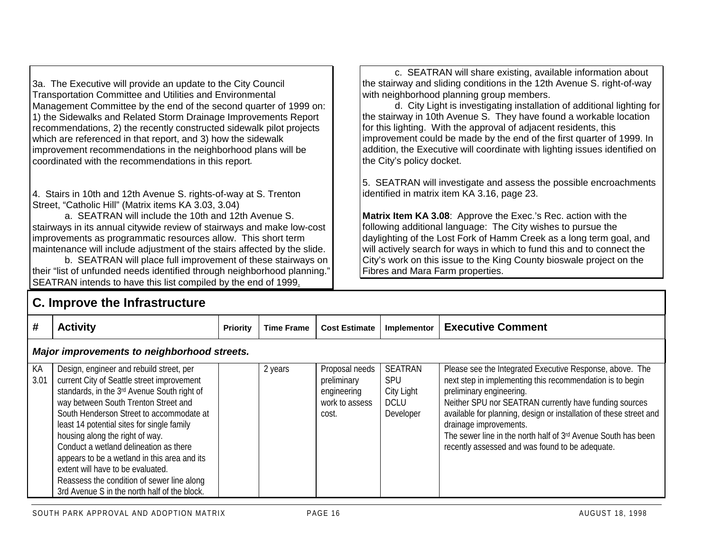3a. The Executive will provide an update to the City Council Transportation Committee and Utilities and Environmental Management Committee by the end of the second quarter of 1999 on: 1) the Sidewalks and Related Storm Drainage Improvements Report recommendations, 2) the recently constructed sidewalk pilot projects which are referenced in that report, and 3) how the sidewalk improvement recommendations in the neighborhood plans will be coordinated with the recommendations in this report*.*

4. Stairs in 10th and 12th Avenue S. rights-of-way at S. Trenton Street, "Catholic Hill" (Matrix items KA 3.03, 3.04)

a. SEATRAN will include the 10th and 12th Avenue S.stairways in its annual citywide review of stairways and make low-cost improvements as programmatic resources allow. This short term maintenance will include adjustment of the stairs affected by the slide.

b. SEATRAN will place full improvement of these stairways on their "list of unfunded needs identified through neighborhood planning." SEATRAN intends to have this list compiled by the end of 1999.

#### c. SEATRAN will share existing, available information about the stairway and sliding conditions in the 12th Avenue S. right-of-way with neighborhood planning group members.

d. City Light is investigating installation of additional lighting for the stairway in 10th Avenue S. They have found a workable location for this lighting. With the approval of adjacent residents, this improvement could be made by the end of the first quarter of 1999. In addition, the Executive will coordinate with lighting issues identified on the City's policy docket.

5. SEATRAN will investigate and assess the possible encroachments identified in matrix item KA 3.16, page 23.

**Matrix Item KA 3.08**: Approve the Exec.'s Rec. action with the following additional language: The City wishes to pursue the daylighting of the Lost Fork of Hamm Creek as a long term goal, and will actively search for ways in which to fund this and to connect the City's work on this issue to the King County bioswale project on the Fibres and Mara Farm properties.

|            | <b>C. Improve the Infrastructure</b>                                                                                                                                                                                                                                                                                                                                                                                                                                                                                                    |                 |                   |                                                                         |                                                          |                                                                                                                                                                                                                                                                                                                                                                                                                                 |  |  |  |  |
|------------|-----------------------------------------------------------------------------------------------------------------------------------------------------------------------------------------------------------------------------------------------------------------------------------------------------------------------------------------------------------------------------------------------------------------------------------------------------------------------------------------------------------------------------------------|-----------------|-------------------|-------------------------------------------------------------------------|----------------------------------------------------------|---------------------------------------------------------------------------------------------------------------------------------------------------------------------------------------------------------------------------------------------------------------------------------------------------------------------------------------------------------------------------------------------------------------------------------|--|--|--|--|
| #          | <b>Activity</b>                                                                                                                                                                                                                                                                                                                                                                                                                                                                                                                         | <b>Priority</b> | <b>Time Frame</b> | <b>Cost Estimate</b>                                                    | Implementor                                              | <b>Executive Comment</b>                                                                                                                                                                                                                                                                                                                                                                                                        |  |  |  |  |
|            | Major improvements to neighborhood streets.                                                                                                                                                                                                                                                                                                                                                                                                                                                                                             |                 |                   |                                                                         |                                                          |                                                                                                                                                                                                                                                                                                                                                                                                                                 |  |  |  |  |
| KA<br>3.01 | Design, engineer and rebuild street, per<br>current City of Seattle street improvement<br>standards, in the 3rd Avenue South right of<br>way between South Trenton Street and<br>South Henderson Street to accommodate at<br>least 14 potential sites for single family<br>housing along the right of way.<br>Conduct a wetland delineation as there<br>appears to be a wetland in this area and its<br>extent will have to be evaluated.<br>Reassess the condition of sewer line along<br>3rd Avenue S in the north half of the block. |                 | 2 years           | Proposal needs<br>preliminary<br>engineering<br>work to assess<br>cost. | SEATRAN<br>SPU<br>City Light<br><b>DCLU</b><br>Developer | Please see the Integrated Executive Response, above. The<br>next step in implementing this recommendation is to begin<br>preliminary engineering.<br>Neither SPU nor SEATRAN currently have funding sources<br>available for planning, design or installation of these street and<br>drainage improvements.<br>The sewer line in the north half of 3rd Avenue South has been<br>recently assessed and was found to be adequate. |  |  |  |  |

**C. Improve the Infrastructure**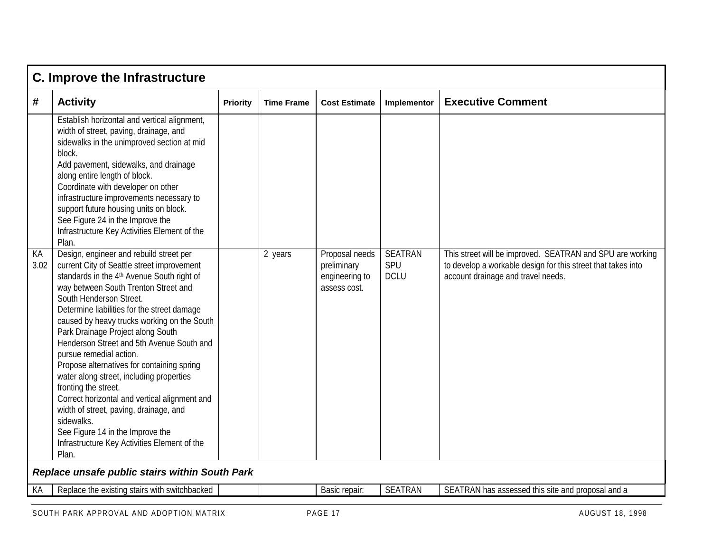|            | C. Improve the Infrastructure                                                                                                                                                                                                                                                                                                                                                                                                                                                                                                                                                                                                                                                                                                                         |                 |                   |                                                                 |                                      |                                                                                                                                                                 |  |  |  |
|------------|-------------------------------------------------------------------------------------------------------------------------------------------------------------------------------------------------------------------------------------------------------------------------------------------------------------------------------------------------------------------------------------------------------------------------------------------------------------------------------------------------------------------------------------------------------------------------------------------------------------------------------------------------------------------------------------------------------------------------------------------------------|-----------------|-------------------|-----------------------------------------------------------------|--------------------------------------|-----------------------------------------------------------------------------------------------------------------------------------------------------------------|--|--|--|
| #          | <b>Activity</b>                                                                                                                                                                                                                                                                                                                                                                                                                                                                                                                                                                                                                                                                                                                                       | <b>Priority</b> | <b>Time Frame</b> | <b>Cost Estimate</b>                                            | Implementor                          | <b>Executive Comment</b>                                                                                                                                        |  |  |  |
|            | Establish horizontal and vertical alignment,<br>width of street, paving, drainage, and<br>sidewalks in the unimproved section at mid<br>block.<br>Add pavement, sidewalks, and drainage<br>along entire length of block.<br>Coordinate with developer on other<br>infrastructure improvements necessary to<br>support future housing units on block.<br>See Figure 24 in the Improve the<br>Infrastructure Key Activities Element of the<br>Plan.                                                                                                                                                                                                                                                                                                     |                 |                   |                                                                 |                                      |                                                                                                                                                                 |  |  |  |
| КA<br>3.02 | Design, engineer and rebuild street per<br>current City of Seattle street improvement<br>standards in the 4 <sup>th</sup> Avenue South right of<br>way between South Trenton Street and<br>South Henderson Street.<br>Determine liabilities for the street damage<br>caused by heavy trucks working on the South<br>Park Drainage Project along South<br>Henderson Street and 5th Avenue South and<br>pursue remedial action.<br>Propose alternatives for containing spring<br>water along street, including properties<br>fronting the street.<br>Correct horizontal and vertical alignment and<br>width of street, paving, drainage, and<br>sidewalks.<br>See Figure 14 in the Improve the<br>Infrastructure Key Activities Element of the<br>Plan. |                 | 2 years           | Proposal needs<br>preliminary<br>engineering to<br>assess cost. | <b>SEATRAN</b><br>SPU<br><b>DCLU</b> | This street will be improved. SEATRAN and SPU are working<br>to develop a workable design for this street that takes into<br>account drainage and travel needs. |  |  |  |
|            | Replace unsafe public stairs within South Park                                                                                                                                                                                                                                                                                                                                                                                                                                                                                                                                                                                                                                                                                                        |                 |                   |                                                                 |                                      |                                                                                                                                                                 |  |  |  |
| КA         | Replace the existing stairs with switchbacked                                                                                                                                                                                                                                                                                                                                                                                                                                                                                                                                                                                                                                                                                                         |                 |                   | Basic repair:                                                   | <b>SEATRAN</b>                       | SEATRAN has assessed this site and proposal and a                                                                                                               |  |  |  |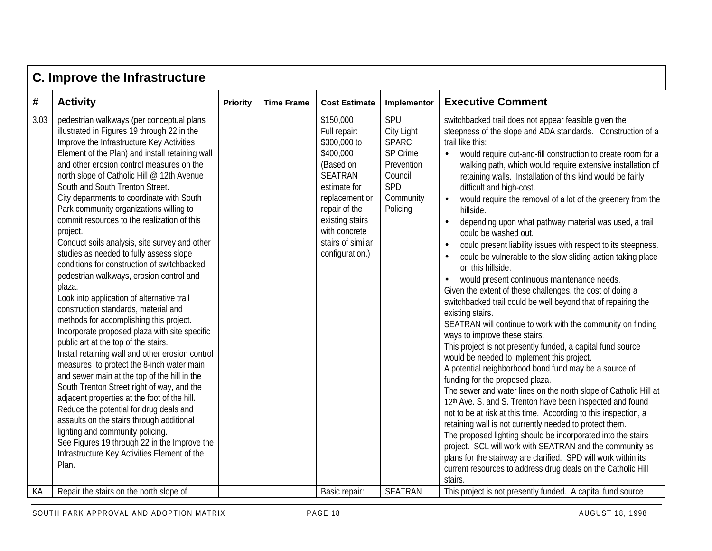|            | <b>C. Improve the Infrastructure</b>                                                                                                                                                                                                                                                                                                                                                                                                                                                                                                                                                                                                                                                                                                                                                                                                                                                                                                                                                                                                                                                                                                                                                                                                                                                                                                                                                                                                |                 |                   |                                                                                                                                                                                                                                       |                                                                                                                          |                                                                                                                                                                                                                                                                                                                                                                                                                                                                                                                                                                                                                                                                                                                                                                                                                                                                                                                                                                                                                                                                                                                                                                                                                                                                                                                                                                                                                                                                                                                                                                                                                                                                                                                                                                                                                                              |  |  |  |  |
|------------|-------------------------------------------------------------------------------------------------------------------------------------------------------------------------------------------------------------------------------------------------------------------------------------------------------------------------------------------------------------------------------------------------------------------------------------------------------------------------------------------------------------------------------------------------------------------------------------------------------------------------------------------------------------------------------------------------------------------------------------------------------------------------------------------------------------------------------------------------------------------------------------------------------------------------------------------------------------------------------------------------------------------------------------------------------------------------------------------------------------------------------------------------------------------------------------------------------------------------------------------------------------------------------------------------------------------------------------------------------------------------------------------------------------------------------------|-----------------|-------------------|---------------------------------------------------------------------------------------------------------------------------------------------------------------------------------------------------------------------------------------|--------------------------------------------------------------------------------------------------------------------------|----------------------------------------------------------------------------------------------------------------------------------------------------------------------------------------------------------------------------------------------------------------------------------------------------------------------------------------------------------------------------------------------------------------------------------------------------------------------------------------------------------------------------------------------------------------------------------------------------------------------------------------------------------------------------------------------------------------------------------------------------------------------------------------------------------------------------------------------------------------------------------------------------------------------------------------------------------------------------------------------------------------------------------------------------------------------------------------------------------------------------------------------------------------------------------------------------------------------------------------------------------------------------------------------------------------------------------------------------------------------------------------------------------------------------------------------------------------------------------------------------------------------------------------------------------------------------------------------------------------------------------------------------------------------------------------------------------------------------------------------------------------------------------------------------------------------------------------------|--|--|--|--|
| #          | <b>Activity</b>                                                                                                                                                                                                                                                                                                                                                                                                                                                                                                                                                                                                                                                                                                                                                                                                                                                                                                                                                                                                                                                                                                                                                                                                                                                                                                                                                                                                                     | <b>Priority</b> | <b>Time Frame</b> | <b>Cost Estimate</b>                                                                                                                                                                                                                  | Implementor                                                                                                              | <b>Executive Comment</b>                                                                                                                                                                                                                                                                                                                                                                                                                                                                                                                                                                                                                                                                                                                                                                                                                                                                                                                                                                                                                                                                                                                                                                                                                                                                                                                                                                                                                                                                                                                                                                                                                                                                                                                                                                                                                     |  |  |  |  |
| 3.03<br>KA | pedestrian walkways (per conceptual plans<br>illustrated in Figures 19 through 22 in the<br>Improve the Infrastructure Key Activities<br>Element of the Plan) and install retaining wall<br>and other erosion control measures on the<br>north slope of Catholic Hill @ 12th Avenue<br>South and South Trenton Street.<br>City departments to coordinate with South<br>Park community organizations willing to<br>commit resources to the realization of this<br>project.<br>Conduct soils analysis, site survey and other<br>studies as needed to fully assess slope<br>conditions for construction of switchbacked<br>pedestrian walkways, erosion control and<br>plaza.<br>Look into application of alternative trail<br>construction standards, material and<br>methods for accomplishing this project.<br>Incorporate proposed plaza with site specific<br>public art at the top of the stairs.<br>Install retaining wall and other erosion control<br>measures to protect the 8-inch water main<br>and sewer main at the top of the hill in the<br>South Trenton Street right of way, and the<br>adjacent properties at the foot of the hill.<br>Reduce the potential for drug deals and<br>assaults on the stairs through additional<br>lighting and community policing.<br>See Figures 19 through 22 in the Improve the<br>Infrastructure Key Activities Element of the<br>Plan.<br>Repair the stairs on the north slope of |                 |                   | \$150,000<br>Full repair:<br>\$300,000 to<br>\$400,000<br>(Based on<br><b>SEATRAN</b><br>estimate for<br>replacement or<br>repair of the<br>existing stairs<br>with concrete<br>stairs of similar<br>configuration.)<br>Basic repair: | SPU<br>City Light<br><b>SPARC</b><br>SP Crime<br>Prevention<br>Council<br>SPD<br>Community<br>Policing<br><b>SEATRAN</b> | switchbacked trail does not appear feasible given the<br>steepness of the slope and ADA standards. Construction of a<br>trail like this:<br>would require cut-and-fill construction to create room for a<br>$\bullet$<br>walking path, which would require extensive installation of<br>retaining walls. Installation of this kind would be fairly<br>difficult and high-cost.<br>would require the removal of a lot of the greenery from the<br>$\bullet$<br>hillside.<br>depending upon what pathway material was used, a trail<br>$\bullet$<br>could be washed out.<br>could present liability issues with respect to its steepness.<br>could be vulnerable to the slow sliding action taking place<br>on this hillside.<br>would present continuous maintenance needs.<br>Given the extent of these challenges, the cost of doing a<br>switchbacked trail could be well beyond that of repairing the<br>existing stairs.<br>SEATRAN will continue to work with the community on finding<br>ways to improve these stairs.<br>This project is not presently funded, a capital fund source<br>would be needed to implement this project.<br>A potential neighborhood bond fund may be a source of<br>funding for the proposed plaza.<br>The sewer and water lines on the north slope of Catholic Hill at<br>12th Ave. S. and S. Trenton have been inspected and found<br>not to be at risk at this time. According to this inspection, a<br>retaining wall is not currently needed to protect them.<br>The proposed lighting should be incorporated into the stairs<br>project. SCL will work with SEATRAN and the community as<br>plans for the stairway are clarified. SPD will work within its<br>current resources to address drug deals on the Catholic Hill<br>stairs.<br>This project is not presently funded. A capital fund source |  |  |  |  |
|            |                                                                                                                                                                                                                                                                                                                                                                                                                                                                                                                                                                                                                                                                                                                                                                                                                                                                                                                                                                                                                                                                                                                                                                                                                                                                                                                                                                                                                                     |                 |                   |                                                                                                                                                                                                                                       |                                                                                                                          |                                                                                                                                                                                                                                                                                                                                                                                                                                                                                                                                                                                                                                                                                                                                                                                                                                                                                                                                                                                                                                                                                                                                                                                                                                                                                                                                                                                                                                                                                                                                                                                                                                                                                                                                                                                                                                              |  |  |  |  |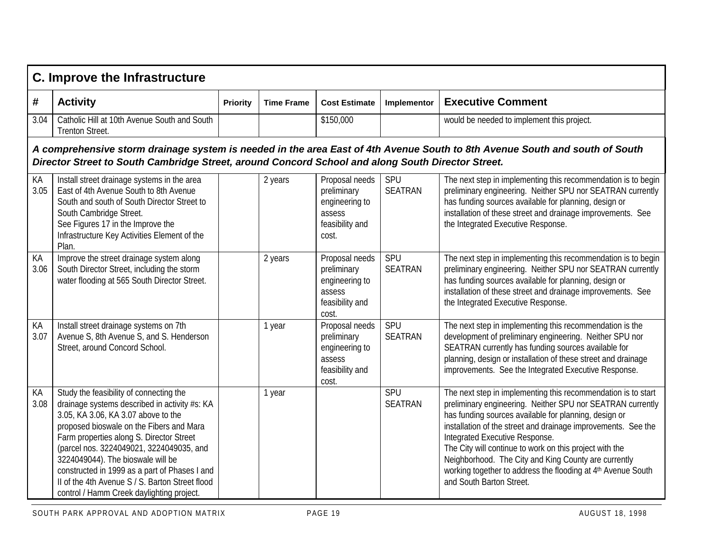|            | C. Improve the Infrastructure                                                                                                                                                                                                                                                                                                                                                                                                                             |                 |                   |                                                                                       |                              |                                                                                                                                                                                                                                                                                                                                                                                                                                                                                                        |  |  |  |  |
|------------|-----------------------------------------------------------------------------------------------------------------------------------------------------------------------------------------------------------------------------------------------------------------------------------------------------------------------------------------------------------------------------------------------------------------------------------------------------------|-----------------|-------------------|---------------------------------------------------------------------------------------|------------------------------|--------------------------------------------------------------------------------------------------------------------------------------------------------------------------------------------------------------------------------------------------------------------------------------------------------------------------------------------------------------------------------------------------------------------------------------------------------------------------------------------------------|--|--|--|--|
| #          | <b>Activity</b>                                                                                                                                                                                                                                                                                                                                                                                                                                           | <b>Priority</b> | <b>Time Frame</b> | <b>Cost Estimate</b>                                                                  | Implementor                  | <b>Executive Comment</b>                                                                                                                                                                                                                                                                                                                                                                                                                                                                               |  |  |  |  |
| 3.04       | Catholic Hill at 10th Avenue South and South<br>Trenton Street.                                                                                                                                                                                                                                                                                                                                                                                           |                 |                   | \$150,000                                                                             |                              | would be needed to implement this project.                                                                                                                                                                                                                                                                                                                                                                                                                                                             |  |  |  |  |
|            | A comprehensive storm drainage system is needed in the area East of 4th Avenue South to 8th Avenue South and south of South<br>Director Street to South Cambridge Street, around Concord School and along South Director Street.                                                                                                                                                                                                                          |                 |                   |                                                                                       |                              |                                                                                                                                                                                                                                                                                                                                                                                                                                                                                                        |  |  |  |  |
| KA<br>3.05 | Install street drainage systems in the area<br>East of 4th Avenue South to 8th Avenue<br>South and south of South Director Street to<br>South Cambridge Street.<br>See Figures 17 in the Improve the<br>Infrastructure Key Activities Element of the<br>Plan.                                                                                                                                                                                             |                 | 2 years           | Proposal needs<br>preliminary<br>engineering to<br>assess<br>feasibility and<br>cost. | SPU<br><b>SEATRAN</b>        | The next step in implementing this recommendation is to begin<br>preliminary engineering. Neither SPU nor SEATRAN currently<br>has funding sources available for planning, design or<br>installation of these street and drainage improvements. See<br>the Integrated Executive Response.                                                                                                                                                                                                              |  |  |  |  |
| KA<br>3.06 | Improve the street drainage system along<br>South Director Street, including the storm<br>water flooding at 565 South Director Street.                                                                                                                                                                                                                                                                                                                    |                 | 2 years           | Proposal needs<br>preliminary<br>engineering to<br>assess<br>feasibility and<br>cost. | SPU<br><b>SEATRAN</b>        | The next step in implementing this recommendation is to begin<br>preliminary engineering. Neither SPU nor SEATRAN currently<br>has funding sources available for planning, design or<br>installation of these street and drainage improvements. See<br>the Integrated Executive Response.                                                                                                                                                                                                              |  |  |  |  |
| KA<br>3.07 | Install street drainage systems on 7th<br>Avenue S, 8th Avenue S, and S. Henderson<br>Street, around Concord School.                                                                                                                                                                                                                                                                                                                                      |                 | 1 year            | Proposal needs<br>preliminary<br>engineering to<br>assess<br>feasibility and<br>cost. | <b>SPU</b><br><b>SEATRAN</b> | The next step in implementing this recommendation is the<br>development of preliminary engineering. Neither SPU nor<br>SEATRAN currently has funding sources available for<br>planning, design or installation of these street and drainage<br>improvements. See the Integrated Executive Response.                                                                                                                                                                                                    |  |  |  |  |
| KA<br>3.08 | Study the feasibility of connecting the<br>drainage systems described in activity #s: KA<br>3.05, KA 3.06, KA 3.07 above to the<br>proposed bioswale on the Fibers and Mara<br>Farm properties along S. Director Street<br>(parcel nos. 3224049021, 3224049035, and<br>3224049044). The bioswale will be<br>constructed in 1999 as a part of Phases I and<br>II of the 4th Avenue S / S. Barton Street flood<br>control / Hamm Creek daylighting project. |                 | 1 year            |                                                                                       | SPU<br><b>SEATRAN</b>        | The next step in implementing this recommendation is to start<br>preliminary engineering. Neither SPU nor SEATRAN currently<br>has funding sources available for planning, design or<br>installation of the street and drainage improvements. See the<br>Integrated Executive Response.<br>The City will continue to work on this project with the<br>Neighborhood. The City and King County are currently<br>working together to address the flooding at 4th Avenue South<br>and South Barton Street. |  |  |  |  |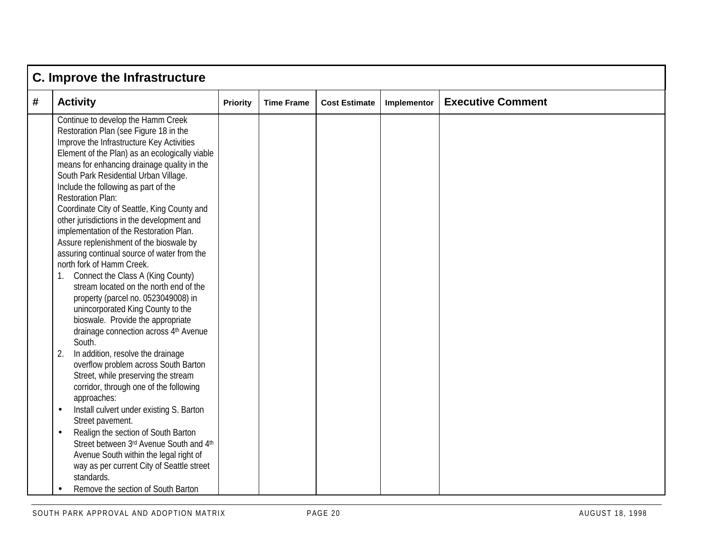|   | C. Improve the Infrastructure                                                                                                                                                                                                                                                                                                                                                                                                                                                                                                                                                                                                                                                                                                                                                                                                                                                                                                                                                                                                                                                                                                                                                                                                                                                                                                                                                       |                 |                   |                      |             |                          |  |  |  |
|---|-------------------------------------------------------------------------------------------------------------------------------------------------------------------------------------------------------------------------------------------------------------------------------------------------------------------------------------------------------------------------------------------------------------------------------------------------------------------------------------------------------------------------------------------------------------------------------------------------------------------------------------------------------------------------------------------------------------------------------------------------------------------------------------------------------------------------------------------------------------------------------------------------------------------------------------------------------------------------------------------------------------------------------------------------------------------------------------------------------------------------------------------------------------------------------------------------------------------------------------------------------------------------------------------------------------------------------------------------------------------------------------|-----------------|-------------------|----------------------|-------------|--------------------------|--|--|--|
| # | <b>Activity</b>                                                                                                                                                                                                                                                                                                                                                                                                                                                                                                                                                                                                                                                                                                                                                                                                                                                                                                                                                                                                                                                                                                                                                                                                                                                                                                                                                                     | <b>Priority</b> | <b>Time Frame</b> | <b>Cost Estimate</b> | Implementor | <b>Executive Comment</b> |  |  |  |
|   | Continue to develop the Hamm Creek<br>Restoration Plan (see Figure 18 in the<br>Improve the Infrastructure Key Activities<br>Element of the Plan) as an ecologically viable<br>means for enhancing drainage quality in the<br>South Park Residential Urban Village.<br>Include the following as part of the<br><b>Restoration Plan:</b><br>Coordinate City of Seattle, King County and<br>other jurisdictions in the development and<br>implementation of the Restoration Plan.<br>Assure replenishment of the bioswale by<br>assuring continual source of water from the<br>north fork of Hamm Creek.<br>1. Connect the Class A (King County)<br>stream located on the north end of the<br>property (parcel no. 0523049008) in<br>unincorporated King County to the<br>bioswale. Provide the appropriate<br>drainage connection across 4th Avenue<br>South.<br>2.<br>In addition, resolve the drainage<br>overflow problem across South Barton<br>Street, while preserving the stream<br>corridor, through one of the following<br>approaches:<br>Install culvert under existing S. Barton<br>$\bullet$<br>Street pavement.<br>Realign the section of South Barton<br>$\bullet$<br>Street between 3rd Avenue South and 4th<br>Avenue South within the legal right of<br>way as per current City of Seattle street<br>standards.<br>Remove the section of South Barton<br>$\bullet$ |                 |                   |                      |             |                          |  |  |  |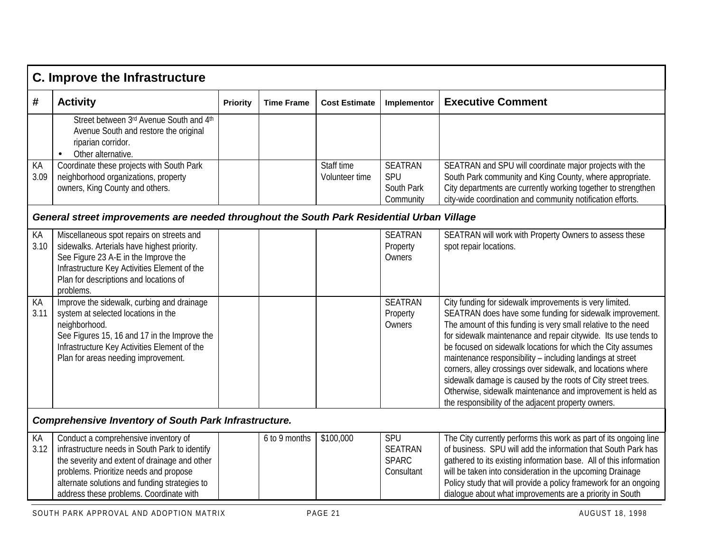|            | <b>C. Improve the Infrastructure</b>                                                                                                                                                                                                                                          |          |                   |                              |                                                     |                                                                                                                                                                                                                                                                                                                                                                                                                                                                                                                                                                                                                                        |  |  |  |
|------------|-------------------------------------------------------------------------------------------------------------------------------------------------------------------------------------------------------------------------------------------------------------------------------|----------|-------------------|------------------------------|-----------------------------------------------------|----------------------------------------------------------------------------------------------------------------------------------------------------------------------------------------------------------------------------------------------------------------------------------------------------------------------------------------------------------------------------------------------------------------------------------------------------------------------------------------------------------------------------------------------------------------------------------------------------------------------------------------|--|--|--|
| #          | <b>Activity</b>                                                                                                                                                                                                                                                               | Priority | <b>Time Frame</b> | <b>Cost Estimate</b>         | Implementor                                         | <b>Executive Comment</b>                                                                                                                                                                                                                                                                                                                                                                                                                                                                                                                                                                                                               |  |  |  |
|            | Street between 3rd Avenue South and 4th<br>Avenue South and restore the original<br>riparian corridor.<br>Other alternative.<br>$\bullet$                                                                                                                                     |          |                   |                              |                                                     |                                                                                                                                                                                                                                                                                                                                                                                                                                                                                                                                                                                                                                        |  |  |  |
| КA<br>3.09 | Coordinate these projects with South Park<br>neighborhood organizations, property<br>owners, King County and others.                                                                                                                                                          |          |                   | Staff time<br>Volunteer time | <b>SEATRAN</b><br>SPU<br>South Park<br>Community    | SEATRAN and SPU will coordinate major projects with the<br>South Park community and King County, where appropriate.<br>City departments are currently working together to strengthen<br>city-wide coordination and community notification efforts.                                                                                                                                                                                                                                                                                                                                                                                     |  |  |  |
|            | General street improvements are needed throughout the South Park Residential Urban Village                                                                                                                                                                                    |          |                   |                              |                                                     |                                                                                                                                                                                                                                                                                                                                                                                                                                                                                                                                                                                                                                        |  |  |  |
| КA<br>3.10 | Miscellaneous spot repairs on streets and<br>sidewalks. Arterials have highest priority.<br>See Figure 23 A-E in the Improve the<br>Infrastructure Key Activities Element of the<br>Plan for descriptions and locations of<br>problems.                                       |          |                   |                              | <b>SEATRAN</b><br>Property<br>Owners                | SEATRAN will work with Property Owners to assess these<br>spot repair locations.                                                                                                                                                                                                                                                                                                                                                                                                                                                                                                                                                       |  |  |  |
| КA<br>3.11 | Improve the sidewalk, curbing and drainage<br>system at selected locations in the<br>neighborhood.<br>See Figures 15, 16 and 17 in the Improve the<br>Infrastructure Key Activities Element of the<br>Plan for areas needing improvement.                                     |          |                   |                              | <b>SEATRAN</b><br>Property<br>Owners                | City funding for sidewalk improvements is very limited.<br>SEATRAN does have some funding for sidewalk improvement.<br>The amount of this funding is very small relative to the need<br>for sidewalk maintenance and repair citywide. Its use tends to<br>be focused on sidewalk locations for which the City assumes<br>maintenance responsibility - including landings at street<br>corners, alley crossings over sidewalk, and locations where<br>sidewalk damage is caused by the roots of City street trees.<br>Otherwise, sidewalk maintenance and improvement is held as<br>the responsibility of the adjacent property owners. |  |  |  |
|            | <b>Comprehensive Inventory of South Park Infrastructure.</b>                                                                                                                                                                                                                  |          |                   |                              |                                                     |                                                                                                                                                                                                                                                                                                                                                                                                                                                                                                                                                                                                                                        |  |  |  |
| КA<br>3.12 | Conduct a comprehensive inventory of<br>infrastructure needs in South Park to identify<br>the severity and extent of drainage and other<br>problems. Prioritize needs and propose<br>alternate solutions and funding strategies to<br>address these problems. Coordinate with |          | 6 to 9 months     | \$100,000                    | SPU<br><b>SEATRAN</b><br><b>SPARC</b><br>Consultant | The City currently performs this work as part of its ongoing line<br>of business. SPU will add the information that South Park has<br>gathered to its existing information base. All of this information<br>will be taken into consideration in the upcoming Drainage<br>Policy study that will provide a policy framework for an ongoing<br>dialogue about what improvements are a priority in South                                                                                                                                                                                                                                  |  |  |  |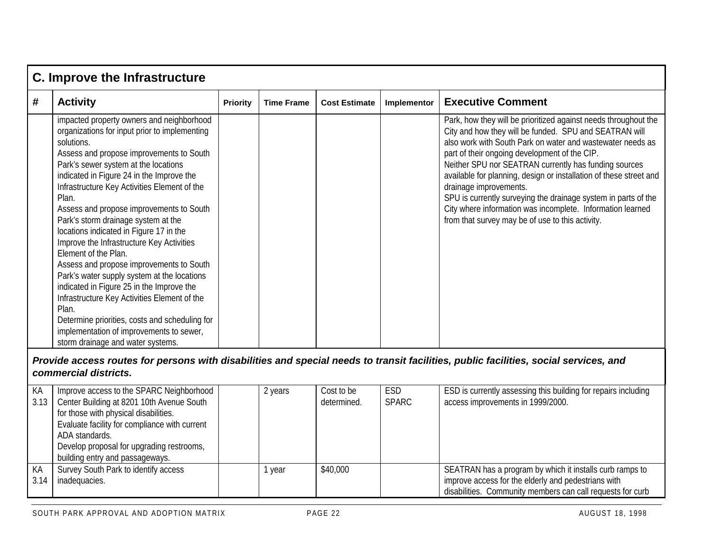|   | <b>C. Improve the Infrastructure</b>                                                                                                                                                                                                                                                                                                                                                                                                                                                                                                                                                                                                                                                                                                                                                                                                      |                 |                   |                      |             |                                                                                                                                                                                                                                                                                                                                                                                                                                                                                                                                                                                       |  |  |  |
|---|-------------------------------------------------------------------------------------------------------------------------------------------------------------------------------------------------------------------------------------------------------------------------------------------------------------------------------------------------------------------------------------------------------------------------------------------------------------------------------------------------------------------------------------------------------------------------------------------------------------------------------------------------------------------------------------------------------------------------------------------------------------------------------------------------------------------------------------------|-----------------|-------------------|----------------------|-------------|---------------------------------------------------------------------------------------------------------------------------------------------------------------------------------------------------------------------------------------------------------------------------------------------------------------------------------------------------------------------------------------------------------------------------------------------------------------------------------------------------------------------------------------------------------------------------------------|--|--|--|
| # | <b>Activity</b>                                                                                                                                                                                                                                                                                                                                                                                                                                                                                                                                                                                                                                                                                                                                                                                                                           | <b>Priority</b> | <b>Time Frame</b> | <b>Cost Estimate</b> | Implementor | <b>Executive Comment</b>                                                                                                                                                                                                                                                                                                                                                                                                                                                                                                                                                              |  |  |  |
|   | impacted property owners and neighborhood<br>organizations for input prior to implementing<br>solutions.<br>Assess and propose improvements to South<br>Park's sewer system at the locations<br>indicated in Figure 24 in the Improve the<br>Infrastructure Key Activities Element of the<br>Plan.<br>Assess and propose improvements to South<br>Park's storm drainage system at the<br>locations indicated in Figure 17 in the<br>Improve the Infrastructure Key Activities<br>Element of the Plan.<br>Assess and propose improvements to South<br>Park's water supply system at the locations<br>indicated in Figure 25 in the Improve the<br>Infrastructure Key Activities Element of the<br>Plan.<br>Determine priorities, costs and scheduling for<br>implementation of improvements to sewer,<br>storm drainage and water systems. |                 |                   |                      |             | Park, how they will be prioritized against needs throughout the<br>City and how they will be funded. SPU and SEATRAN will<br>also work with South Park on water and wastewater needs as<br>part of their ongoing development of the CIP.<br>Neither SPU nor SEATRAN currently has funding sources<br>available for planning, design or installation of these street and<br>drainage improvements.<br>SPU is currently surveying the drainage system in parts of the<br>City where information was incomplete. Information learned<br>from that survey may be of use to this activity. |  |  |  |

#### *Provide access routes for persons with disabilities and special needs to transit facilities, public facilities, social services, and commercial districts.*

| KA<br>3.13 | Improve access to the SPARC Neighborhood<br>Center Building at 8201 10th Avenue South<br>for those with physical disabilities. | 2 years | Cost to be<br>determined. | <b>ESD</b><br><b>SPARC</b> | ESD is currently assessing this building for repairs including<br>access improvements in 1999/2000.                                                                           |
|------------|--------------------------------------------------------------------------------------------------------------------------------|---------|---------------------------|----------------------------|-------------------------------------------------------------------------------------------------------------------------------------------------------------------------------|
|            | Evaluate facility for compliance with current<br>ADA standards.                                                                |         |                           |                            |                                                                                                                                                                               |
|            | Develop proposal for upgrading restrooms,<br>building entry and passageways.                                                   |         |                           |                            |                                                                                                                                                                               |
| KA<br>3.14 | Survey South Park to identify access<br>inadequacies.                                                                          | year    | \$40,000                  |                            | SEATRAN has a program by which it installs curb ramps to<br>improve access for the elderly and pedestrians with<br>disabilities. Community members can call requests for curb |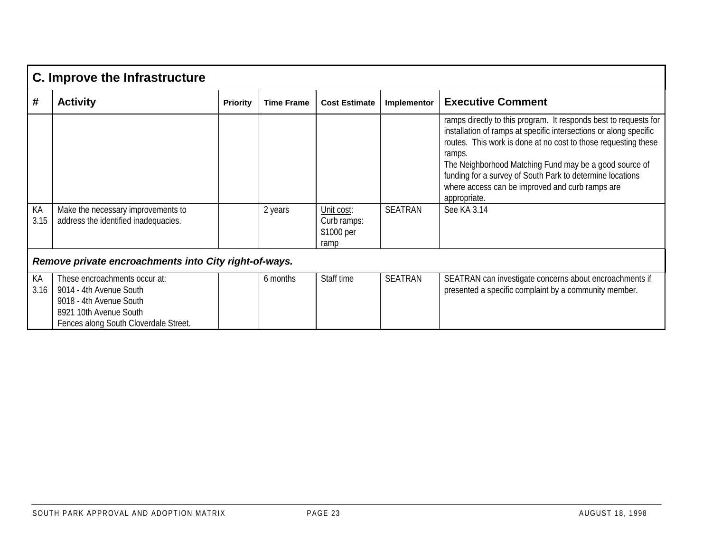|            | C. Improve the Infrastructure                                                                                                                          |                 |                   |                                                 |                |                                                                                                                                                                                                                                                                                                                                                                                                                            |  |  |  |
|------------|--------------------------------------------------------------------------------------------------------------------------------------------------------|-----------------|-------------------|-------------------------------------------------|----------------|----------------------------------------------------------------------------------------------------------------------------------------------------------------------------------------------------------------------------------------------------------------------------------------------------------------------------------------------------------------------------------------------------------------------------|--|--|--|
| #          | <b>Activity</b>                                                                                                                                        | <b>Priority</b> | <b>Time Frame</b> | <b>Cost Estimate</b>                            | Implementor    | <b>Executive Comment</b>                                                                                                                                                                                                                                                                                                                                                                                                   |  |  |  |
| KA<br>3.15 | Make the necessary improvements to<br>address the identified inadequacies.                                                                             |                 | 2 years           | Unit cost:<br>Curb ramps:<br>\$1000 per<br>ramp | <b>SEATRAN</b> | ramps directly to this program. It responds best to requests for<br>installation of ramps at specific intersections or along specific<br>routes. This work is done at no cost to those requesting these<br>ramps.<br>The Neighborhood Matching Fund may be a good source of<br>funding for a survey of South Park to determine locations<br>where access can be improved and curb ramps are<br>appropriate.<br>See KA 3.14 |  |  |  |
|            | Remove private encroachments into City right-of-ways.                                                                                                  |                 |                   |                                                 |                |                                                                                                                                                                                                                                                                                                                                                                                                                            |  |  |  |
| KA<br>3.16 | These encroachments occur at:<br>9014 - 4th Avenue South<br>9018 - 4th Avenue South<br>8921 10th Avenue South<br>Fences along South Cloverdale Street. |                 | 6 months          | Staff time                                      | <b>SEATRAN</b> | SEATRAN can investigate concerns about encroachments if<br>presented a specific complaint by a community member.                                                                                                                                                                                                                                                                                                           |  |  |  |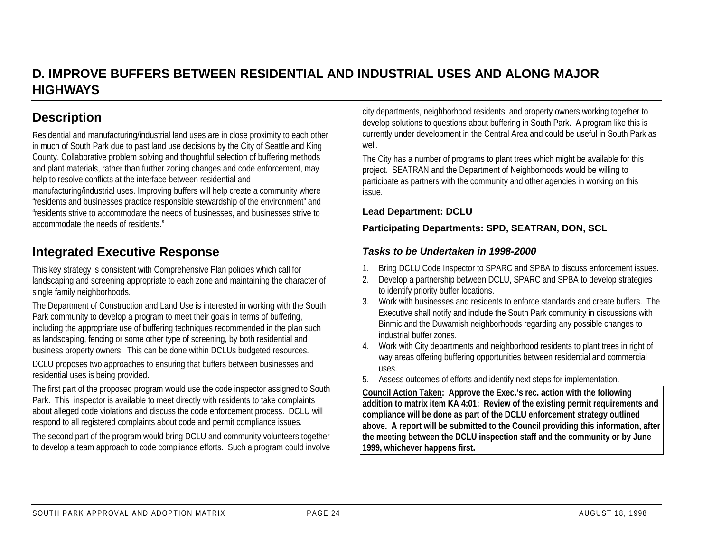### **D. IMPROVE BUFFERS BETWEEN RESIDENTIAL AND INDUSTRIAL USES AND ALONG MAJORHIGHWAYS**

### **Description**

Residential and manufacturing/industrial land uses are in close proximity to each other in much of South Park due to past land use decisions by the City of Seattle and King County. Collaborative problem solving and thoughtful selection of buffering methods and plant materials, rather than further zoning changes and code enforcement, may help to resolve conflicts at the interface between residential and

manufacturing/industrial uses. Improving buffers will help create a community where "residents and businesses practice responsible stewardship of the environment" and "residents strive to accommodate the needs of businesses, and businesses strive to accommodate the needs of residents."

### **Integrated Executive Response**

This key strategy is consistent with Comprehensive Plan policies which call for landscaping and screening appropriate to each zone and maintaining the character of single family neighborhoods.

The Department of Construction and Land Use is interested in working with the South Park community to develop a program to meet their goals in terms of buffering, including the appropriate use of buffering techniques recommended in the plan such as landscaping, fencing or some other type of screening, by both residential and business property owners. This can be done within DCLUs budgeted resources.

DCLU proposes two approaches to ensuring that buffers between businesses and residential uses is being provided.

The first part of the proposed program would use the code inspector assigned to South Park. This inspector is available to meet directly with residents to take complaints about alleged code violations and discuss the code enforcement process. DCLU will respond to all registered complaints about code and permit compliance issues.

The second part of the program would bring DCLU and community volunteers together to develop a team approach to code compliance efforts. Such a program could involve

city departments, neighborhood residents, and property owners working together to develop solutions to questions about buffering in South Park. A program like this is currently under development in the Central Area and could be useful in South Park as well.

The City has a number of programs to plant trees which might be available for this project. SEATRAN and the Department of Neighborhoods would be willing to participate as partners with the community and other agencies in working on this issue.

#### **Lead Department: DCLU**

#### **Participating Departments: SPD, SEATRAN, DON, SCL**

#### *Tasks to be Undertaken in 1998-2000*

- 1. Bring DCLU Code Inspector to SPARC and SPBA to discuss enforcement issues.
- 2. Develop a partnership between DCLU, SPARC and SPBA to develop strategies to identify priority buffer locations.
- 3. Work with businesses and residents to enforce standards and create buffers. TheExecutive shall notify and include the South Park community in discussions with Binmic and the Duwamish neighborhoods regarding any possible changes to industrial buffer zones.
- 4. Work with City departments and neighborhood residents to plant trees in right of way areas offering buffering opportunities between residential and commercial uses.
- 5. Assess outcomes of efforts and identify next steps for implementation.

**Council Action Taken: Approve the Exec.'s rec. action with the following addition to matrix item KA 4:01: Review of the existing permit requirements and compliance will be done as part of the DCLU enforcement strategy outlined above. A report will be submitted to the Council providing this information, after the meeting between the DCLU inspection staff and the community or by June 1999, whichever happens first.**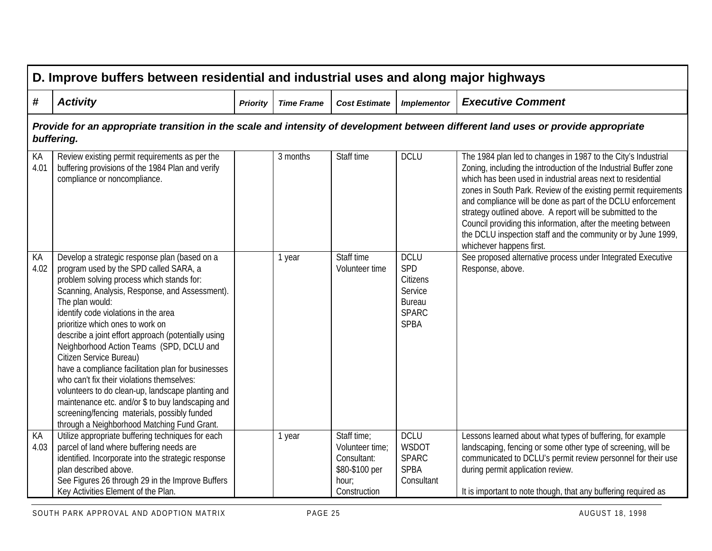|               | D. Improve buffers between residential and industrial uses and along major highways                                                                                                                                                                                                                                                                                                                                                                                                                                                                                                                                                                                                                                              |                 |                   |                                                                                          |                                                                                           |                                                                                                                                                                                                                                                                                                                                                                                                                                                                                                                                                               |  |  |  |  |
|---------------|----------------------------------------------------------------------------------------------------------------------------------------------------------------------------------------------------------------------------------------------------------------------------------------------------------------------------------------------------------------------------------------------------------------------------------------------------------------------------------------------------------------------------------------------------------------------------------------------------------------------------------------------------------------------------------------------------------------------------------|-----------------|-------------------|------------------------------------------------------------------------------------------|-------------------------------------------------------------------------------------------|---------------------------------------------------------------------------------------------------------------------------------------------------------------------------------------------------------------------------------------------------------------------------------------------------------------------------------------------------------------------------------------------------------------------------------------------------------------------------------------------------------------------------------------------------------------|--|--|--|--|
| #             | <b>Activity</b>                                                                                                                                                                                                                                                                                                                                                                                                                                                                                                                                                                                                                                                                                                                  | <b>Priority</b> | <b>Time Frame</b> | <b>Cost Estimate</b>                                                                     | <b>Implementor</b>                                                                        | <b>Executive Comment</b>                                                                                                                                                                                                                                                                                                                                                                                                                                                                                                                                      |  |  |  |  |
|               | Provide for an appropriate transition in the scale and intensity of development between different land uses or provide appropriate<br>buffering.                                                                                                                                                                                                                                                                                                                                                                                                                                                                                                                                                                                 |                 |                   |                                                                                          |                                                                                           |                                                                                                                                                                                                                                                                                                                                                                                                                                                                                                                                                               |  |  |  |  |
| КA<br>4.01    | Review existing permit requirements as per the<br>buffering provisions of the 1984 Plan and verify<br>compliance or noncompliance.                                                                                                                                                                                                                                                                                                                                                                                                                                                                                                                                                                                               |                 | 3 months          | Staff time                                                                               | <b>DCLU</b>                                                                               | The 1984 plan led to changes in 1987 to the City's Industrial<br>Zoning, including the introduction of the Industrial Buffer zone<br>which has been used in industrial areas next to residential<br>zones in South Park. Review of the existing permit requirements<br>and compliance will be done as part of the DCLU enforcement<br>strategy outlined above. A report will be submitted to the<br>Council providing this information, after the meeting between<br>the DCLU inspection staff and the community or by June 1999,<br>whichever happens first. |  |  |  |  |
| KA<br>4.02    | Develop a strategic response plan (based on a<br>program used by the SPD called SARA, a<br>problem solving process which stands for:<br>Scanning, Analysis, Response, and Assessment).<br>The plan would:<br>identify code violations in the area<br>prioritize which ones to work on<br>describe a joint effort approach (potentially using<br>Neighborhood Action Teams (SPD, DCLU and<br>Citizen Service Bureau)<br>have a compliance facilitation plan for businesses<br>who can't fix their violations themselves:<br>volunteers to do clean-up, landscape planting and<br>maintenance etc. and/or \$ to buy landscaping and<br>screening/fencing materials, possibly funded<br>through a Neighborhood Matching Fund Grant. |                 | 1 year            | Staff time<br>Volunteer time                                                             | <b>DCLU</b><br>SPD<br>Citizens<br>Service<br><b>Bureau</b><br><b>SPARC</b><br><b>SPBA</b> | See proposed alternative process under Integrated Executive<br>Response, above.                                                                                                                                                                                                                                                                                                                                                                                                                                                                               |  |  |  |  |
| $K$ A<br>4.03 | Utilize appropriate buffering techniques for each<br>parcel of land where buffering needs are<br>identified. Incorporate into the strategic response<br>plan described above.<br>See Figures 26 through 29 in the Improve Buffers<br>Key Activities Element of the Plan.                                                                                                                                                                                                                                                                                                                                                                                                                                                         |                 | 1 year            | Staff time:<br>Volunteer time;<br>Consultant:<br>\$80-\$100 per<br>hour;<br>Construction | <b>DCLU</b><br><b>WSDOT</b><br><b>SPARC</b><br><b>SPBA</b><br>Consultant                  | Lessons learned about what types of buffering, for example<br>landscaping, fencing or some other type of screening, will be<br>communicated to DCLU's permit review personnel for their use<br>during permit application review.<br>It is important to note though, that any buffering required as                                                                                                                                                                                                                                                            |  |  |  |  |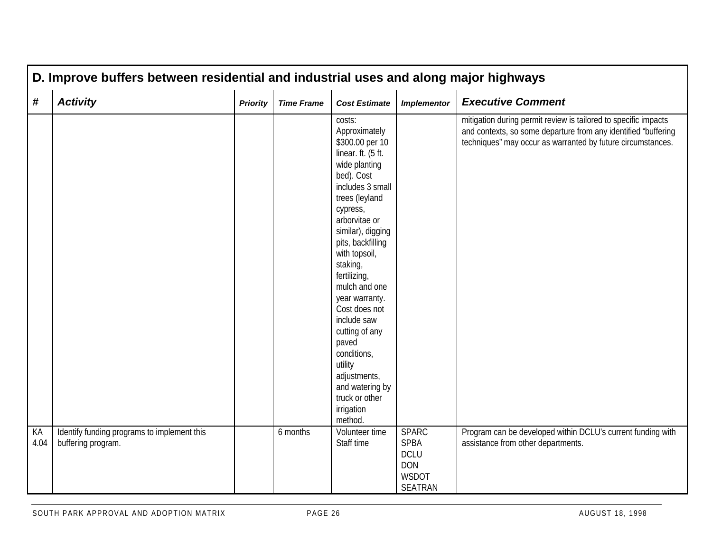|            | D. Improve buffers between residential and industrial uses and along major highways |                 |                   |                                                                                                                                                                                                                                                                                                                                                                                                                                                                 |                                                                                            |                                                                                                                                                                                                  |  |  |  |  |
|------------|-------------------------------------------------------------------------------------|-----------------|-------------------|-----------------------------------------------------------------------------------------------------------------------------------------------------------------------------------------------------------------------------------------------------------------------------------------------------------------------------------------------------------------------------------------------------------------------------------------------------------------|--------------------------------------------------------------------------------------------|--------------------------------------------------------------------------------------------------------------------------------------------------------------------------------------------------|--|--|--|--|
| $\pmb{\#}$ | <b>Activity</b>                                                                     | <b>Priority</b> | <b>Time Frame</b> | <b>Cost Estimate</b>                                                                                                                                                                                                                                                                                                                                                                                                                                            | <b>Implementor</b>                                                                         | <b>Executive Comment</b>                                                                                                                                                                         |  |  |  |  |
|            |                                                                                     |                 |                   | costs:<br>Approximately<br>\$300.00 per 10<br>linear. ft. (5 ft.<br>wide planting<br>bed). Cost<br>includes 3 small<br>trees (leyland<br>cypress,<br>arborvitae or<br>similar), digging<br>pits, backfilling<br>with topsoil,<br>staking,<br>fertilizing,<br>mulch and one<br>year warranty.<br>Cost does not<br>include saw<br>cutting of any<br>paved<br>conditions,<br>utility<br>adjustments,<br>and watering by<br>truck or other<br>irrigation<br>method. |                                                                                            | mitigation during permit review is tailored to specific impacts<br>and contexts, so some departure from any identified "buffering<br>techniques" may occur as warranted by future circumstances. |  |  |  |  |
| KA<br>4.04 | Identify funding programs to implement this<br>buffering program.                   |                 | 6 months          | Volunteer time<br>Staff time                                                                                                                                                                                                                                                                                                                                                                                                                                    | <b>SPARC</b><br><b>SPBA</b><br><b>DCLU</b><br><b>DON</b><br><b>WSDOT</b><br><b>SEATRAN</b> | Program can be developed within DCLU's current funding with<br>assistance from other departments.                                                                                                |  |  |  |  |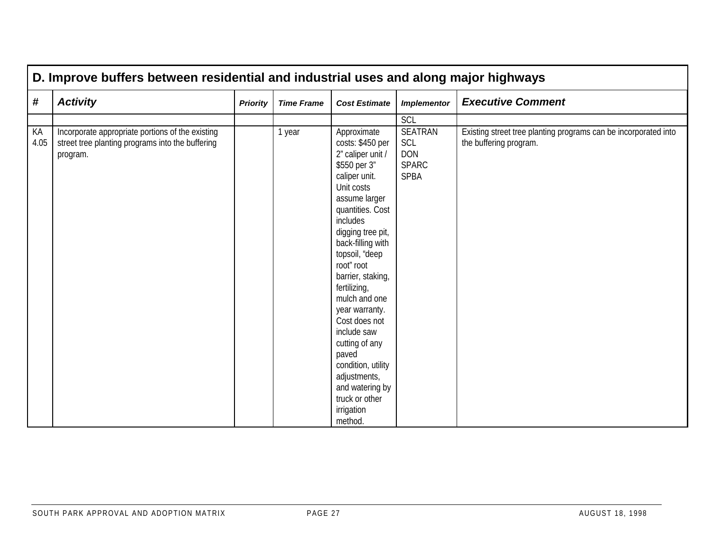|            | D. Improve buffers between residential and industrial uses and along major highways                              |                 |                   |                                                                                                                                                                                                                                                                                                                                                                                                                                                                       |                                                                           |                                                                                           |  |  |  |  |
|------------|------------------------------------------------------------------------------------------------------------------|-----------------|-------------------|-----------------------------------------------------------------------------------------------------------------------------------------------------------------------------------------------------------------------------------------------------------------------------------------------------------------------------------------------------------------------------------------------------------------------------------------------------------------------|---------------------------------------------------------------------------|-------------------------------------------------------------------------------------------|--|--|--|--|
| #          | <b>Activity</b>                                                                                                  | <b>Priority</b> | <b>Time Frame</b> | <b>Cost Estimate</b>                                                                                                                                                                                                                                                                                                                                                                                                                                                  | <b>Implementor</b>                                                        | <b>Executive Comment</b>                                                                  |  |  |  |  |
|            |                                                                                                                  |                 |                   |                                                                                                                                                                                                                                                                                                                                                                                                                                                                       | SCL                                                                       |                                                                                           |  |  |  |  |
| KA<br>4.05 | Incorporate appropriate portions of the existing<br>street tree planting programs into the buffering<br>program. |                 | 1 year            | Approximate<br>costs: \$450 per<br>2" caliper unit /<br>\$550 per 3"<br>caliper unit.<br>Unit costs<br>assume larger<br>quantities. Cost<br>includes<br>digging tree pit,<br>back-filling with<br>topsoil, "deep<br>root" root<br>barrier, staking,<br>fertilizing,<br>mulch and one<br>year warranty.<br>Cost does not<br>include saw<br>cutting of any<br>paved<br>condition, utility<br>adjustments,<br>and watering by<br>truck or other<br>irrigation<br>method. | <b>SEATRAN</b><br><b>SCL</b><br><b>DON</b><br><b>SPARC</b><br><b>SPBA</b> | Existing street tree planting programs can be incorporated into<br>the buffering program. |  |  |  |  |

Г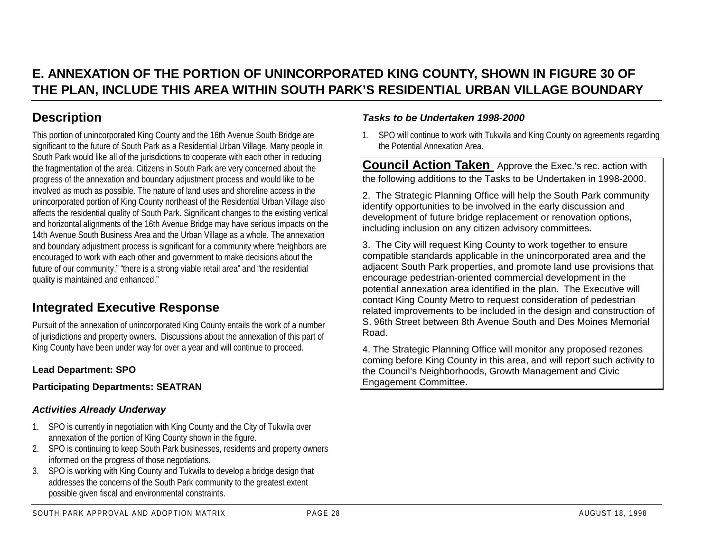### **E. ANNEXATION OF THE PORTION OF UNINCORPORATED KING COUNTY, SHOWN IN FIGURE 30 OF THE PLAN, INCLUDE THIS AREA WITHIN SOUTH PARK'S RESIDENTIAL URBAN VILLAGE BOUNDARY**

### **Description**

This portion of unincorporated King County and the 16th Avenue South Bridge are significant to the future of South Park as a Residential Urban Village. Many people in South Park would like all of the jurisdictions to cooperate with each other in reducing the fragmentation of the area. Citizens in South Park are very concerned about the progress of the annexation and boundary adjustment process and would like to be involved as much as possible. The nature of land uses and shoreline access in the unincorporated portion of King County northeast of the Residential Urban Village also affects the residential quality of South Park. Significant changes to the existing vertical and horizontal alignments of the 16th Avenue Bridge may have serious impacts on the 14th Avenue South Business Area and the Urban Village as a whole. The annexation and boundary adjustment process is significant for a community where "neighbors are encouraged to work with each other and government to make decisions about the future of our community," "there is a strong viable retail area" and "the residential quality is maintained and enhanced."

### **Integrated Executive Response**

Pursuit of the annexation of unincorporated King County entails the work of a number of jurisdictions and property owners. Discussions about the annexation of this part of King County have been under way for over a year and will continue to proceed.

#### **Lead Department: SPO**

**Participating Departments: SEATRAN**

#### *Activities Already Underway*

- 1. SPO is currently in negotiation with King County and the City of Tukwila over annexation of the portion of King County shown in the figure.
- 2. SPO is continuing to keep South Park businesses, residents and property owners informed on the progress of those negotiations.
- 3. SPO is working with King County and Tukwila to develop a bridge design that addresses the concerns of the South Park community to the greatest extent possible given fiscal and environmental constraints.

#### 1. SPO will continue to work with Tukwila and King County on agreements regarding the Potential Annexation Area.

*Tasks to be Undertaken 1998-2000*

**Council Action Taken** Approve the Exec.'s rec. action with the following additions to the Tasks to be Undertaken in 1998-2000.

2. The Strategic Planning Office will help the South Park community identify opportunities to be involved in the early discussion and development of future bridge replacement or renovation options, including inclusion on any citizen advisory committees.

3. The City will request King County to work together to ensure compatible standards applicable in the unincorporated area and the adjacent South Park properties, and promote land use provisions that encourage pedestrian-oriented commercial development in the potential annexation area identified in the plan. The Executive will contact King County Metro to request consideration of pedestrian related improvements to be included in the design and construction of S. 96th Street between 8th Avenue South and Des Moines MemorialRoad.

4. The Strategic Planning Office will monitor any proposed rezones coming before King County in this area, and will report such activity to the Council's Neighborhoods, Growth Management and Civic Engagement Committee.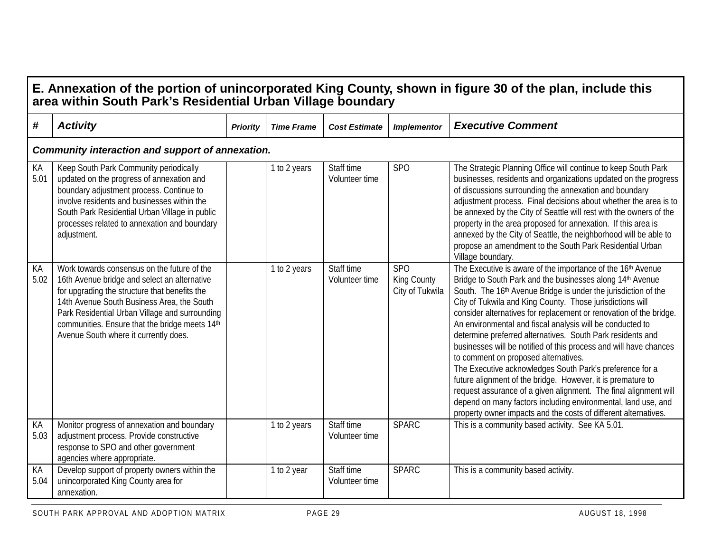|            | area within South Park's Residential Urban Village boundary                                                                                                                                                                                                                                                                             |                 |                   |                              |                                                   | E. Annexation of the portion of unincorporated King County, shown in figure 30 of the plan, include this                                                                                                                                                                                                                                                                                                                                                                                                                                                                                                                                                                                                                                                                                                                                                                                                             |
|------------|-----------------------------------------------------------------------------------------------------------------------------------------------------------------------------------------------------------------------------------------------------------------------------------------------------------------------------------------|-----------------|-------------------|------------------------------|---------------------------------------------------|----------------------------------------------------------------------------------------------------------------------------------------------------------------------------------------------------------------------------------------------------------------------------------------------------------------------------------------------------------------------------------------------------------------------------------------------------------------------------------------------------------------------------------------------------------------------------------------------------------------------------------------------------------------------------------------------------------------------------------------------------------------------------------------------------------------------------------------------------------------------------------------------------------------------|
| #          | <b>Activity</b>                                                                                                                                                                                                                                                                                                                         | <b>Priority</b> | <b>Time Frame</b> | <b>Cost Estimate</b>         | <b>Implementor</b>                                | <b>Executive Comment</b>                                                                                                                                                                                                                                                                                                                                                                                                                                                                                                                                                                                                                                                                                                                                                                                                                                                                                             |
|            | Community interaction and support of annexation.                                                                                                                                                                                                                                                                                        |                 |                   |                              |                                                   |                                                                                                                                                                                                                                                                                                                                                                                                                                                                                                                                                                                                                                                                                                                                                                                                                                                                                                                      |
| KA<br>5.01 | Keep South Park Community periodically<br>updated on the progress of annexation and<br>boundary adjustment process. Continue to<br>involve residents and businesses within the<br>South Park Residential Urban Village in public<br>processes related to annexation and boundary<br>adjustment.                                         |                 | 1 to 2 years      | Staff time<br>Volunteer time | SP <sub>O</sub>                                   | The Strategic Planning Office will continue to keep South Park<br>businesses, residents and organizations updated on the progress<br>of discussions surrounding the annexation and boundary<br>adjustment process. Final decisions about whether the area is to<br>be annexed by the City of Seattle will rest with the owners of the<br>property in the area proposed for annexation. If this area is<br>annexed by the City of Seattle, the neighborhood will be able to<br>propose an amendment to the South Park Residential Urban<br>Village boundary.                                                                                                                                                                                                                                                                                                                                                          |
| KA<br>5.02 | Work towards consensus on the future of the<br>16th Avenue bridge and select an alternative<br>for upgrading the structure that benefits the<br>14th Avenue South Business Area, the South<br>Park Residential Urban Village and surrounding<br>communities. Ensure that the bridge meets 14th<br>Avenue South where it currently does. |                 | 1 to 2 years      | Staff time<br>Volunteer time | SP <sub>O</sub><br>King County<br>City of Tukwila | The Executive is aware of the importance of the 16th Avenue<br>Bridge to South Park and the businesses along 14th Avenue<br>South. The 16 <sup>th</sup> Avenue Bridge is under the jurisdiction of the<br>City of Tukwila and King County. Those jurisdictions will<br>consider alternatives for replacement or renovation of the bridge.<br>An environmental and fiscal analysis will be conducted to<br>determine preferred alternatives. South Park residents and<br>businesses will be notified of this process and will have chances<br>to comment on proposed alternatives.<br>The Executive acknowledges South Park's preference for a<br>future alignment of the bridge. However, it is premature to<br>request assurance of a given alignment. The final alignment will<br>depend on many factors including environmental, land use, and<br>property owner impacts and the costs of different alternatives. |
| KA<br>5.03 | Monitor progress of annexation and boundary<br>adjustment process. Provide constructive<br>response to SPO and other government<br>agencies where appropriate.                                                                                                                                                                          |                 | 1 to 2 years      | Staff time<br>Volunteer time | <b>SPARC</b>                                      | This is a community based activity. See KA 5.01.                                                                                                                                                                                                                                                                                                                                                                                                                                                                                                                                                                                                                                                                                                                                                                                                                                                                     |
| KA<br>5.04 | Develop support of property owners within the<br>unincorporated King County area for<br>annexation.                                                                                                                                                                                                                                     |                 | 1 to 2 year       | Staff time<br>Volunteer time | <b>SPARC</b>                                      | This is a community based activity.                                                                                                                                                                                                                                                                                                                                                                                                                                                                                                                                                                                                                                                                                                                                                                                                                                                                                  |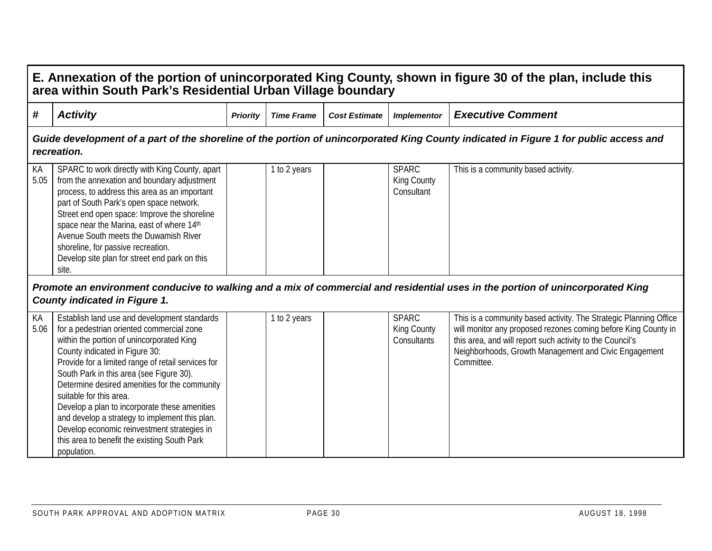|            | E. Annexation of the portion of unincorporated King County, shown in figure 30 of the plan, include this<br>area within South Park's Residential Urban Village boundary                                                                                                                                                                                                                                                                                                                                                                                                 |                 |                   |                      |                                                   |                                                                                                                                                                                                                                                                         |  |  |  |  |  |
|------------|-------------------------------------------------------------------------------------------------------------------------------------------------------------------------------------------------------------------------------------------------------------------------------------------------------------------------------------------------------------------------------------------------------------------------------------------------------------------------------------------------------------------------------------------------------------------------|-----------------|-------------------|----------------------|---------------------------------------------------|-------------------------------------------------------------------------------------------------------------------------------------------------------------------------------------------------------------------------------------------------------------------------|--|--|--|--|--|
| #          | <b>Activity</b>                                                                                                                                                                                                                                                                                                                                                                                                                                                                                                                                                         | <b>Priority</b> | <b>Time Frame</b> | <b>Cost Estimate</b> | <b>Implementor</b>                                | <b>Executive Comment</b>                                                                                                                                                                                                                                                |  |  |  |  |  |
|            | recreation.                                                                                                                                                                                                                                                                                                                                                                                                                                                                                                                                                             |                 |                   |                      |                                                   | Guide development of a part of the shoreline of the portion of unincorporated King County indicated in Figure 1 for public access and                                                                                                                                   |  |  |  |  |  |
| KA<br>5.05 | SPARC to work directly with King County, apart<br>from the annexation and boundary adjustment<br>process, to address this area as an important<br>part of South Park's open space network.<br>Street end open space: Improve the shoreline<br>space near the Marina, east of where 14th<br>Avenue South meets the Duwamish River<br>shoreline, for passive recreation.<br>Develop site plan for street end park on this<br>site.                                                                                                                                        |                 | 1 to 2 years      |                      | <b>SPARC</b><br>King County<br>Consultant         | This is a community based activity.                                                                                                                                                                                                                                     |  |  |  |  |  |
|            | <b>County indicated in Figure 1.</b>                                                                                                                                                                                                                                                                                                                                                                                                                                                                                                                                    |                 |                   |                      |                                                   | Promote an environment conducive to walking and a mix of commercial and residential uses in the portion of unincorporated King                                                                                                                                          |  |  |  |  |  |
| KA<br>5.06 | Establish land use and development standards<br>for a pedestrian oriented commercial zone<br>within the portion of unincorporated King<br>County indicated in Figure 30:<br>Provide for a limited range of retail services for<br>South Park in this area (see Figure 30).<br>Determine desired amenities for the community<br>suitable for this area.<br>Develop a plan to incorporate these amenities<br>and develop a strategy to implement this plan.<br>Develop economic reinvestment strategies in<br>this area to benefit the existing South Park<br>population. |                 | 1 to 2 years      |                      | <b>SPARC</b><br><b>King County</b><br>Consultants | This is a community based activity. The Strategic Planning Office<br>will monitor any proposed rezones coming before King County in<br>this area, and will report such activity to the Council's<br>Neighborhoods, Growth Management and Civic Engagement<br>Committee. |  |  |  |  |  |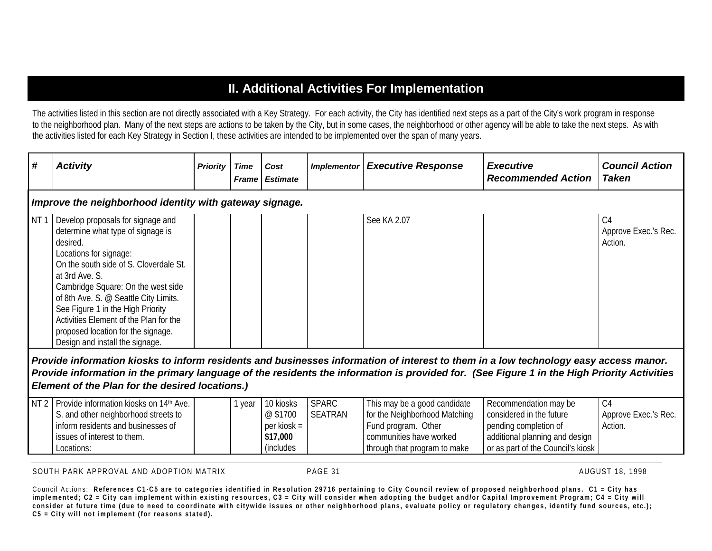### **II. Additional Activities For Implementation**

The activities listed in this section are not directly associated with a Key Strategy. For each activity, the City has identified next steps as a part of the City's work program in response to the neighborhood plan. Many of the next steps are actions to be taken by the City, but in some cases, the neighborhood or other agency will be able to take the next steps. As with the activities listed for each Key Strategy in Section I, these activities are intended to be implemented over the span of many years.

| #               | <b>Activity</b>                                                                                                                                                                                                                                                                                                                                                                                                                                                                                                                                         | <b>Priority</b> | <b>Time</b><br><b>Frame</b> | Cost<br><b>Estimate</b>                                                | <b>Implementor</b>             | <b>Executive Response</b>                                                                                                                       | <b>Executive</b><br><b>Recommended Action</b>                                                                                                     | <b>Council Action</b><br><b>Taken</b>             |  |  |  |  |  |
|-----------------|---------------------------------------------------------------------------------------------------------------------------------------------------------------------------------------------------------------------------------------------------------------------------------------------------------------------------------------------------------------------------------------------------------------------------------------------------------------------------------------------------------------------------------------------------------|-----------------|-----------------------------|------------------------------------------------------------------------|--------------------------------|-------------------------------------------------------------------------------------------------------------------------------------------------|---------------------------------------------------------------------------------------------------------------------------------------------------|---------------------------------------------------|--|--|--|--|--|
|                 | Improve the neighborhood identity with gateway signage.                                                                                                                                                                                                                                                                                                                                                                                                                                                                                                 |                 |                             |                                                                        |                                |                                                                                                                                                 |                                                                                                                                                   |                                                   |  |  |  |  |  |
| NT <sub>1</sub> | Develop proposals for signage and<br>determine what type of signage is<br>desired.<br>Locations for signage:<br>On the south side of S. Cloverdale St.<br>at 3rd Ave. S.<br>Cambridge Square: On the west side<br>of 8th Ave. S. @ Seattle City Limits.<br>See Figure 1 in the High Priority<br>Activities Element of the Plan for the<br>proposed location for the signage.<br>Design and install the signage.<br>Provide information kiosks to inform residents and businesses information of interest to them in a low technology easy access manor. |                 |                             |                                                                        |                                | See KA 2.07                                                                                                                                     |                                                                                                                                                   | C <sub>4</sub><br>Approve Exec.'s Rec.<br>Action. |  |  |  |  |  |
|                 | Provide information in the primary language of the residents the information is provided for. (See Figure 1 in the High Priority Activities<br>Element of the Plan for the desired locations.)                                                                                                                                                                                                                                                                                                                                                          |                 |                             |                                                                        |                                |                                                                                                                                                 |                                                                                                                                                   |                                                   |  |  |  |  |  |
| NT2             | Provide information kiosks on 14 <sup>th</sup> Ave.<br>S. and other neighborhood streets to<br>inform residents and businesses of<br>issues of interest to them.<br>Locations:                                                                                                                                                                                                                                                                                                                                                                          |                 | 1 year                      | 10 kiosks<br>@\$1700<br>$per$ kiosk =<br>\$17,000<br><i>(includes)</i> | <b>SPARC</b><br><b>SEATRAN</b> | This may be a good candidate<br>for the Neighborhood Matching<br>Fund program. Other<br>communities have worked<br>through that program to make | Recommendation may be<br>considered in the future<br>pending completion of<br>additional planning and design<br>or as part of the Council's kiosk | C <sub>4</sub><br>Approve Exec.'s Rec.<br>Action. |  |  |  |  |  |

SOUTH PARK APPROVAL AND ADOPTION MATRIX **PAGE 31** PAGE 31 AUGUST 18, 1998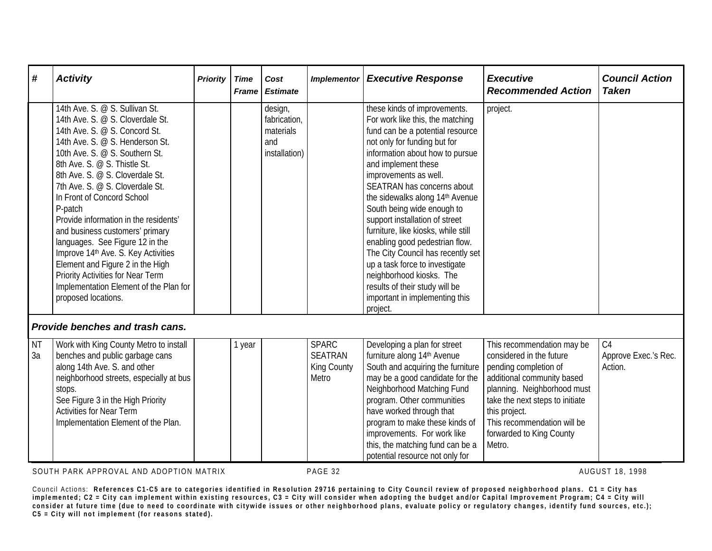| #               | <b>Activity</b>                                                                                                                                                                                                                                                                                                                                                                                                                                                                                                                                                                                                         | <b>Priority</b> | <b>Time</b> | Cost<br><b>Frame Estimate</b>                                | <b>Implementor</b>                                            | <b>Executive Response</b>                                                                                                                                                                                                                                                                                                                                                                                                                                                                                                                                                                                            | <b>Executive</b><br><b>Recommended Action</b>                                                                                                                                                                                                                         | <b>Council Action</b><br><b>Taken</b>             |
|-----------------|-------------------------------------------------------------------------------------------------------------------------------------------------------------------------------------------------------------------------------------------------------------------------------------------------------------------------------------------------------------------------------------------------------------------------------------------------------------------------------------------------------------------------------------------------------------------------------------------------------------------------|-----------------|-------------|--------------------------------------------------------------|---------------------------------------------------------------|----------------------------------------------------------------------------------------------------------------------------------------------------------------------------------------------------------------------------------------------------------------------------------------------------------------------------------------------------------------------------------------------------------------------------------------------------------------------------------------------------------------------------------------------------------------------------------------------------------------------|-----------------------------------------------------------------------------------------------------------------------------------------------------------------------------------------------------------------------------------------------------------------------|---------------------------------------------------|
|                 | 14th Ave. S. @ S. Sullivan St.<br>14th Ave. S. @ S. Cloverdale St.<br>14th Ave. S. @ S. Concord St.<br>14th Ave. S. @ S. Henderson St.<br>10th Ave. S. @ S. Southern St.<br>8th Ave. S. @ S. Thistle St.<br>8th Ave. S. @ S. Cloverdale St.<br>7th Ave. S. @ S. Cloverdale St.<br>In Front of Concord School<br>P-patch<br>Provide information in the residents'<br>and business customers' primary<br>languages. See Figure 12 in the<br>Improve 14th Ave. S. Key Activities<br>Element and Figure 2 in the High<br>Priority Activities for Near Term<br>Implementation Element of the Plan for<br>proposed locations. |                 |             | design,<br>fabrication,<br>materials<br>and<br>installation) |                                                               | these kinds of improvements.<br>For work like this, the matching<br>fund can be a potential resource<br>not only for funding but for<br>information about how to pursue<br>and implement these<br>improvements as well.<br>SEATRAN has concerns about<br>the sidewalks along 14th Avenue<br>South being wide enough to<br>support installation of street<br>furniture, like kiosks, while still<br>enabling good pedestrian flow.<br>The City Council has recently set<br>up a task force to investigate<br>neighborhood kiosks. The<br>results of their study will be<br>important in implementing this<br>project. | project.                                                                                                                                                                                                                                                              |                                                   |
|                 | Provide benches and trash cans.                                                                                                                                                                                                                                                                                                                                                                                                                                                                                                                                                                                         |                 |             |                                                              |                                                               |                                                                                                                                                                                                                                                                                                                                                                                                                                                                                                                                                                                                                      |                                                                                                                                                                                                                                                                       |                                                   |
| <b>NT</b><br>3a | Work with King County Metro to install<br>benches and public garbage cans<br>along 14th Ave. S. and other<br>neighborhood streets, especially at bus<br>stops.<br>See Figure 3 in the High Priority<br><b>Activities for Near Term</b><br>Implementation Element of the Plan.                                                                                                                                                                                                                                                                                                                                           |                 | 1 year      |                                                              | <b>SPARC</b><br><b>SEATRAN</b><br><b>King County</b><br>Metro | Developing a plan for street<br>furniture along 14th Avenue<br>South and acquiring the furniture<br>may be a good candidate for the<br>Neighborhood Matching Fund<br>program. Other communities<br>have worked through that<br>program to make these kinds of<br>improvements. For work like<br>this, the matching fund can be a                                                                                                                                                                                                                                                                                     | This recommendation may be<br>considered in the future<br>pending completion of<br>additional community based<br>planning. Neighborhood must<br>take the next steps to initiate<br>this project.<br>This recommendation will be<br>forwarded to King County<br>Metro. | C <sub>4</sub><br>Approve Exec.'s Rec.<br>Action. |

SOUTH PARK APPROVAL AND ADOPTION MATRIX **PAGE 32** PAGE 32 AUGUST 18, 1998

Council Actions: **References C1-C5 are to categories identified in Resolution 29716 pertaining to City Council review of proposed neighborhood plans. C1 = City has implemented; C2 = City can implement within existing resources, C3 = City will consider when a dopting the budget and/or Capital Improvement Program; C4 = City will consider at future time (due to need to coordinate with citywide issues or other neighborhood plans, evaluate policy or regulatory changes, identify fund sources, etc.); C5 = City will not implement (for r easons stated).**

potential resource not only for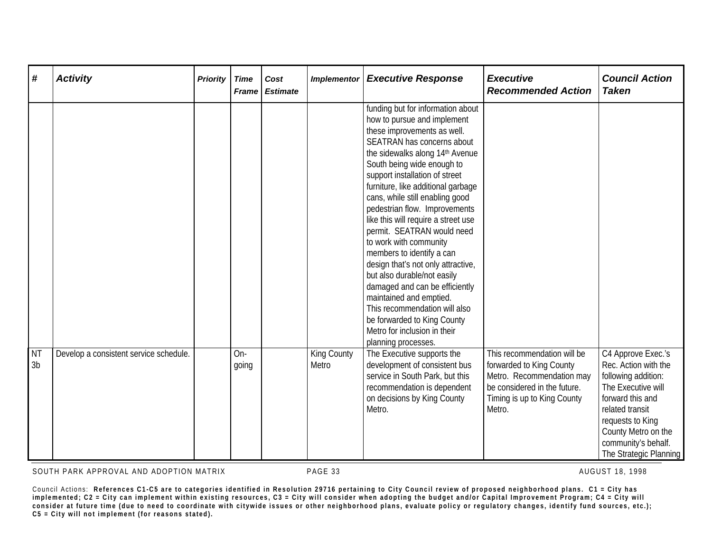| #                           | <b>Activity</b>                        | <b>Priority</b> | <b>Time</b><br><b>Frame</b> | Cost<br><b>Estimate</b> | <b>Implementor</b>          | <b>Executive Response</b>                                                                                                                                                                                                                                                                                                                                                                                                                                                                                                                                                                                                                                                                                                       | <b>Executive</b><br><b>Recommended Action</b>                                                                                                                 | <b>Council Action</b><br><b>Taken</b>                                                                                                                                                                                      |
|-----------------------------|----------------------------------------|-----------------|-----------------------------|-------------------------|-----------------------------|---------------------------------------------------------------------------------------------------------------------------------------------------------------------------------------------------------------------------------------------------------------------------------------------------------------------------------------------------------------------------------------------------------------------------------------------------------------------------------------------------------------------------------------------------------------------------------------------------------------------------------------------------------------------------------------------------------------------------------|---------------------------------------------------------------------------------------------------------------------------------------------------------------|----------------------------------------------------------------------------------------------------------------------------------------------------------------------------------------------------------------------------|
|                             |                                        |                 |                             |                         |                             | funding but for information about<br>how to pursue and implement<br>these improvements as well.<br>SEATRAN has concerns about<br>the sidewalks along 14th Avenue<br>South being wide enough to<br>support installation of street<br>furniture, like additional garbage<br>cans, while still enabling good<br>pedestrian flow. Improvements<br>like this will require a street use<br>permit. SEATRAN would need<br>to work with community<br>members to identify a can<br>design that's not only attractive,<br>but also durable/not easily<br>damaged and can be efficiently<br>maintained and emptied.<br>This recommendation will also<br>be forwarded to King County<br>Metro for inclusion in their<br>planning processes. |                                                                                                                                                               |                                                                                                                                                                                                                            |
| <b>NT</b><br>3 <sub>b</sub> | Develop a consistent service schedule. |                 | On-<br>going                |                         | <b>King County</b><br>Metro | The Executive supports the<br>development of consistent bus<br>service in South Park, but this<br>recommendation is dependent<br>on decisions by King County<br>Metro.                                                                                                                                                                                                                                                                                                                                                                                                                                                                                                                                                          | This recommendation will be<br>forwarded to King County<br>Metro. Recommendation may<br>be considered in the future.<br>Timing is up to King County<br>Metro. | C4 Approve Exec.'s<br>Rec. Action with the<br>following addition:<br>The Executive will<br>forward this and<br>related transit<br>requests to King<br>County Metro on the<br>community's behalf.<br>The Strategic Planning |

SOUTH PARK APPROVAL AND ADOPTION MATRIX **PAGE 33** PAGE 32 AUGUST 18, 1998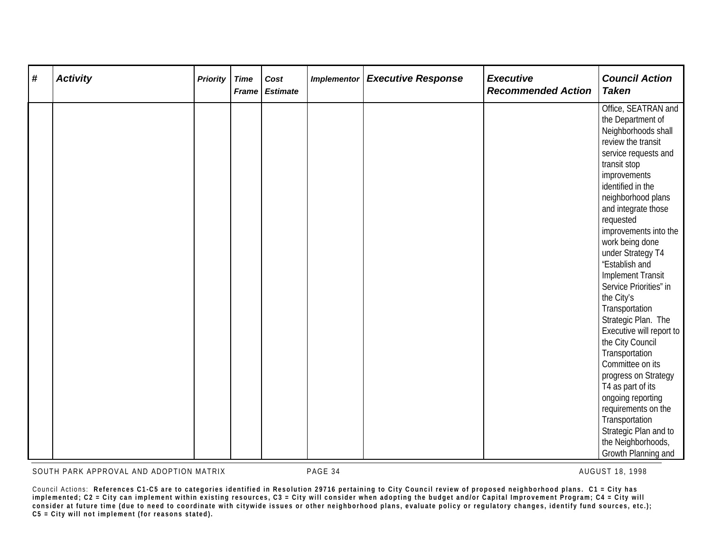| # | <b>Activity</b> | <b>Priority</b> | <b>Time</b> | Cost<br>Frame Estimate | <b>Implementor</b> | <b>Executive Response</b> | <b>Executive</b><br><b>Recommended Action</b> | <b>Council Action</b><br><b>Taken</b>       |
|---|-----------------|-----------------|-------------|------------------------|--------------------|---------------------------|-----------------------------------------------|---------------------------------------------|
|   |                 |                 |             |                        |                    |                           |                                               | Office, SEATRAN and<br>the Department of    |
|   |                 |                 |             |                        |                    |                           |                                               | Neighborhoods shall                         |
|   |                 |                 |             |                        |                    |                           |                                               | review the transit                          |
|   |                 |                 |             |                        |                    |                           |                                               | service requests and                        |
|   |                 |                 |             |                        |                    |                           |                                               | transit stop                                |
|   |                 |                 |             |                        |                    |                           |                                               | improvements                                |
|   |                 |                 |             |                        |                    |                           |                                               | identified in the                           |
|   |                 |                 |             |                        |                    |                           |                                               | neighborhood plans                          |
|   |                 |                 |             |                        |                    |                           |                                               | and integrate those                         |
|   |                 |                 |             |                        |                    |                           |                                               | requested                                   |
|   |                 |                 |             |                        |                    |                           |                                               | improvements into the                       |
|   |                 |                 |             |                        |                    |                           |                                               | work being done<br>under Strategy T4        |
|   |                 |                 |             |                        |                    |                           |                                               | "Establish and                              |
|   |                 |                 |             |                        |                    |                           |                                               | <b>Implement Transit</b>                    |
|   |                 |                 |             |                        |                    |                           |                                               | Service Priorities" in                      |
|   |                 |                 |             |                        |                    |                           |                                               | the City's                                  |
|   |                 |                 |             |                        |                    |                           |                                               | Transportation                              |
|   |                 |                 |             |                        |                    |                           |                                               | Strategic Plan. The                         |
|   |                 |                 |             |                        |                    |                           |                                               | Executive will report to                    |
|   |                 |                 |             |                        |                    |                           |                                               | the City Council                            |
|   |                 |                 |             |                        |                    |                           |                                               | Transportation                              |
|   |                 |                 |             |                        |                    |                           |                                               | Committee on its                            |
|   |                 |                 |             |                        |                    |                           |                                               | progress on Strategy                        |
|   |                 |                 |             |                        |                    |                           |                                               | T4 as part of its                           |
|   |                 |                 |             |                        |                    |                           |                                               | ongoing reporting                           |
|   |                 |                 |             |                        |                    |                           |                                               | requirements on the                         |
|   |                 |                 |             |                        |                    |                           |                                               | Transportation                              |
|   |                 |                 |             |                        |                    |                           |                                               | Strategic Plan and to<br>the Neighborhoods, |
|   |                 |                 |             |                        |                    |                           |                                               | Growth Planning and                         |

SOUTH PARK APPROVAL AND ADOPTION MATRIX **PAGE 34** PAGE 34 AUGUST 18, 1998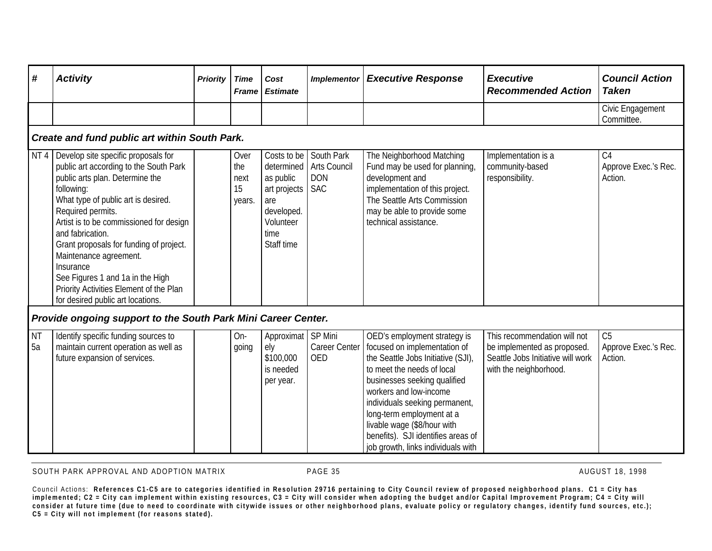| #               |                                                                                                                                                                                                                                                                                                                                                                                                                                                                 |                 |                                     |                                                                                                                |                                                               |                                                                                                                                                                                                                                                                                                                                                                      |                                                                                                                            | <b>Council Action</b>                             |  |  |  |  |
|-----------------|-----------------------------------------------------------------------------------------------------------------------------------------------------------------------------------------------------------------------------------------------------------------------------------------------------------------------------------------------------------------------------------------------------------------------------------------------------------------|-----------------|-------------------------------------|----------------------------------------------------------------------------------------------------------------|---------------------------------------------------------------|----------------------------------------------------------------------------------------------------------------------------------------------------------------------------------------------------------------------------------------------------------------------------------------------------------------------------------------------------------------------|----------------------------------------------------------------------------------------------------------------------------|---------------------------------------------------|--|--|--|--|
|                 | <b>Activity</b>                                                                                                                                                                                                                                                                                                                                                                                                                                                 | <b>Priority</b> | <b>Time</b><br><b>Frame</b>         | Cost<br><b>Estimate</b>                                                                                        | <b>Implementor</b>                                            | <b>Executive Response</b>                                                                                                                                                                                                                                                                                                                                            | <b>Executive</b><br><b>Recommended Action</b>                                                                              | <b>Taken</b>                                      |  |  |  |  |
|                 |                                                                                                                                                                                                                                                                                                                                                                                                                                                                 |                 |                                     |                                                                                                                |                                                               |                                                                                                                                                                                                                                                                                                                                                                      |                                                                                                                            | Civic Engagement<br>Committee.                    |  |  |  |  |
|                 | Create and fund public art within South Park.                                                                                                                                                                                                                                                                                                                                                                                                                   |                 |                                     |                                                                                                                |                                                               |                                                                                                                                                                                                                                                                                                                                                                      |                                                                                                                            |                                                   |  |  |  |  |
| NT4             | Develop site specific proposals for<br>public art according to the South Park<br>public arts plan. Determine the<br>following:<br>What type of public art is desired.<br>Required permits.<br>Artist is to be commissioned for design<br>and fabrication.<br>Grant proposals for funding of project.<br>Maintenance agreement.<br>Insurance<br>See Figures 1 and 1a in the High<br>Priority Activities Element of the Plan<br>for desired public art locations. |                 | Over<br>the<br>next<br>15<br>years. | Costs to be<br>determined<br>as public<br>art projects<br>are<br>developed.<br>Volunteer<br>time<br>Staff time | South Park<br><b>Arts Council</b><br><b>DON</b><br><b>SAC</b> | The Neighborhood Matching<br>Fund may be used for planning,<br>development and<br>implementation of this project.<br>The Seattle Arts Commission<br>may be able to provide some<br>technical assistance.                                                                                                                                                             | Implementation is a<br>community-based<br>responsibility.                                                                  | C <sub>4</sub><br>Approve Exec.'s Rec.<br>Action. |  |  |  |  |
|                 | <b>Provide ongoing support to the South Park Mini Career Center.</b>                                                                                                                                                                                                                                                                                                                                                                                            |                 |                                     |                                                                                                                |                                                               |                                                                                                                                                                                                                                                                                                                                                                      |                                                                                                                            |                                                   |  |  |  |  |
| <b>NT</b><br>5a | Identify specific funding sources to<br>maintain current operation as well as<br>future expansion of services.                                                                                                                                                                                                                                                                                                                                                  |                 | On-<br>going                        | Approximat SP Mini<br>ely<br>\$100,000<br>is needed<br>per year.                                               | <b>Career Center</b><br><b>OED</b>                            | OED's employment strategy is<br>focused on implementation of<br>the Seattle Jobs Initiative (SJI),<br>to meet the needs of local<br>businesses seeking qualified<br>workers and low-income<br>individuals seeking permanent,<br>long-term employment at a<br>livable wage (\$8/hour with<br>benefits). SJI identifies areas of<br>job growth, links individuals with | This recommendation will not<br>be implemented as proposed.<br>Seattle Jobs Initiative will work<br>with the neighborhood. | C <sub>5</sub><br>Approve Exec.'s Rec.<br>Action. |  |  |  |  |

SOUTH PARK APPROVAL AND ADOPTION MATRIX **PAGE 35** AUGUST 18, 1998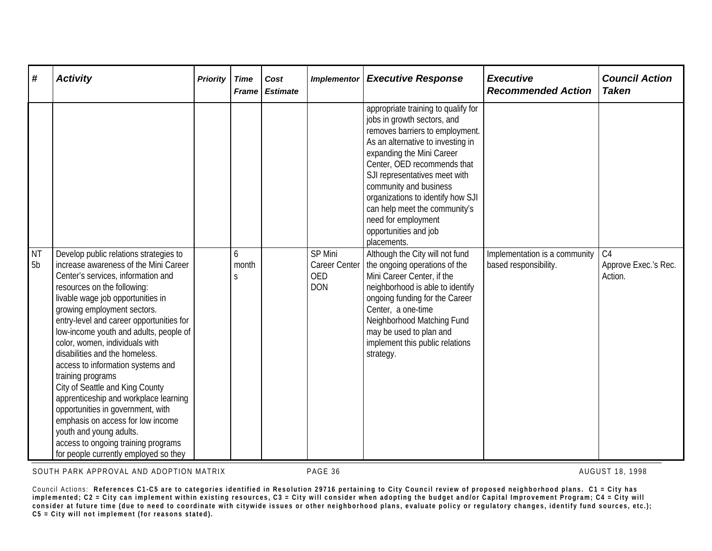| #         | <b>Activity</b>                                                                                                                                                                                                                                                                                                                                                                                                                                                                                                                                                                                                                                                     | <b>Priority</b> | <b>Time</b><br><b>Frame</b> | Cost<br><b>Estimate</b> | <b>Implementor</b>                               | <b>Executive Response</b>                                                                                                                                                                                                                                                                                                                                                                                                                 | <b>Executive</b><br><b>Recommended Action</b> | <b>Council Action</b><br><b>Taken</b> |
|-----------|---------------------------------------------------------------------------------------------------------------------------------------------------------------------------------------------------------------------------------------------------------------------------------------------------------------------------------------------------------------------------------------------------------------------------------------------------------------------------------------------------------------------------------------------------------------------------------------------------------------------------------------------------------------------|-----------------|-----------------------------|-------------------------|--------------------------------------------------|-------------------------------------------------------------------------------------------------------------------------------------------------------------------------------------------------------------------------------------------------------------------------------------------------------------------------------------------------------------------------------------------------------------------------------------------|-----------------------------------------------|---------------------------------------|
| <b>NT</b> | Develop public relations strategies to                                                                                                                                                                                                                                                                                                                                                                                                                                                                                                                                                                                                                              |                 | 6                           |                         | <b>SP Mini</b>                                   | appropriate training to qualify for<br>jobs in growth sectors, and<br>removes barriers to employment.<br>As an alternative to investing in<br>expanding the Mini Career<br>Center, OED recommends that<br>SJI representatives meet with<br>community and business<br>organizations to identify how SJI<br>can help meet the community's<br>need for employment<br>opportunities and job<br>placements.<br>Although the City will not fund | Implementation is a community                 | C <sub>4</sub>                        |
| 5b        | increase awareness of the Mini Career<br>Center's services, information and<br>resources on the following:<br>livable wage job opportunities in<br>growing employment sectors.<br>entry-level and career opportunities for<br>low-income youth and adults, people of<br>color, women, individuals with<br>disabilities and the homeless.<br>access to information systems and<br>training programs<br>City of Seattle and King County<br>apprenticeship and workplace learning<br>opportunities in government, with<br>emphasis on access for low income<br>youth and young adults.<br>access to ongoing training programs<br>for people currently employed so they |                 | month<br>S                  |                         | <b>Career Center</b><br><b>OED</b><br><b>DON</b> | the ongoing operations of the<br>Mini Career Center, if the<br>neighborhood is able to identify<br>ongoing funding for the Career<br>Center, a one-time<br>Neighborhood Matching Fund<br>may be used to plan and<br>implement this public relations<br>strategy.                                                                                                                                                                          | based responsibility.                         | Approve Exec.'s Rec.<br>Action.       |

SOUTH PARK APPROVAL AND ADOPTION MATRIX **PAGE 36** PAGE 36 AUGUST 18, 1998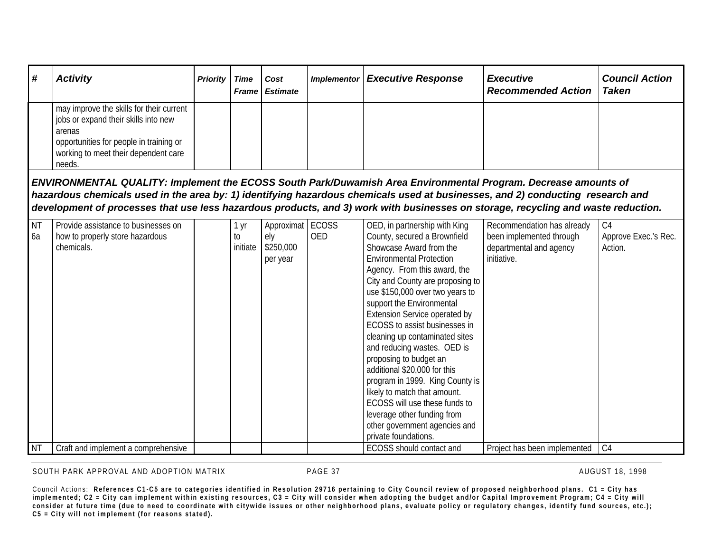| # ا | <b>Activity</b>                                                                                                                                                                         | <b>Priority</b> | Time | Cost<br><b>Frame   Estimate</b> | Implementor | <b>Executive Response</b> | <b>Executive</b><br><b>Recommended Action</b> | <b>Council Action</b><br><b>Taken</b> |
|-----|-----------------------------------------------------------------------------------------------------------------------------------------------------------------------------------------|-----------------|------|---------------------------------|-------------|---------------------------|-----------------------------------------------|---------------------------------------|
|     | may improve the skills for their current<br>jobs or expand their skills into new<br>arenas<br>opportunities for people in training or<br>working to meet their dependent care<br>needs. |                 |      |                                 |             |                           |                                               |                                       |

*ENVIRONMENTAL QUALITY: Implement the ECOSS South Park/Duwamish Area Environmental Program. Decrease amounts of hazardous chemicals used in the area by: 1) identifying hazardous chemicals used at businesses, and 2) conducting research and development of processes that use less hazardous products, and 3) work with businesses on storage, recycling and waste reduction.*

| <b>NT</b> | Provide assistance to businesses on | <b>yr</b> | Approximat | ECOSS      | OED, in partnership with King        | Recommendation has already   | C <sub>4</sub>       |
|-----------|-------------------------------------|-----------|------------|------------|--------------------------------------|------------------------------|----------------------|
| 6a        | how to properly store hazardous     | t0        | ely        | <b>OED</b> | County, secured a Brownfield         | been implemented through     | Approve Exec.'s Rec. |
|           | chemicals.                          | initiate  | \$250,000  |            | Showcase Award from the              | departmental and agency      | Action.              |
|           |                                     |           | per year   |            | <b>Environmental Protection</b>      | initiative.                  |                      |
|           |                                     |           |            |            | Agency. From this award, the         |                              |                      |
|           |                                     |           |            |            | City and County are proposing to     |                              |                      |
|           |                                     |           |            |            | use \$150,000 over two years to      |                              |                      |
|           |                                     |           |            |            | support the Environmental            |                              |                      |
|           |                                     |           |            |            | <b>Extension Service operated by</b> |                              |                      |
|           |                                     |           |            |            | ECOSS to assist businesses in        |                              |                      |
|           |                                     |           |            |            | cleaning up contaminated sites       |                              |                      |
|           |                                     |           |            |            | and reducing wastes. OED is          |                              |                      |
|           |                                     |           |            |            | proposing to budget an               |                              |                      |
|           |                                     |           |            |            | additional \$20,000 for this         |                              |                      |
|           |                                     |           |            |            | program in 1999. King County is      |                              |                      |
|           |                                     |           |            |            | likely to match that amount.         |                              |                      |
|           |                                     |           |            |            | ECOSS will use these funds to        |                              |                      |
|           |                                     |           |            |            | leverage other funding from          |                              |                      |
|           |                                     |           |            |            | other government agencies and        |                              |                      |
|           |                                     |           |            |            | private foundations.                 |                              |                      |
| <b>NT</b> | Craft and implement a comprehensive |           |            |            | <b>ECOSS</b> should contact and      | Project has been implemented | C <sub>4</sub>       |

SOUTH PARK APPROVAL AND ADOPTION MATRIX **Example 2018 1998** PAGE 37 AUGUST 18, 1998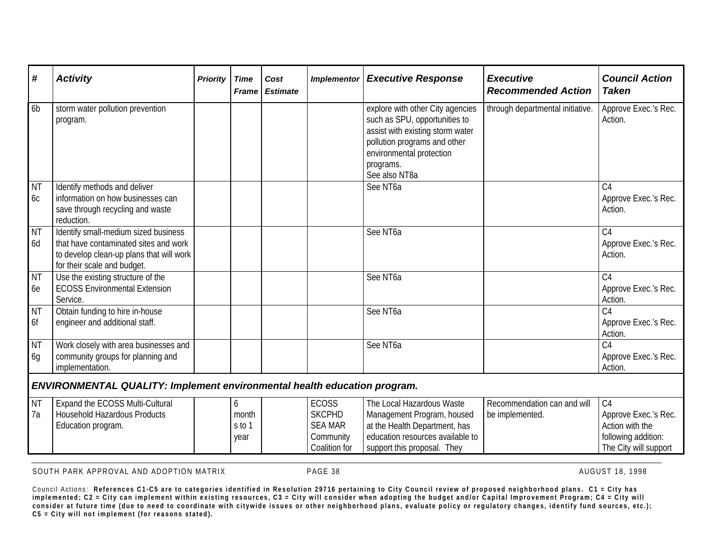| #                           | <b>Activity</b>                                                                                                                                          | <b>Priority</b> | <b>Time</b><br><b>Frame</b>  | Cost<br><b>Estimate</b> | <b>Implementor</b>                                                            | <b>Executive Response</b>                                                                                                                                                                       | <b>Executive</b><br><b>Recommended Action</b>  | <b>Council Action</b><br><b>Taken</b>                                                                     |
|-----------------------------|----------------------------------------------------------------------------------------------------------------------------------------------------------|-----------------|------------------------------|-------------------------|-------------------------------------------------------------------------------|-------------------------------------------------------------------------------------------------------------------------------------------------------------------------------------------------|------------------------------------------------|-----------------------------------------------------------------------------------------------------------|
| 6 <sub>b</sub>              | storm water pollution prevention<br>program.                                                                                                             |                 |                              |                         |                                                                               | explore with other City agencies<br>such as SPU, opportunities to<br>assist with existing storm water<br>pollution programs and other<br>environmental protection<br>programs.<br>See also NT8a | through departmental initiative.               | Approve Exec.'s Rec.<br>Action.                                                                           |
| <b>NT</b><br>6 <sub>C</sub> | Identify methods and deliver<br>information on how businesses can<br>save through recycling and waste<br>reduction.                                      |                 |                              |                         |                                                                               | See NT6a                                                                                                                                                                                        |                                                | C <sub>4</sub><br>Approve Exec.'s Rec.<br>Action.                                                         |
| <b>NT</b><br>6d             | Identify small-medium sized business<br>that have contaminated sites and work<br>to develop clean-up plans that will work<br>for their scale and budget. |                 |                              |                         |                                                                               | See NT6a                                                                                                                                                                                        |                                                | C <sub>4</sub><br>Approve Exec.'s Rec.<br>Action.                                                         |
| <b>NT</b><br>6e             | Use the existing structure of the<br><b>ECOSS Environmental Extension</b><br>Service.                                                                    |                 |                              |                         |                                                                               | See NT6a                                                                                                                                                                                        |                                                | C <sub>4</sub><br>Approve Exec.'s Rec.<br>Action.                                                         |
| <b>NT</b><br>6f             | Obtain funding to hire in-house<br>engineer and additional staff.                                                                                        |                 |                              |                         |                                                                               | See NT6a                                                                                                                                                                                        |                                                | C <sub>4</sub><br>Approve Exec.'s Rec.<br>Action.                                                         |
| <b>NT</b><br>6g             | Work closely with area businesses and<br>community groups for planning and<br>implementation.                                                            |                 |                              |                         |                                                                               | See NT6a                                                                                                                                                                                        |                                                | $\overline{C4}$<br>Approve Exec.'s Rec.<br>Action.                                                        |
|                             | <b>ENVIRONMENTAL QUALITY: Implement environmental health education program.</b>                                                                          |                 |                              |                         |                                                                               |                                                                                                                                                                                                 |                                                |                                                                                                           |
| <b>NT</b><br>7a             | Expand the ECOSS Multi-Cultural<br><b>Household Hazardous Products</b><br>Education program.                                                             |                 | 6<br>month<br>s to 1<br>year |                         | <b>ECOSS</b><br><b>SKCPHD</b><br><b>SEA MAR</b><br>Community<br>Coalition for | The Local Hazardous Waste<br>Management Program, housed<br>at the Health Department, has<br>education resources available to<br>support this proposal. They                                     | Recommendation can and will<br>be implemented. | C <sub>4</sub><br>Approve Exec.'s Rec.<br>Action with the<br>following addition:<br>The City will support |

SOUTH PARK APPROVAL AND ADOPTION MATRIX **PAGE 38** AUGUST 18, 1998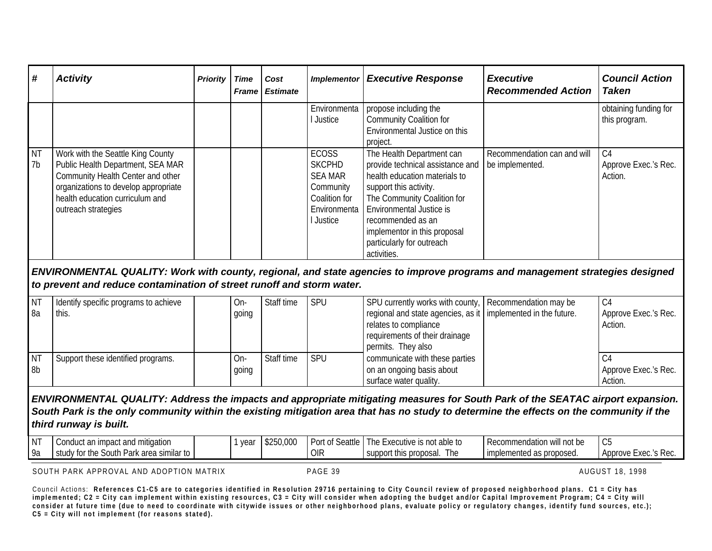| l#                          | <b>Activity</b>                                                                                                                                                                                               | <b>Priority</b> | Time | Cost<br><b>Frame Estimate</b> | <b>Implementor</b>                                                                                         | <b>Executive Response</b>                                                                                                                                                                                                                                                                   | <b>Executive</b><br><b>Recommended Action</b>  | <b>Council Action</b><br><b>Taken</b>             |
|-----------------------------|---------------------------------------------------------------------------------------------------------------------------------------------------------------------------------------------------------------|-----------------|------|-------------------------------|------------------------------------------------------------------------------------------------------------|---------------------------------------------------------------------------------------------------------------------------------------------------------------------------------------------------------------------------------------------------------------------------------------------|------------------------------------------------|---------------------------------------------------|
|                             |                                                                                                                                                                                                               |                 |      |                               | Environmenta<br>Justice                                                                                    | propose including the<br><b>Community Coalition for</b><br>Environmental Justice on this<br>project.                                                                                                                                                                                        |                                                | obtaining funding for<br>this program.            |
| <b>NT</b><br>7 <sub>b</sub> | Work with the Seattle King County<br>Public Health Department, SEA MAR<br>Community Health Center and other<br>organizations to develop appropriate<br>health education curriculum and<br>outreach strategies |                 |      |                               | <b>ECOSS</b><br><b>SKCPHD</b><br><b>SEA MAR</b><br>Community<br>Coalition for<br>Environmenta<br>l Justice | The Health Department can<br>provide technical assistance and<br>health education materials to<br>support this activity.<br>The Community Coalition for<br><b>Environmental Justice is</b><br>recommended as an<br>implementor in this proposal<br>particularly for outreach<br>activities. | Recommendation can and will<br>be implemented. | C <sub>4</sub><br>Approve Exec.'s Rec.<br>Action. |

*ENVIRONMENTAL QUALITY: Work with county, regional, and state agencies to improve programs and management strategies designed to prevent and reduce contamination of street runoff and storm water.*

| NT<br>8a        | Identify specific programs to achieve<br>this. | On-<br>going | Staff time | <b>SPU</b> | SPU currently works with county,   Recommendation may be<br>regional and state agencies, as it   implemented in the future.<br>relates to compliance<br>requirements of their drainage<br>permits. They also | C4<br>Approve Exec.'s Rec.<br>Action. |
|-----------------|------------------------------------------------|--------------|------------|------------|--------------------------------------------------------------------------------------------------------------------------------------------------------------------------------------------------------------|---------------------------------------|
| <b>NT</b><br>8b | Support these identified programs.             | On-<br>going | Staff time | <b>SPU</b> | communicate with these parties<br>on an ongoing basis about<br>surface water quality.                                                                                                                        | ∪4<br>Approve Exec.'s Rec.<br>Action. |

*ENVIRONMENTAL QUALITY: Address the impacts and appropriate mitigating measures for South Park of the SEATAC airport expansion. South Park is the only community within the existing mitigation area that has no study to determine the effects on the community if the third runway is built.*

| $\mathbf{A}$<br>в.<br>' IV . | t and mitigation<br>an impact<br>$\sim$ $\sim$ $\sim$<br>10UC   | vear | \$250,000 | Port of S<br>Seattle | t able to<br>'hel<br>xecutive<br>s not<br>$-40o$ | <b>Exation will not be</b><br>i Recommi | $\sim$ $-$<br>$\mathsf{v}\mathsf{v}$ |
|------------------------------|-----------------------------------------------------------------|------|-----------|----------------------|--------------------------------------------------|-----------------------------------------|--------------------------------------|
| Qа<br>7 G                    | √ for the<br>South<br>similar to<br>Park<br>area<br>ັບເປ∪v '' ∶ |      |           | <b>OIR</b>           | this proposal.<br>The<br>support                 | nted as proposed.<br>implements         | EXEC.'S Rer<br>Approve<br>. S KUL.   |

SOUTH PARK APPROVAL AND ADOPTION MATRIX **PAGE 39** PAGE 39 AUGUST 18, 1998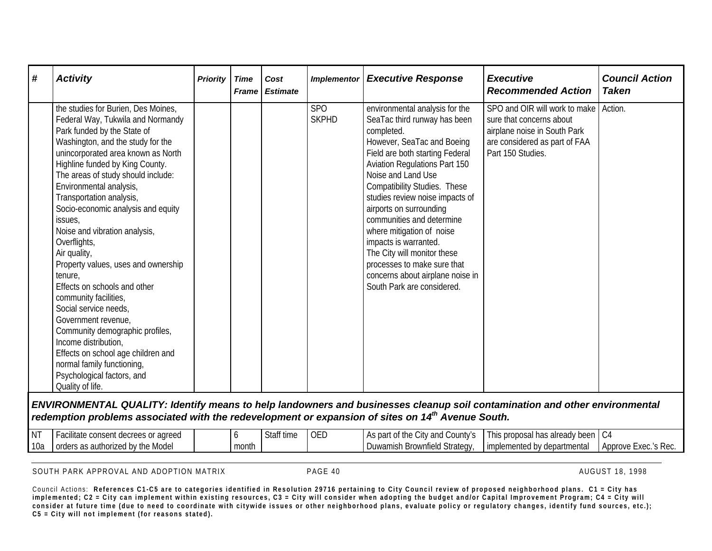| # | <b>Activity</b>                                                                                                                                                                                                                                                                                                                                                                                                                                                                                                                                                                                                                                                                                                                                                                  | <b>Priority</b> | <b>Time</b><br><b>Frame</b> | Cost<br><b>Estimate</b> | <b>Implementor</b>         | <b>Executive Response</b>                                                                                                                                                                                                                                                                                                                                                                                                                                                                                                           | <b>Executive</b><br><b>Recommended Action</b>                                                                                                   | <b>Council Action</b><br><b>Taken</b> |
|---|----------------------------------------------------------------------------------------------------------------------------------------------------------------------------------------------------------------------------------------------------------------------------------------------------------------------------------------------------------------------------------------------------------------------------------------------------------------------------------------------------------------------------------------------------------------------------------------------------------------------------------------------------------------------------------------------------------------------------------------------------------------------------------|-----------------|-----------------------------|-------------------------|----------------------------|-------------------------------------------------------------------------------------------------------------------------------------------------------------------------------------------------------------------------------------------------------------------------------------------------------------------------------------------------------------------------------------------------------------------------------------------------------------------------------------------------------------------------------------|-------------------------------------------------------------------------------------------------------------------------------------------------|---------------------------------------|
|   | the studies for Burien, Des Moines,<br>Federal Way, Tukwila and Normandy<br>Park funded by the State of<br>Washington, and the study for the<br>unincorporated area known as North<br>Highline funded by King County.<br>The areas of study should include:<br>Environmental analysis,<br>Transportation analysis,<br>Socio-economic analysis and equity<br>issues,<br>Noise and vibration analysis,<br>Overflights,<br>Air quality,<br>Property values, uses and ownership<br>tenure,<br>Effects on schools and other<br>community facilities,<br>Social service needs,<br>Government revenue,<br>Community demographic profiles,<br>Income distribution,<br>Effects on school age children and<br>normal family functioning,<br>Psychological factors, and<br>Quality of life. |                 |                             |                         | <b>SPO</b><br><b>SKPHD</b> | environmental analysis for the<br>SeaTac third runway has been<br>completed.<br>However, SeaTac and Boeing<br>Field are both starting Federal<br><b>Aviation Regulations Part 150</b><br>Noise and Land Use<br><b>Compatibility Studies. These</b><br>studies review noise impacts of<br>airports on surrounding<br>communities and determine<br>where mitigation of noise<br>impacts is warranted.<br>The City will monitor these<br>processes to make sure that<br>concerns about airplane noise in<br>South Park are considered. | SPO and OIR will work to make<br>sure that concerns about<br>airplane noise in South Park<br>are considered as part of FAA<br>Part 150 Studies. | Action.                               |

*ENVIRONMENTAL QUALITY: Identify means to help landowners and businesses cleanup soil contamination and other environmental redemption problems associated with the redevelopment or expansion of sites on 14th Avenue South.*

| I NT | agreed<br>uonsent r<br>чањ.             |       | $\mathsf{f}$ time<br><b>Juli</b> | <b>OED</b> | $\sim$<br>County'<br>^ ال∪<br>. де<br>- Udi | $\sim$<br>$h^{\alpha}$<br>ueady beer.<br>s proposal ha<br>all ! | .                                            |
|------|-----------------------------------------|-------|----------------------------------|------------|---------------------------------------------|-----------------------------------------------------------------|----------------------------------------------|
| 10a  | the Model "<br>orders<br>authorize<br>- | month |                                  |            | Strategy<br>ownfield<br><b>Juwamir</b>      | departmental<br>implemer                                        | -Rec<br>100 <sup>o</sup><br>Approve<br>XEL.S |

SOUTH PARK APPROVAL AND ADOPTION MATRIX **PAGE 40** PAGE 40 AUGUST 18, 1998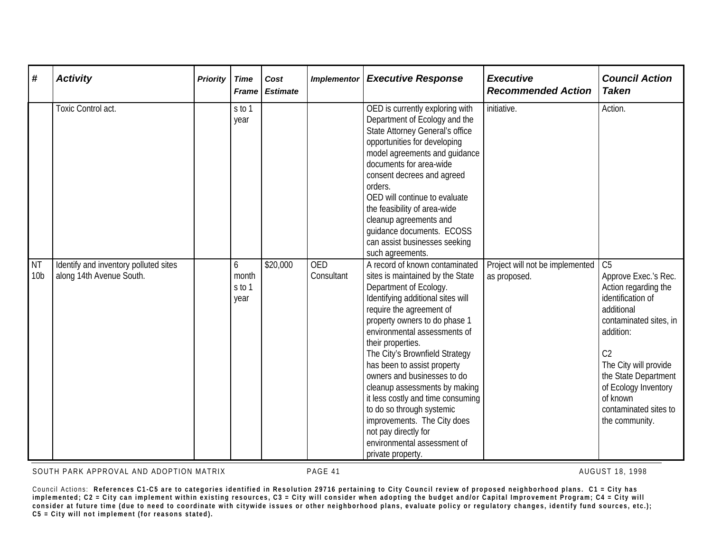| #                            | <b>Activity</b>                                                   | <b>Priority</b> | <b>Time</b><br><b>Frame</b>  | Cost<br><b>Estimate</b> | <b>Implementor</b>       | <b>Executive Response</b>                                                                                                                                                                                                                                                                                                                                                                                                                                                                                                                                         | <b>Executive</b><br><b>Recommended Action</b>   | <b>Council Action</b><br><b>Taken</b>                                                                                                                                                                                                                                                      |
|------------------------------|-------------------------------------------------------------------|-----------------|------------------------------|-------------------------|--------------------------|-------------------------------------------------------------------------------------------------------------------------------------------------------------------------------------------------------------------------------------------------------------------------------------------------------------------------------------------------------------------------------------------------------------------------------------------------------------------------------------------------------------------------------------------------------------------|-------------------------------------------------|--------------------------------------------------------------------------------------------------------------------------------------------------------------------------------------------------------------------------------------------------------------------------------------------|
|                              | Toxic Control act.                                                |                 | s to 1<br>year               |                         |                          | OED is currently exploring with<br>Department of Ecology and the<br><b>State Attorney General's office</b><br>opportunities for developing<br>model agreements and guidance<br>documents for area-wide<br>consent decrees and agreed<br>orders.<br>OED will continue to evaluate<br>the feasibility of area-wide<br>cleanup agreements and<br>quidance documents. ECOSS<br>can assist businesses seeking<br>such agreements.                                                                                                                                      | initiative.                                     | Action.                                                                                                                                                                                                                                                                                    |
| <b>NT</b><br>10 <sub>b</sub> | Identify and inventory polluted sites<br>along 14th Avenue South. |                 | 6<br>month<br>s to 1<br>year | \$20,000                | <b>OED</b><br>Consultant | A record of known contaminated<br>sites is maintained by the State<br>Department of Ecology.<br>Identifying additional sites will<br>require the agreement of<br>property owners to do phase 1<br>environmental assessments of<br>their properties.<br>The City's Brownfield Strategy<br>has been to assist property<br>owners and businesses to do<br>cleanup assessments by making<br>it less costly and time consuming<br>to do so through systemic<br>improvements. The City does<br>not pay directly for<br>environmental assessment of<br>private property. | Project will not be implemented<br>as proposed. | C <sub>5</sub><br>Approve Exec.'s Rec.<br>Action regarding the<br>identification of<br>additional<br>contaminated sites, in<br>addition:<br>C <sub>2</sub><br>The City will provide<br>the State Department<br>of Ecology Inventory<br>of known<br>contaminated sites to<br>the community. |

SOUTH PARK APPROVAL AND ADOPTION MATRIX **PAGE 41** PAGE 41 AUGUST 18, 1998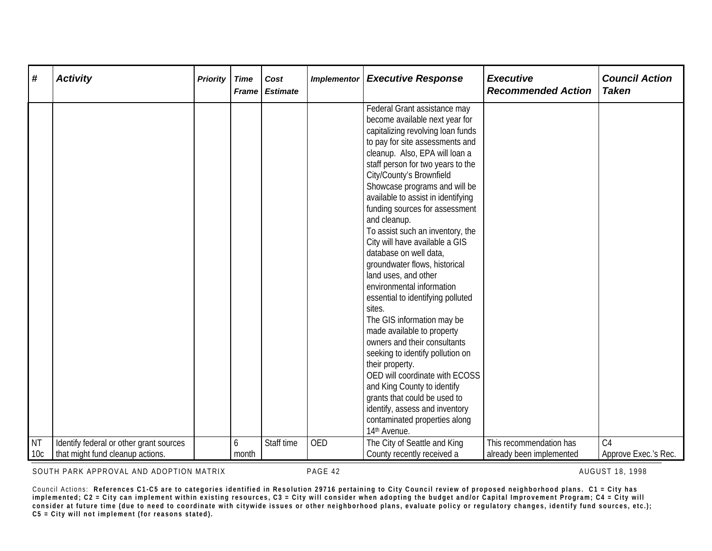| #                            | <b>Activity</b>                                                             | <b>Priority</b> | <b>Time</b><br><b>Frame</b> | Cost<br><b>Estimate</b> | <b>Implementor</b> | <b>Executive Response</b>                                                                                                                                                                                                                                                                                                                                                                                                                                                                                                                                                                                                                                                                                                                                                                                                                                                                                                                      | <b>Executive</b><br><b>Recommended Action</b>       | <b>Council Action</b><br><b>Taken</b>  |
|------------------------------|-----------------------------------------------------------------------------|-----------------|-----------------------------|-------------------------|--------------------|------------------------------------------------------------------------------------------------------------------------------------------------------------------------------------------------------------------------------------------------------------------------------------------------------------------------------------------------------------------------------------------------------------------------------------------------------------------------------------------------------------------------------------------------------------------------------------------------------------------------------------------------------------------------------------------------------------------------------------------------------------------------------------------------------------------------------------------------------------------------------------------------------------------------------------------------|-----------------------------------------------------|----------------------------------------|
|                              |                                                                             |                 |                             |                         |                    | Federal Grant assistance may<br>become available next year for<br>capitalizing revolving loan funds<br>to pay for site assessments and<br>cleanup. Also, EPA will loan a<br>staff person for two years to the<br>City/County's Brownfield<br>Showcase programs and will be<br>available to assist in identifying<br>funding sources for assessment<br>and cleanup.<br>To assist such an inventory, the<br>City will have available a GIS<br>database on well data,<br>groundwater flows, historical<br>land uses, and other<br>environmental information<br>essential to identifying polluted<br>sites.<br>The GIS information may be<br>made available to property<br>owners and their consultants<br>seeking to identify pollution on<br>their property.<br>OED will coordinate with ECOSS<br>and King County to identify<br>grants that could be used to<br>identify, assess and inventory<br>contaminated properties along<br>14th Avenue. |                                                     |                                        |
| <b>NT</b><br>10 <sub>c</sub> | Identify federal or other grant sources<br>that might fund cleanup actions. |                 | 6<br>month                  | Staff time              | <b>OED</b>         | The City of Seattle and King<br>County recently received a                                                                                                                                                                                                                                                                                                                                                                                                                                                                                                                                                                                                                                                                                                                                                                                                                                                                                     | This recommendation has<br>already been implemented | C <sub>4</sub><br>Approve Exec.'s Rec. |

SOUTH PARK APPROVAL AND ADOPTION MATRIX **PAGE 42** PAGE 42 AUGUST 18, 1998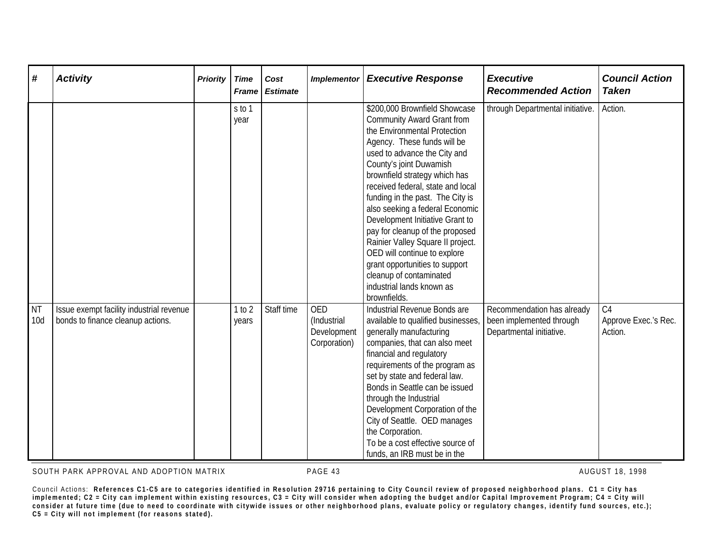| #                | <b>Activity</b>                                                               | <b>Priority</b> | <b>Time</b><br><b>Frame</b> | Cost<br><b>Estimate</b> | <b>Implementor</b>                                       | <b>Executive Response</b>                                                                                                                                                                                                                                                                                                                                                                                                                                                                                                                                                                      | <b>Executive</b><br><b>Recommended Action</b>                                      | <b>Council Action</b><br><b>Taken</b>             |
|------------------|-------------------------------------------------------------------------------|-----------------|-----------------------------|-------------------------|----------------------------------------------------------|------------------------------------------------------------------------------------------------------------------------------------------------------------------------------------------------------------------------------------------------------------------------------------------------------------------------------------------------------------------------------------------------------------------------------------------------------------------------------------------------------------------------------------------------------------------------------------------------|------------------------------------------------------------------------------------|---------------------------------------------------|
|                  |                                                                               |                 | s to 1<br>year              |                         |                                                          | \$200,000 Brownfield Showcase<br><b>Community Award Grant from</b><br>the Environmental Protection<br>Agency. These funds will be<br>used to advance the City and<br>County's joint Duwamish<br>brownfield strategy which has<br>received federal, state and local<br>funding in the past. The City is<br>also seeking a federal Economic<br>Development Initiative Grant to<br>pay for cleanup of the proposed<br>Rainier Valley Square II project.<br>OED will continue to explore<br>grant opportunities to support<br>cleanup of contaminated<br>industrial lands known as<br>brownfields. | through Departmental initiative.                                                   | Action.                                           |
| <b>NT</b><br>10d | Issue exempt facility industrial revenue<br>bonds to finance cleanup actions. |                 | 1 to 2<br>years             | Staff time              | <b>OED</b><br>(Industrial<br>Development<br>Corporation) | Industrial Revenue Bonds are<br>available to qualified businesses,<br>generally manufacturing<br>companies, that can also meet<br>financial and regulatory<br>requirements of the program as<br>set by state and federal law.<br>Bonds in Seattle can be issued<br>through the Industrial<br>Development Corporation of the<br>City of Seattle. OED manages<br>the Corporation.<br>To be a cost effective source of<br>funds, an IRB must be in the                                                                                                                                            | Recommendation has already<br>been implemented through<br>Departmental initiative. | C <sub>4</sub><br>Approve Exec.'s Rec.<br>Action. |

SOUTH PARK APPROVAL AND ADOPTION MATRIX **PAGE 43** PAGE 43 AUGUST 18, 1998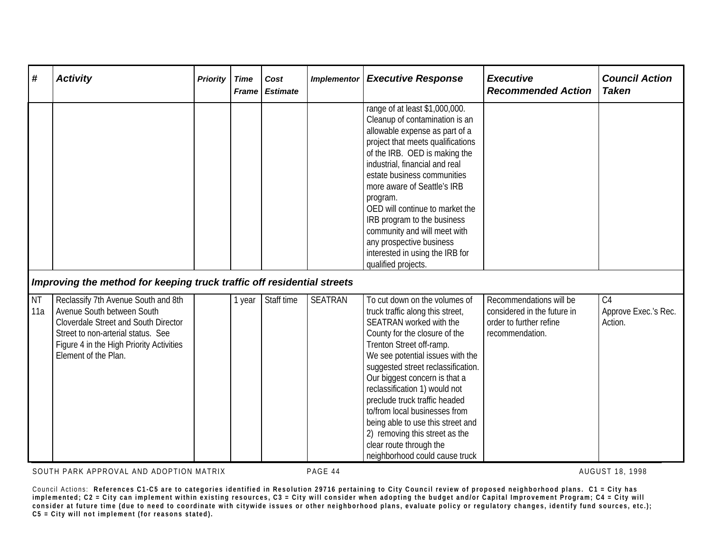| #                | <b>Activity</b>                                                                                                                                                                                                            | <b>Priority</b> | <b>Time</b><br><b>Frame</b> | Cost<br><b>Estimate</b> | <b>Implementor</b> | <b>Executive Response</b>                                                                                                                                                                                                                                                                                                                                                                                                                                                                                   | <b>Executive</b><br><b>Recommended Action</b>                                                        | <b>Council Action</b><br><b>Taken</b>             |
|------------------|----------------------------------------------------------------------------------------------------------------------------------------------------------------------------------------------------------------------------|-----------------|-----------------------------|-------------------------|--------------------|-------------------------------------------------------------------------------------------------------------------------------------------------------------------------------------------------------------------------------------------------------------------------------------------------------------------------------------------------------------------------------------------------------------------------------------------------------------------------------------------------------------|------------------------------------------------------------------------------------------------------|---------------------------------------------------|
|                  |                                                                                                                                                                                                                            |                 |                             |                         |                    | range of at least \$1,000,000.<br>Cleanup of contamination is an<br>allowable expense as part of a<br>project that meets qualifications<br>of the IRB. OED is making the<br>industrial, financial and real<br>estate business communities<br>more aware of Seattle's IRB<br>program.<br>OED will continue to market the<br>IRB program to the business<br>community and will meet with<br>any prospective business<br>interested in using the IRB for<br>qualified projects.                                |                                                                                                      |                                                   |
|                  | Improving the method for keeping truck traffic off residential streets                                                                                                                                                     |                 |                             |                         |                    |                                                                                                                                                                                                                                                                                                                                                                                                                                                                                                             |                                                                                                      |                                                   |
| <b>NT</b><br>11a | Reclassify 7th Avenue South and 8th<br>Avenue South between South<br><b>Cloverdale Street and South Director</b><br>Street to non-arterial status. See<br>Figure 4 in the High Priority Activities<br>Element of the Plan. |                 | 1 year                      | Staff time              | <b>SEATRAN</b>     | To cut down on the volumes of<br>truck traffic along this street,<br>SEATRAN worked with the<br>County for the closure of the<br>Trenton Street off-ramp.<br>We see potential issues with the<br>suggested street reclassification.<br>Our biggest concern is that a<br>reclassification 1) would not<br>preclude truck traffic headed<br>to/from local businesses from<br>being able to use this street and<br>2) removing this street as the<br>clear route through the<br>neighborhood could cause truck | Recommendations will be<br>considered in the future in<br>order to further refine<br>recommendation. | C <sub>4</sub><br>Approve Exec.'s Rec.<br>Action. |

SOUTH PARK APPROVAL AND ADOPTION MATRIX **PAGE 44** PAGE 44 AUGUST 18, 1998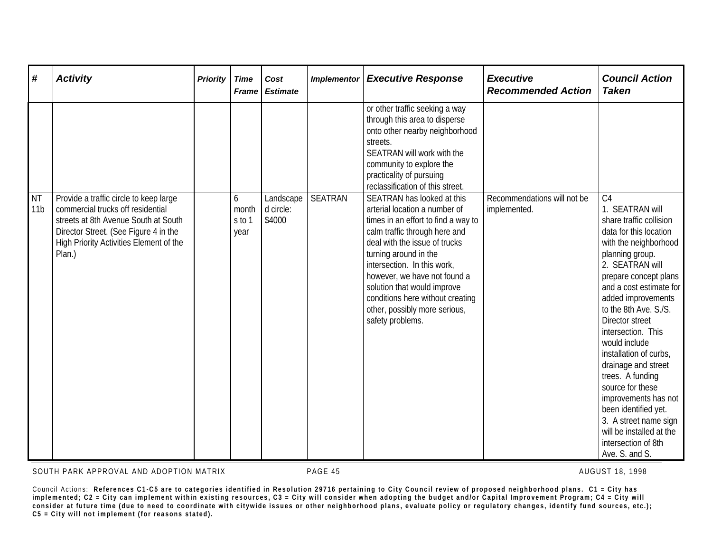| #                            | <b>Activity</b>                                                                                                                                                                                                   | <b>Priority</b> | <b>Time</b><br><b>Frame</b>  | Cost<br><b>Estimate</b>          | <b>Implementor</b> | <b>Executive Response</b>                                                                                                                                                                                                                                                                                                                                                            | <b>Executive</b><br><b>Recommended Action</b> | <b>Council Action</b><br><b>Taken</b>                                                                                                                                                                                                                                                                                                                                                                                                                                                                                                                     |
|------------------------------|-------------------------------------------------------------------------------------------------------------------------------------------------------------------------------------------------------------------|-----------------|------------------------------|----------------------------------|--------------------|--------------------------------------------------------------------------------------------------------------------------------------------------------------------------------------------------------------------------------------------------------------------------------------------------------------------------------------------------------------------------------------|-----------------------------------------------|-----------------------------------------------------------------------------------------------------------------------------------------------------------------------------------------------------------------------------------------------------------------------------------------------------------------------------------------------------------------------------------------------------------------------------------------------------------------------------------------------------------------------------------------------------------|
|                              |                                                                                                                                                                                                                   |                 |                              |                                  |                    | or other traffic seeking a way<br>through this area to disperse<br>onto other nearby neighborhood<br>streets.<br>SEATRAN will work with the<br>community to explore the<br>practicality of pursuing<br>reclassification of this street.                                                                                                                                              |                                               |                                                                                                                                                                                                                                                                                                                                                                                                                                                                                                                                                           |
| <b>NT</b><br>11 <sub>b</sub> | Provide a traffic circle to keep large<br>commercial trucks off residential<br>streets at 8th Avenue South at South<br>Director Street. (See Figure 4 in the<br>High Priority Activities Element of the<br>Plan.) |                 | 6<br>month<br>s to 1<br>year | Landscape<br>d circle:<br>\$4000 | <b>SEATRAN</b>     | SEATRAN has looked at this<br>arterial location a number of<br>times in an effort to find a way to<br>calm traffic through here and<br>deal with the issue of trucks<br>turning around in the<br>intersection. In this work,<br>however, we have not found a<br>solution that would improve<br>conditions here without creating<br>other, possibly more serious,<br>safety problems. | Recommendations will not be<br>implemented.   | C <sub>4</sub><br>1. SEATRAN will<br>share traffic collision<br>data for this location<br>with the neighborhood<br>planning group.<br>2. SEATRAN will<br>prepare concept plans<br>and a cost estimate for<br>added improvements<br>to the 8th Ave. S./S.<br>Director street<br>intersection. This<br>would include<br>installation of curbs,<br>drainage and street<br>trees. A funding<br>source for these<br>improvements has not<br>been identified yet.<br>3. A street name sign<br>will be installed at the<br>intersection of 8th<br>Ave. S. and S. |

SOUTH PARK APPROVAL AND ADOPTION MATRIX **PAGE 45** PAGE 45 AUGUST 18, 1998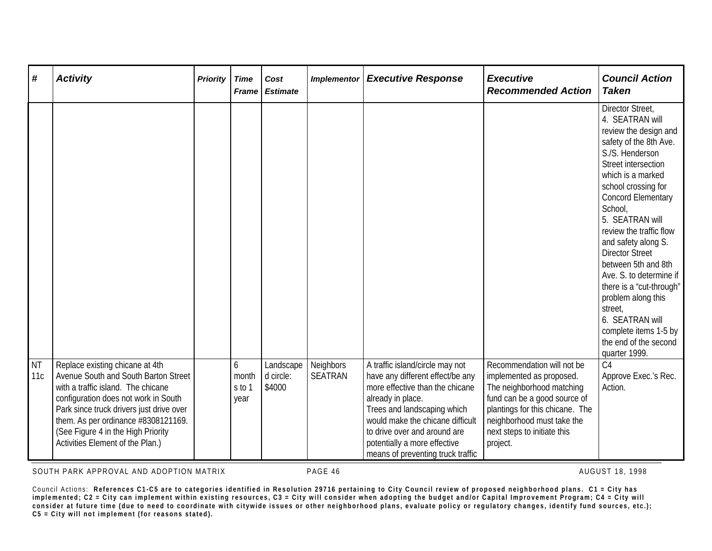| #                | <b>Activity</b>                                                                                                                                                                                                                                                                                                    | <b>Priority</b> | <b>Time</b><br><b>Frame</b>  | Cost<br><b>Estimate</b>          | <b>Implementor</b>          | <b>Executive Response</b>                                                                                                                                                                                                                                                                           | <b>Executive</b><br><b>Recommended Action</b>                                                                                                                                                                                   | <b>Council Action</b><br><b>Taken</b>                                                                                                                                                                                                                                                                                                                                                                                                                                                                                    |
|------------------|--------------------------------------------------------------------------------------------------------------------------------------------------------------------------------------------------------------------------------------------------------------------------------------------------------------------|-----------------|------------------------------|----------------------------------|-----------------------------|-----------------------------------------------------------------------------------------------------------------------------------------------------------------------------------------------------------------------------------------------------------------------------------------------------|---------------------------------------------------------------------------------------------------------------------------------------------------------------------------------------------------------------------------------|--------------------------------------------------------------------------------------------------------------------------------------------------------------------------------------------------------------------------------------------------------------------------------------------------------------------------------------------------------------------------------------------------------------------------------------------------------------------------------------------------------------------------|
|                  |                                                                                                                                                                                                                                                                                                                    |                 |                              |                                  |                             |                                                                                                                                                                                                                                                                                                     |                                                                                                                                                                                                                                 | Director Street,<br>4. SEATRAN will<br>review the design and<br>safety of the 8th Ave.<br>S./S. Henderson<br>Street intersection<br>which is a marked<br>school crossing for<br><b>Concord Elementary</b><br>School,<br>5. SEATRAN will<br>review the traffic flow<br>and safety along S.<br><b>Director Street</b><br>between 5th and 8th<br>Ave. S. to determine if<br>there is a "cut-through"<br>problem along this<br>street,<br>6. SEATRAN will<br>complete items 1-5 by<br>the end of the second<br>quarter 1999. |
| <b>NT</b><br>11c | Replace existing chicane at 4th<br>Avenue South and South Barton Street<br>with a traffic island. The chicane<br>configuration does not work in South<br>Park since truck drivers just drive over<br>them. As per ordinance #8308121169.<br>(See Figure 4 in the High Priority<br>Activities Element of the Plan.) |                 | 6<br>month<br>s to 1<br>year | Landscape<br>d circle:<br>\$4000 | Neighbors<br><b>SEATRAN</b> | A traffic island/circle may not<br>have any different effect/be any<br>more effective than the chicane<br>already in place.<br>Trees and landscaping which<br>would make the chicane difficult<br>to drive over and around are<br>potentially a more effective<br>means of preventing truck traffic | Recommendation will not be<br>implemented as proposed.<br>The neighborhood matching<br>fund can be a good source of<br>plantings for this chicane. The<br>neighborhood must take the<br>next steps to initiate this<br>project. | C <sub>4</sub><br>Approve Exec.'s Rec.<br>Action.                                                                                                                                                                                                                                                                                                                                                                                                                                                                        |

SOUTH PARK APPROVAL AND ADOPTION MATRIX **PAGE 46** PAGE 46 AUGUST 18, 1998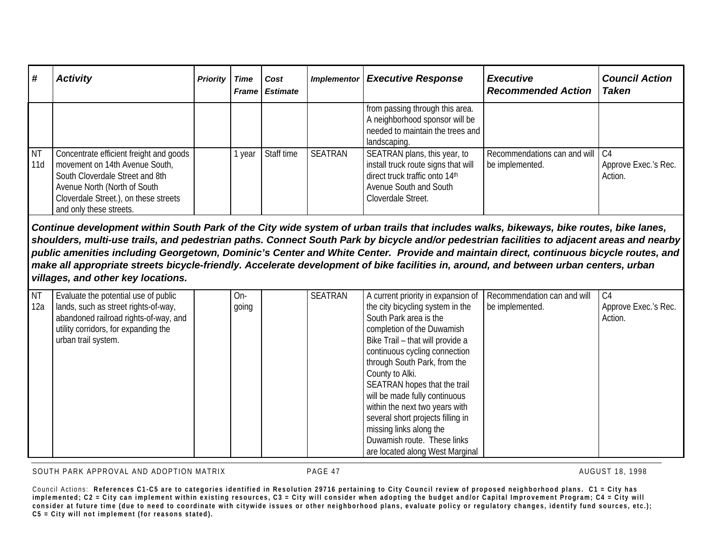| # ا              | <b>Activity</b>                                                                                                                                                                                                  | <b>Priority</b> | Time | Cost<br><b>Frame Estimate</b> | <b>Implementor</b> | <b>Executive Response</b>                                                                                                                             | <b>Executive</b><br><b>Recommended Action</b>   | <b>Council Action</b><br><b>Taken</b> |
|------------------|------------------------------------------------------------------------------------------------------------------------------------------------------------------------------------------------------------------|-----------------|------|-------------------------------|--------------------|-------------------------------------------------------------------------------------------------------------------------------------------------------|-------------------------------------------------|---------------------------------------|
|                  |                                                                                                                                                                                                                  |                 |      |                               |                    | from passing through this area.<br>A neighborhood sponsor will be<br>needed to maintain the trees and<br>landscaping.                                 |                                                 |                                       |
| <b>NT</b><br>11d | Concentrate efficient freight and goods<br>movement on 14th Avenue South,<br>South Cloverdale Street and 8th<br>Avenue North (North of South<br>Cloverdale Street.), on these streets<br>and only these streets. |                 | year | Staff time                    | SEATRAN            | SEATRAN plans, this year, to<br>install truck route signs that will<br>direct truck traffic onto 14th<br>Avenue South and South<br>Cloverdale Street. | Recommendations can and will<br>be implemented. | C4<br>Approve Exec.'s Rec.<br>Action. |

*Continue development within South Park of the City wide system of urban trails that includes walks, bikeways, bike routes, bike lanes, shoulders, multi-use trails, and pedestrian paths. Connect South Park by bicycle and/or pedestrian facilities to adjacent areas and nearby public amenities including Georgetown, Dominic's Center and White Center. Provide and maintain direct, continuous bicycle routes, and make all appropriate streets bicycle-friendly. Accelerate development of bike facilities in, around, and between urban centers, urban villages, and other key locations.*

| <b>NT</b> | Evaluate the potential use of public  | On-   | <b>SEATRAN</b> | A current priority in expansion of | Recommendation can and will | C <sub>4</sub>       |
|-----------|---------------------------------------|-------|----------------|------------------------------------|-----------------------------|----------------------|
| 12a       | lands, such as street rights-of-way,  | going |                | the city bicycling system in the   | be implemented.             | Approve Exec.'s Rec. |
|           | abandoned railroad rights-of-way, and |       |                | South Park area is the             |                             | Action.              |
|           | utility corridors, for expanding the  |       |                | completion of the Duwamish         |                             |                      |
|           | urban trail system.                   |       |                | Bike Trail - that will provide a   |                             |                      |
|           |                                       |       |                | continuous cycling connection      |                             |                      |
|           |                                       |       |                | through South Park, from the       |                             |                      |
|           |                                       |       |                | County to Alki.                    |                             |                      |
|           |                                       |       |                | SEATRAN hopes that the trail       |                             |                      |
|           |                                       |       |                | will be made fully continuous      |                             |                      |
|           |                                       |       |                | within the next two years with     |                             |                      |
|           |                                       |       |                | several short projects filling in  |                             |                      |
|           |                                       |       |                | missing links along the            |                             |                      |
|           |                                       |       |                | Duwamish route. These links        |                             |                      |
|           |                                       |       |                | are located along West Marginal    |                             |                      |

SOUTH PARK APPROVAL AND ADOPTION MATRIX **PAGE 47** PAGE 47 AUGUST 18, 1998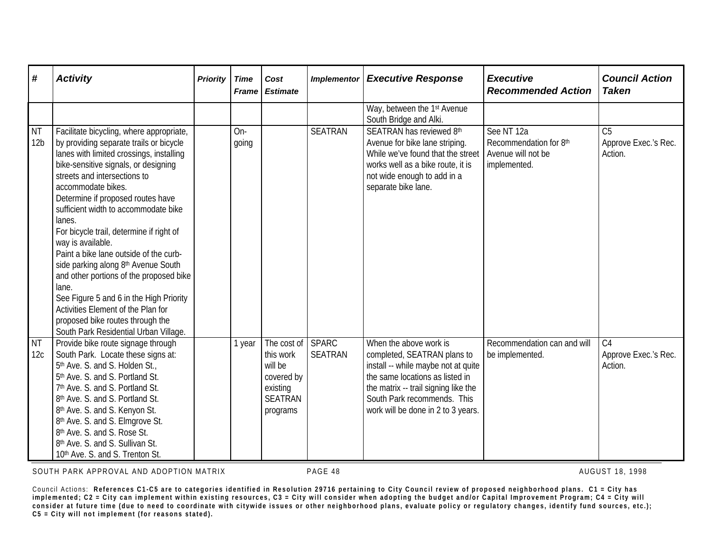| #                            | <b>Activity</b>                                                                                                                                                                                                                                                                                                                                                                                                                                                                                                                                                                                                                                                                          | <b>Priority</b> | <b>Time</b><br><b>Frame</b> | Cost<br><b>Estimate</b>                                                                     | <b>Implementor</b>             | <b>Executive Response</b>                                                                                                                                                                                                                    | <b>Executive</b><br><b>Recommended Action</b>                              | <b>Council Action</b><br><b>Taken</b>             |
|------------------------------|------------------------------------------------------------------------------------------------------------------------------------------------------------------------------------------------------------------------------------------------------------------------------------------------------------------------------------------------------------------------------------------------------------------------------------------------------------------------------------------------------------------------------------------------------------------------------------------------------------------------------------------------------------------------------------------|-----------------|-----------------------------|---------------------------------------------------------------------------------------------|--------------------------------|----------------------------------------------------------------------------------------------------------------------------------------------------------------------------------------------------------------------------------------------|----------------------------------------------------------------------------|---------------------------------------------------|
|                              |                                                                                                                                                                                                                                                                                                                                                                                                                                                                                                                                                                                                                                                                                          |                 |                             |                                                                                             |                                | Way, between the 1 <sup>st</sup> Avenue<br>South Bridge and Alki.                                                                                                                                                                            |                                                                            |                                                   |
| <b>NT</b><br>12 <sub>b</sub> | Facilitate bicycling, where appropriate,<br>by providing separate trails or bicycle<br>lanes with limited crossings, installing<br>bike-sensitive signals, or designing<br>streets and intersections to<br>accommodate bikes.<br>Determine if proposed routes have<br>sufficient width to accommodate bike<br>lanes.<br>For bicycle trail, determine if right of<br>way is available.<br>Paint a bike lane outside of the curb-<br>side parking along 8th Avenue South<br>and other portions of the proposed bike<br>lane.<br>See Figure 5 and 6 in the High Priority<br>Activities Element of the Plan for<br>proposed bike routes through the<br>South Park Residential Urban Village. |                 | On-<br>going                |                                                                                             | <b>SEATRAN</b>                 | SEATRAN has reviewed 8th<br>Avenue for bike lane striping.<br>While we've found that the street<br>works well as a bike route, it is<br>not wide enough to add in a<br>separate bike lane.                                                   | See NT 12a<br>Recommendation for 8th<br>Avenue will not be<br>implemented. | C <sub>5</sub><br>Approve Exec.'s Rec.<br>Action. |
| <b>NT</b><br>12c             | Provide bike route signage through<br>South Park. Locate these signs at:<br>5th Ave. S. and S. Holden St.,<br>5th Ave. S. and S. Portland St.<br>7th Ave. S. and S. Portland St.<br>8th Ave. S. and S. Portland St.<br>8th Ave. S. and S. Kenyon St.<br>8th Ave. S. and S. Elmgrove St.<br>8 <sup>th</sup> Ave. S. and S. Rose St.<br>8 <sup>th</sup> Ave. S. and S. Sullivan St.<br>10th Ave. S. and S. Trenton St.                                                                                                                                                                                                                                                                     |                 | 1 year                      | The cost of<br>this work<br>will be<br>covered by<br>existing<br><b>SEATRAN</b><br>programs | <b>SPARC</b><br><b>SEATRAN</b> | When the above work is<br>completed, SEATRAN plans to<br>install -- while maybe not at quite<br>the same locations as listed in<br>the matrix -- trail signing like the<br>South Park recommends. This<br>work will be done in 2 to 3 years. | Recommendation can and will<br>be implemented.                             | C <sub>4</sub><br>Approve Exec.'s Rec.<br>Action. |

SOUTH PARK APPROVAL AND ADOPTION MATRIX **PAGE 48** PAGE 48 AUGUST 18, 1998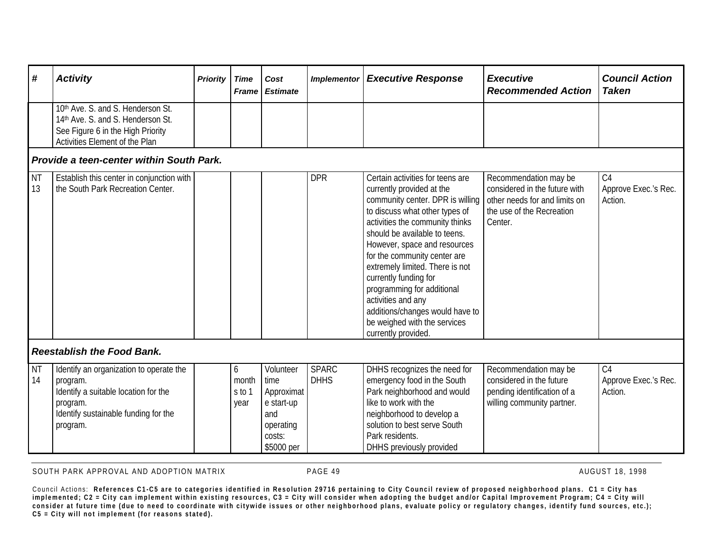| #               | <b>Activity</b>                                                                                                                                             | <b>Priority</b> | <b>Time</b><br><b>Frame</b>  | Cost<br><b>Estimate</b>                                                                   | <b>Implementor</b>          | <b>Executive Response</b>                                                                                                                                                                                                                                                                                                                                                                                                                                                         | <b>Executive</b><br><b>Recommended Action</b>                                                                                   | <b>Council Action</b><br><b>Taken</b>             |  |  |
|-----------------|-------------------------------------------------------------------------------------------------------------------------------------------------------------|-----------------|------------------------------|-------------------------------------------------------------------------------------------|-----------------------------|-----------------------------------------------------------------------------------------------------------------------------------------------------------------------------------------------------------------------------------------------------------------------------------------------------------------------------------------------------------------------------------------------------------------------------------------------------------------------------------|---------------------------------------------------------------------------------------------------------------------------------|---------------------------------------------------|--|--|
|                 | 10th Ave. S. and S. Henderson St.<br>14th Ave. S. and S. Henderson St.<br>See Figure 6 in the High Priority<br>Activities Element of the Plan               |                 |                              |                                                                                           |                             |                                                                                                                                                                                                                                                                                                                                                                                                                                                                                   |                                                                                                                                 |                                                   |  |  |
|                 | Provide a teen-center within South Park.                                                                                                                    |                 |                              |                                                                                           |                             |                                                                                                                                                                                                                                                                                                                                                                                                                                                                                   |                                                                                                                                 |                                                   |  |  |
| <b>NT</b><br>13 | Establish this center in conjunction with<br>the South Park Recreation Center.                                                                              |                 |                              |                                                                                           | <b>DPR</b>                  | Certain activities for teens are<br>currently provided at the<br>community center. DPR is willing<br>to discuss what other types of<br>activities the community thinks<br>should be available to teens.<br>However, space and resources<br>for the community center are<br>extremely limited. There is not<br>currently funding for<br>programming for additional<br>activities and any<br>additions/changes would have to<br>be weighed with the services<br>currently provided. | Recommendation may be<br>considered in the future with<br>other needs for and limits on<br>the use of the Recreation<br>Center. | C <sub>4</sub><br>Approve Exec.'s Rec.<br>Action. |  |  |
|                 | <b>Reestablish the Food Bank.</b>                                                                                                                           |                 |                              |                                                                                           |                             |                                                                                                                                                                                                                                                                                                                                                                                                                                                                                   |                                                                                                                                 |                                                   |  |  |
| <b>NT</b><br>14 | Identify an organization to operate the<br>program.<br>Identify a suitable location for the<br>program.<br>Identify sustainable funding for the<br>program. |                 | 6<br>month<br>s to 1<br>year | Volunteer<br>time<br>Approximat<br>e start-up<br>and<br>operating<br>costs:<br>\$5000 per | <b>SPARC</b><br><b>DHHS</b> | DHHS recognizes the need for<br>emergency food in the South<br>Park neighborhood and would<br>like to work with the<br>neighborhood to develop a<br>solution to best serve South<br>Park residents.<br>DHHS previously provided                                                                                                                                                                                                                                                   | Recommendation may be<br>considered in the future<br>pending identification of a<br>willing community partner.                  | C <sub>4</sub><br>Approve Exec.'s Rec.<br>Action. |  |  |

SOUTH PARK APPROVAL AND ADOPTION MATRIX **PAGE 49** PAGE 49 AUGUST 18, 1998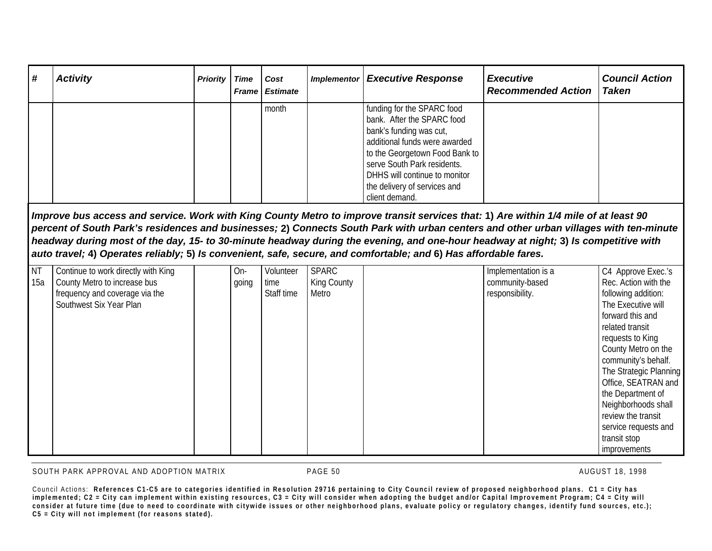| # | <b>Activity</b> | <b>Priority</b> | Time | Cost<br><b>Frame Estimate</b> | <b>Implementor</b> | <b>Executive Response</b>      | <b>Executive</b><br><b>Recommended Action</b> | <b>Council Action</b><br><b>Taken</b> |
|---|-----------------|-----------------|------|-------------------------------|--------------------|--------------------------------|-----------------------------------------------|---------------------------------------|
|   |                 |                 |      | month                         |                    | funding for the SPARC food     |                                               |                                       |
|   |                 |                 |      |                               |                    | bank. After the SPARC food     |                                               |                                       |
|   |                 |                 |      |                               |                    | bank's funding was cut,        |                                               |                                       |
|   |                 |                 |      |                               |                    | additional funds were awarded  |                                               |                                       |
|   |                 |                 |      |                               |                    | to the Georgetown Food Bank to |                                               |                                       |
|   |                 |                 |      |                               |                    | serve South Park residents.    |                                               |                                       |
|   |                 |                 |      |                               |                    | DHHS will continue to monitor  |                                               |                                       |
|   |                 |                 |      |                               |                    | the delivery of services and   |                                               |                                       |
|   |                 |                 |      |                               |                    | client demand.                 |                                               |                                       |

*Improve bus access and service. Work with King County Metro to improve transit services that:* **1)** *Are within 1/4 mile of at least 90 percent of South Park's residences and businesses;* **2)** *Connects South Park with urban centers and other urban villages with ten-minute headway during most of the day, 15- to 30-minute headway during the evening, and one-hour headway at night;* **3)** *Is competitive with auto travel;* **4)** *Operates reliably;* **5)** *Is convenient, safe, secure, and comfortable; and* **6)** *Has affordable fares.*

| <b>NT</b> | Continue to work directly with King | On-   | Volunteer  | <b>SPARC</b> | Implementation is a | C4 Approve Exec.'s     |
|-----------|-------------------------------------|-------|------------|--------------|---------------------|------------------------|
| 15a       | County Metro to increase bus        | going | time       | King County  | community-based     | Rec. Action with the   |
|           | frequency and coverage via the      |       | Staff time | Metro        | responsibility.     | following addition:    |
|           | Southwest Six Year Plan             |       |            |              |                     | The Executive will     |
|           |                                     |       |            |              |                     | forward this and       |
|           |                                     |       |            |              |                     | related transit        |
|           |                                     |       |            |              |                     | requests to King       |
|           |                                     |       |            |              |                     | County Metro on the    |
|           |                                     |       |            |              |                     | community's behalf.    |
|           |                                     |       |            |              |                     | The Strategic Planning |
|           |                                     |       |            |              |                     | Office, SEATRAN and    |
|           |                                     |       |            |              |                     | the Department of      |
|           |                                     |       |            |              |                     | Neighborhoods shall    |
|           |                                     |       |            |              |                     | review the transit     |
|           |                                     |       |            |              |                     | service requests and   |
|           |                                     |       |            |              |                     | transit stop           |
|           |                                     |       |            |              |                     | improvements           |

SOUTH PARK APPROVAL AND ADOPTION MATRIX **The CONTRACT OF PAGE 50** AUGUST 18, 1998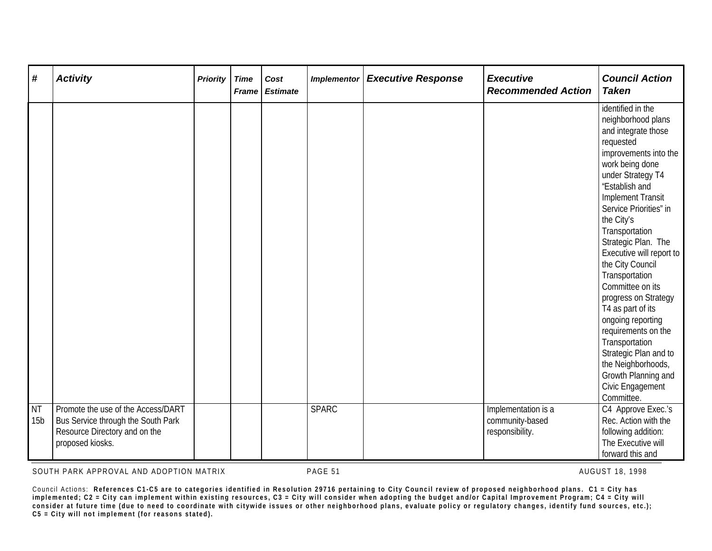| #                            | <b>Activity</b>                                                                                                               | <b>Priority</b> | <b>Time</b><br><b>Frame</b> | Cost<br><b>Estimate</b> | <b>Implementor</b> | <b>Executive Response</b> | <b>Executive</b><br><b>Recommended Action</b>             | <b>Council Action</b><br><b>Taken</b>                                                                                                                                                                                                                                                                                                                                                                                                                                                                                                                                                |
|------------------------------|-------------------------------------------------------------------------------------------------------------------------------|-----------------|-----------------------------|-------------------------|--------------------|---------------------------|-----------------------------------------------------------|--------------------------------------------------------------------------------------------------------------------------------------------------------------------------------------------------------------------------------------------------------------------------------------------------------------------------------------------------------------------------------------------------------------------------------------------------------------------------------------------------------------------------------------------------------------------------------------|
|                              |                                                                                                                               |                 |                             |                         |                    |                           |                                                           | identified in the<br>neighborhood plans<br>and integrate those<br>requested<br>improvements into the<br>work being done<br>under Strategy T4<br>"Establish and<br><b>Implement Transit</b><br>Service Priorities" in<br>the City's<br>Transportation<br>Strategic Plan. The<br>Executive will report to<br>the City Council<br>Transportation<br>Committee on its<br>progress on Strategy<br>T4 as part of its<br>ongoing reporting<br>requirements on the<br>Transportation<br>Strategic Plan and to<br>the Neighborhoods,<br>Growth Planning and<br>Civic Engagement<br>Committee. |
| <b>NT</b><br>15 <sub>b</sub> | Promote the use of the Access/DART<br>Bus Service through the South Park<br>Resource Directory and on the<br>proposed kiosks. |                 |                             |                         | <b>SPARC</b>       |                           | Implementation is a<br>community-based<br>responsibility. | C4 Approve Exec.'s<br>Rec. Action with the<br>following addition:<br>The Executive will<br>forward this and                                                                                                                                                                                                                                                                                                                                                                                                                                                                          |

SOUTH PARK APPROVAL AND ADOPTION MATRIX **PAGE 51** PAGE 51 AUGUST 18, 1998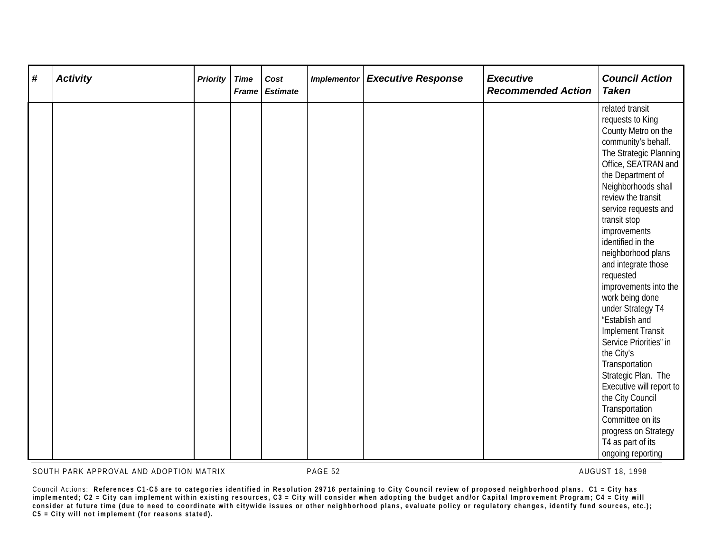| # | <b>Activity</b> | <b>Priority</b> | <b>Time</b><br>Frame | Cost<br><b>Estimate</b> | <b>Implementor</b> | <b>Executive Response</b> | <b>Executive</b><br><b>Recommended Action</b> | <b>Council Action</b><br><b>Taken</b>                                                                                                                                                                                                                                                                                                                                                                                                                                                                                                                                                                                             |
|---|-----------------|-----------------|----------------------|-------------------------|--------------------|---------------------------|-----------------------------------------------|-----------------------------------------------------------------------------------------------------------------------------------------------------------------------------------------------------------------------------------------------------------------------------------------------------------------------------------------------------------------------------------------------------------------------------------------------------------------------------------------------------------------------------------------------------------------------------------------------------------------------------------|
|   |                 |                 |                      |                         |                    |                           |                                               | related transit<br>requests to King<br>County Metro on the<br>community's behalf.<br>The Strategic Planning<br>Office, SEATRAN and<br>the Department of<br>Neighborhoods shall<br>review the transit<br>service requests and<br>transit stop<br>improvements<br>identified in the<br>neighborhood plans<br>and integrate those<br>requested<br>improvements into the<br>work being done<br>under Strategy T4<br>"Establish and<br><b>Implement Transit</b><br>Service Priorities" in<br>the City's<br>Transportation<br>Strategic Plan. The<br>Executive will report to<br>the City Council<br>Transportation<br>Committee on its |
|   |                 |                 |                      |                         |                    |                           |                                               | progress on Strategy<br>T4 as part of its<br>ongoing reporting                                                                                                                                                                                                                                                                                                                                                                                                                                                                                                                                                                    |

SOUTH PARK APPROVAL AND ADOPTION MATRIX **PAGE 52** PAGE 52 AUGUST 18, 1998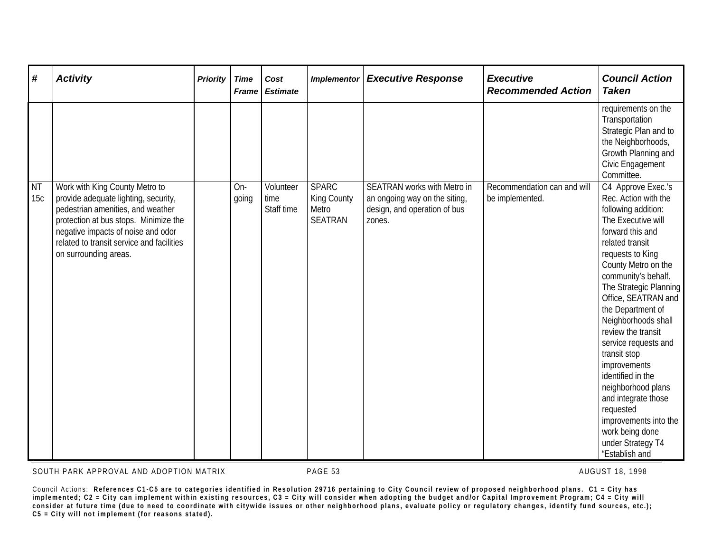| #                | <b>Activity</b>                                                                                                                                                                                                                                                  | <b>Priority</b> | <b>Time</b><br>Frame | Cost<br><b>Estimate</b>         | <b>Implementor</b>                                     | <b>Executive Response</b>                                                                                     | <b>Executive</b><br><b>Recommended Action</b>  | <b>Council Action</b><br><b>Taken</b>                                                                                                                                                                                                                                                                                                                                                                                                                                                                                                         |
|------------------|------------------------------------------------------------------------------------------------------------------------------------------------------------------------------------------------------------------------------------------------------------------|-----------------|----------------------|---------------------------------|--------------------------------------------------------|---------------------------------------------------------------------------------------------------------------|------------------------------------------------|-----------------------------------------------------------------------------------------------------------------------------------------------------------------------------------------------------------------------------------------------------------------------------------------------------------------------------------------------------------------------------------------------------------------------------------------------------------------------------------------------------------------------------------------------|
|                  |                                                                                                                                                                                                                                                                  |                 |                      |                                 |                                                        |                                                                                                               |                                                | requirements on the<br>Transportation<br>Strategic Plan and to<br>the Neighborhoods,<br>Growth Planning and<br>Civic Engagement<br>Committee.                                                                                                                                                                                                                                                                                                                                                                                                 |
| <b>NT</b><br>15c | Work with King County Metro to<br>provide adequate lighting, security,<br>pedestrian amenities, and weather<br>protection at bus stops. Minimize the<br>negative impacts of noise and odor<br>related to transit service and facilities<br>on surrounding areas. |                 | On-<br>going         | Volunteer<br>time<br>Staff time | <b>SPARC</b><br>King County<br>Metro<br><b>SEATRAN</b> | <b>SEATRAN works with Metro in</b><br>an ongoing way on the siting,<br>design, and operation of bus<br>zones. | Recommendation can and will<br>be implemented. | C4 Approve Exec.'s<br>Rec. Action with the<br>following addition:<br>The Executive will<br>forward this and<br>related transit<br>requests to King<br>County Metro on the<br>community's behalf.<br>The Strategic Planning<br>Office, SEATRAN and<br>the Department of<br>Neighborhoods shall<br>review the transit<br>service requests and<br>transit stop<br>improvements<br>identified in the<br>neighborhood plans<br>and integrate those<br>requested<br>improvements into the<br>work being done<br>under Strategy T4<br>"Establish and |

SOUTH PARK APPROVAL AND ADOPTION MATRIX **PAGE 53** PAGE 53 AUGUST 18, 1998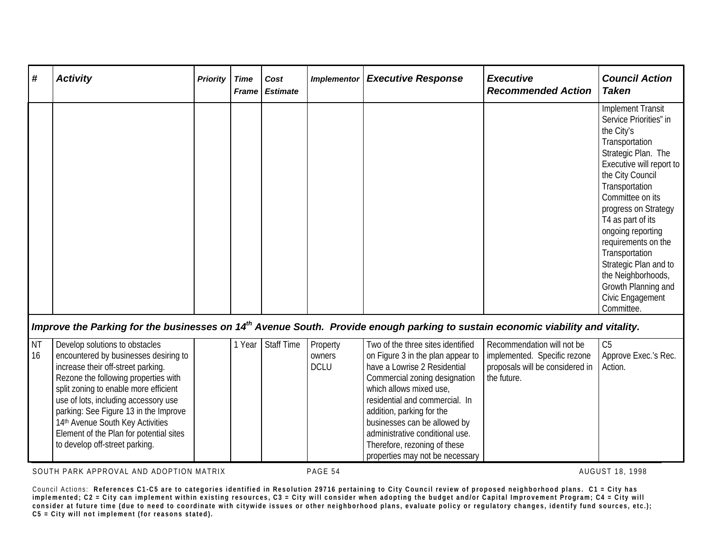| #               | <b>Activity</b>                                                                                                                                                                                                                                                                                                                                                                                  | <b>Priority</b> | <b>Time</b><br><b>Frame</b> | Cost<br><b>Estimate</b> | <b>Implementor</b>                | <b>Executive Response</b>                                                                                                                                                                                                                                                                                                                                               | <b>Executive</b><br><b>Recommended Action</b>                                                                | <b>Council Action</b><br><b>Taken</b>                                                                                                                                                                                                                                                                                                                                                                              |
|-----------------|--------------------------------------------------------------------------------------------------------------------------------------------------------------------------------------------------------------------------------------------------------------------------------------------------------------------------------------------------------------------------------------------------|-----------------|-----------------------------|-------------------------|-----------------------------------|-------------------------------------------------------------------------------------------------------------------------------------------------------------------------------------------------------------------------------------------------------------------------------------------------------------------------------------------------------------------------|--------------------------------------------------------------------------------------------------------------|--------------------------------------------------------------------------------------------------------------------------------------------------------------------------------------------------------------------------------------------------------------------------------------------------------------------------------------------------------------------------------------------------------------------|
|                 |                                                                                                                                                                                                                                                                                                                                                                                                  |                 |                             |                         |                                   |                                                                                                                                                                                                                                                                                                                                                                         |                                                                                                              | <b>Implement Transit</b><br>Service Priorities" in<br>the City's<br>Transportation<br>Strategic Plan. The<br>Executive will report to<br>the City Council<br>Transportation<br>Committee on its<br>progress on Strategy<br>T4 as part of its<br>ongoing reporting<br>requirements on the<br>Transportation<br>Strategic Plan and to<br>the Neighborhoods,<br>Growth Planning and<br>Civic Engagement<br>Committee. |
|                 | Improve the Parking for the businesses on 14 <sup>th</sup> Avenue South. Provide enough parking to sustain economic viability and vitality.                                                                                                                                                                                                                                                      |                 |                             |                         |                                   |                                                                                                                                                                                                                                                                                                                                                                         |                                                                                                              |                                                                                                                                                                                                                                                                                                                                                                                                                    |
| <b>NT</b><br>16 | Develop solutions to obstacles<br>encountered by businesses desiring to<br>increase their off-street parking.<br>Rezone the following properties with<br>split zoning to enable more efficient<br>use of lots, including accessory use<br>parking: See Figure 13 in the Improve<br>14th Avenue South Key Activities<br>Element of the Plan for potential sites<br>to develop off-street parking. |                 | 1 Year                      | <b>Staff Time</b>       | Property<br>owners<br><b>DCLU</b> | Two of the three sites identified<br>on Figure 3 in the plan appear to<br>have a Lowrise 2 Residential<br>Commercial zoning designation<br>which allows mixed use,<br>residential and commercial. In<br>addition, parking for the<br>businesses can be allowed by<br>administrative conditional use.<br>Therefore, rezoning of these<br>properties may not be necessary | Recommendation will not be<br>implemented. Specific rezone<br>proposals will be considered in<br>the future. | C <sub>5</sub><br>Approve Exec.'s Rec.<br>Action.                                                                                                                                                                                                                                                                                                                                                                  |

SOUTH PARK APPROVAL AND ADOPTION MATRIX **PAGE 54** PAGE 54 AUGUST 18, 1998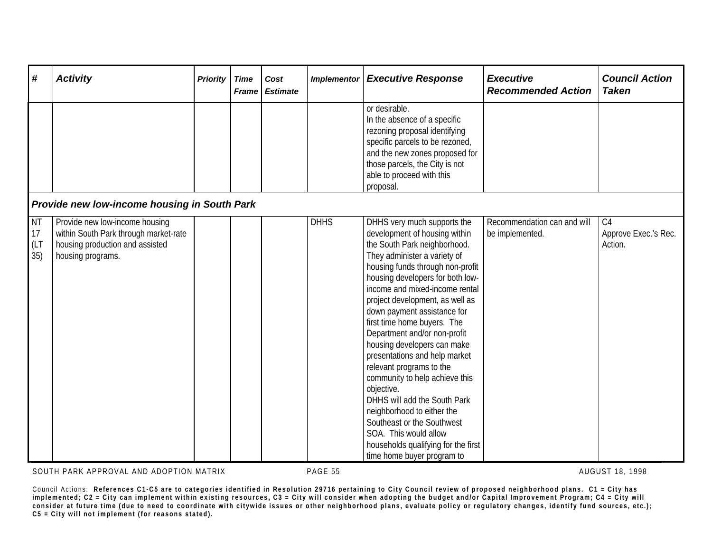| #                              | <b>Activity</b>                                                                                                                 | <b>Priority</b> | <b>Time</b><br>Frame | Cost<br><b>Estimate</b> | <b>Implementor</b> | <b>Executive Response</b>                                                                                                                                                                                                                                                                                                                                                                                                                                                                                                                                                                                                                                                                                     | <b>Executive</b><br><b>Recommended Action</b>  | <b>Council Action</b><br><b>Taken</b> |
|--------------------------------|---------------------------------------------------------------------------------------------------------------------------------|-----------------|----------------------|-------------------------|--------------------|---------------------------------------------------------------------------------------------------------------------------------------------------------------------------------------------------------------------------------------------------------------------------------------------------------------------------------------------------------------------------------------------------------------------------------------------------------------------------------------------------------------------------------------------------------------------------------------------------------------------------------------------------------------------------------------------------------------|------------------------------------------------|---------------------------------------|
|                                |                                                                                                                                 |                 |                      |                         |                    | or desirable.<br>In the absence of a specific<br>rezoning proposal identifying<br>specific parcels to be rezoned,<br>and the new zones proposed for<br>those parcels, the City is not<br>able to proceed with this<br>proposal.                                                                                                                                                                                                                                                                                                                                                                                                                                                                               |                                                |                                       |
|                                | <b>Provide new low-income housing in South Park</b>                                                                             |                 |                      |                         |                    |                                                                                                                                                                                                                                                                                                                                                                                                                                                                                                                                                                                                                                                                                                               |                                                |                                       |
| <b>NT</b><br>17<br>(LT)<br>35) | Provide new low-income housing<br>within South Park through market-rate<br>housing production and assisted<br>housing programs. |                 |                      |                         | <b>DHHS</b>        | DHHS very much supports the<br>development of housing within<br>the South Park neighborhood.<br>They administer a variety of<br>housing funds through non-profit<br>housing developers for both low-<br>income and mixed-income rental<br>project development, as well as<br>down payment assistance for<br>first time home buyers. The<br>Department and/or non-profit<br>housing developers can make<br>presentations and help market<br>relevant programs to the<br>community to help achieve this<br>objective.<br>DHHS will add the South Park<br>neighborhood to either the<br>Southeast or the Southwest<br>SOA. This would allow<br>households qualifying for the first<br>time home buyer program to | Recommendation can and will<br>be implemented. | C4<br>Approve Exec.'s Rec.<br>Action. |

SOUTH PARK APPROVAL AND ADOPTION MATRIX **PAGE 55** AUGUST 18, 1998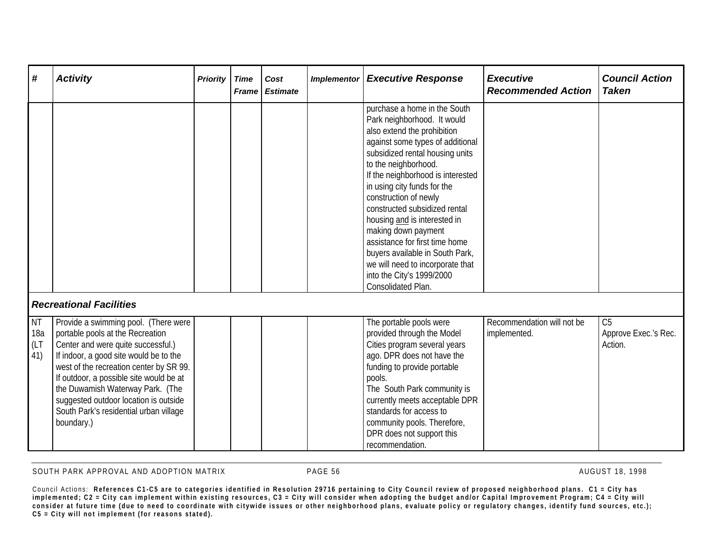| #                               | <b>Activity</b>                                                                                                                                                                                                                                                                                                                                                                     | <b>Priority</b> | <b>Time</b><br><b>Frame</b> | Cost<br><b>Estimate</b> | <b>Implementor</b> | <b>Executive Response</b>                                                                                                                                                                                                                                                                                                                                                                                                                                                                                                                  | <b>Executive</b><br><b>Recommended Action</b> | <b>Council Action</b><br><b>Taken</b>             |
|---------------------------------|-------------------------------------------------------------------------------------------------------------------------------------------------------------------------------------------------------------------------------------------------------------------------------------------------------------------------------------------------------------------------------------|-----------------|-----------------------------|-------------------------|--------------------|--------------------------------------------------------------------------------------------------------------------------------------------------------------------------------------------------------------------------------------------------------------------------------------------------------------------------------------------------------------------------------------------------------------------------------------------------------------------------------------------------------------------------------------------|-----------------------------------------------|---------------------------------------------------|
|                                 |                                                                                                                                                                                                                                                                                                                                                                                     |                 |                             |                         |                    | purchase a home in the South<br>Park neighborhood. It would<br>also extend the prohibition<br>against some types of additional<br>subsidized rental housing units<br>to the neighborhood.<br>If the neighborhood is interested<br>in using city funds for the<br>construction of newly<br>constructed subsidized rental<br>housing and is interested in<br>making down payment<br>assistance for first time home<br>buyers available in South Park,<br>we will need to incorporate that<br>into the City's 1999/2000<br>Consolidated Plan. |                                               |                                                   |
|                                 | <b>Recreational Facilities</b>                                                                                                                                                                                                                                                                                                                                                      |                 |                             |                         |                    |                                                                                                                                                                                                                                                                                                                                                                                                                                                                                                                                            |                                               |                                                   |
| <b>NT</b><br>18a<br>(LT)<br>41) | Provide a swimming pool. (There were<br>portable pools at the Recreation<br>Center and were quite successful.)<br>If indoor, a good site would be to the<br>west of the recreation center by SR 99.<br>If outdoor, a possible site would be at<br>the Duwamish Waterway Park. (The<br>suggested outdoor location is outside<br>South Park's residential urban village<br>boundary.) |                 |                             |                         |                    | The portable pools were<br>provided through the Model<br>Cities program several years<br>ago. DPR does not have the<br>funding to provide portable<br>pools.<br>The South Park community is<br>currently meets acceptable DPR<br>standards for access to<br>community pools. Therefore,<br>DPR does not support this<br>recommendation.                                                                                                                                                                                                    | Recommendation will not be<br>implemented.    | C <sub>5</sub><br>Approve Exec.'s Rec.<br>Action. |

SOUTH PARK APPROVAL AND ADOPTION MATRIX **PAGE 56** PAGE 56 AUGUST 18, 1998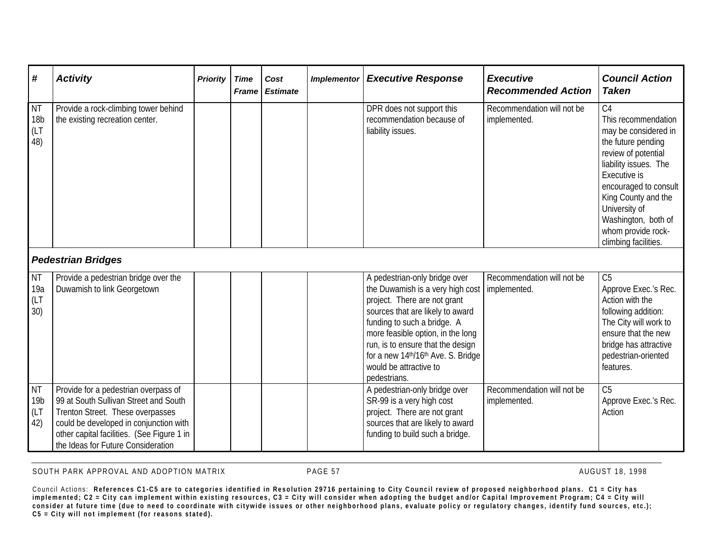| #                                           | <b>Activity</b>                                                                                                                                                                                                                                 | Priority | <b>Time</b><br><b>Frame</b> | Cost<br><b>Estimate</b> | <b>Implementor</b> | <b>Executive Response</b>                                                                                                                                                                                                                                                                                                                     | <b>Executive</b><br><b>Recommended Action</b> | <b>Council Action</b><br><b>Taken</b>                                                                                                                                                                                                                                                     |
|---------------------------------------------|-------------------------------------------------------------------------------------------------------------------------------------------------------------------------------------------------------------------------------------------------|----------|-----------------------------|-------------------------|--------------------|-----------------------------------------------------------------------------------------------------------------------------------------------------------------------------------------------------------------------------------------------------------------------------------------------------------------------------------------------|-----------------------------------------------|-------------------------------------------------------------------------------------------------------------------------------------------------------------------------------------------------------------------------------------------------------------------------------------------|
| <b>NT</b><br>18 <sub>b</sub><br>(LT)<br>48) | Provide a rock-climbing tower behind<br>the existing recreation center.                                                                                                                                                                         |          |                             |                         |                    | DPR does not support this<br>recommendation because of<br>liability issues.                                                                                                                                                                                                                                                                   | Recommendation will not be<br>implemented.    | C <sub>4</sub><br>This recommendation<br>may be considered in<br>the future pending<br>review of potential<br>liability issues. The<br>Executive is<br>encouraged to consult<br>King County and the<br>University of<br>Washington, both of<br>whom provide rock-<br>climbing facilities. |
|                                             | <b>Pedestrian Bridges</b>                                                                                                                                                                                                                       |          |                             |                         |                    |                                                                                                                                                                                                                                                                                                                                               |                                               |                                                                                                                                                                                                                                                                                           |
| NT<br>19a<br>(LT)<br>30)                    | Provide a pedestrian bridge over the<br>Duwamish to link Georgetown                                                                                                                                                                             |          |                             |                         |                    | A pedestrian-only bridge over<br>the Duwamish is a very high cost   implemented.<br>project. There are not grant<br>sources that are likely to award<br>funding to such a bridge. A<br>more feasible option, in the long<br>run, is to ensure that the design<br>for a new 14th/16th Ave. S. Bridge<br>would be attractive to<br>pedestrians. | Recommendation will not be                    | $\overline{C5}$<br>Approve Exec.'s Rec.<br>Action with the<br>following addition:<br>The City will work to<br>ensure that the new<br>bridge has attractive<br>pedestrian-oriented<br>features.                                                                                            |
| <b>NT</b><br>19b<br>(LT)<br>42)             | Provide for a pedestrian overpass of<br>99 at South Sullivan Street and South<br>Trenton Street. These overpasses<br>could be developed in conjunction with<br>other capital facilities. (See Figure 1 in<br>the Ideas for Future Consideration |          |                             |                         |                    | A pedestrian-only bridge over<br>SR-99 is a very high cost<br>project. There are not grant<br>sources that are likely to award<br>funding to build such a bridge.                                                                                                                                                                             | Recommendation will not be<br>implemented.    | C <sub>5</sub><br>Approve Exec.'s Rec.<br>Action                                                                                                                                                                                                                                          |

SOUTH PARK APPROVAL AND ADOPTION MATRIX **PAGE 57** PAGE 57 AUGUST 18, 1998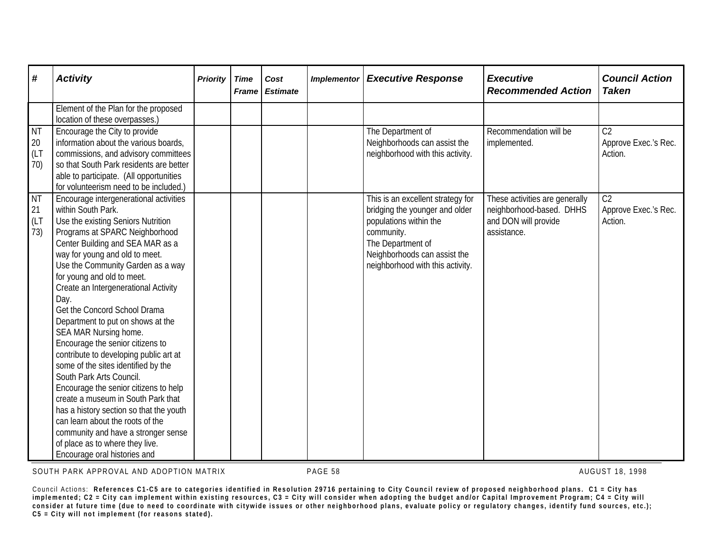| #                              | <b>Activity</b>                                                                                                                                                                                                                                                                                                                                                                                                                                                                                                                                                                                                                                                                                                                                                                                                                                      | <b>Priority</b> | <b>Time</b><br><b>Frame</b> | Cost<br><b>Estimate</b> | <b>Implementor</b> | <b>Executive Response</b>                                                                                                                                                                            | <b>Executive</b><br><b>Recommended Action</b>                                                     | <b>Council Action</b><br><b>Taken</b>             |
|--------------------------------|------------------------------------------------------------------------------------------------------------------------------------------------------------------------------------------------------------------------------------------------------------------------------------------------------------------------------------------------------------------------------------------------------------------------------------------------------------------------------------------------------------------------------------------------------------------------------------------------------------------------------------------------------------------------------------------------------------------------------------------------------------------------------------------------------------------------------------------------------|-----------------|-----------------------------|-------------------------|--------------------|------------------------------------------------------------------------------------------------------------------------------------------------------------------------------------------------------|---------------------------------------------------------------------------------------------------|---------------------------------------------------|
|                                | Element of the Plan for the proposed<br>location of these overpasses.)                                                                                                                                                                                                                                                                                                                                                                                                                                                                                                                                                                                                                                                                                                                                                                               |                 |                             |                         |                    |                                                                                                                                                                                                      |                                                                                                   |                                                   |
| <b>NT</b><br>20<br>(LT)<br>70) | Encourage the City to provide<br>information about the various boards,<br>commissions, and advisory committees<br>so that South Park residents are better<br>able to participate. (All opportunities<br>for volunteerism need to be included.)                                                                                                                                                                                                                                                                                                                                                                                                                                                                                                                                                                                                       |                 |                             |                         |                    | The Department of<br>Neighborhoods can assist the<br>neighborhood with this activity.                                                                                                                | Recommendation will be<br>implemented.                                                            | C <sub>2</sub><br>Approve Exec.'s Rec.<br>Action. |
| <b>NT</b><br>21<br>(LT)<br>73) | Encourage intergenerational activities<br>within South Park.<br>Use the existing Seniors Nutrition<br>Programs at SPARC Neighborhood<br>Center Building and SEA MAR as a<br>way for young and old to meet.<br>Use the Community Garden as a way<br>for young and old to meet.<br>Create an Intergenerational Activity<br>Day.<br>Get the Concord School Drama<br>Department to put on shows at the<br>SEA MAR Nursing home.<br>Encourage the senior citizens to<br>contribute to developing public art at<br>some of the sites identified by the<br>South Park Arts Council.<br>Encourage the senior citizens to help<br>create a museum in South Park that<br>has a history section so that the youth<br>can learn about the roots of the<br>community and have a stronger sense<br>of place as to where they live.<br>Encourage oral histories and |                 |                             |                         |                    | This is an excellent strategy for<br>bridging the younger and older<br>populations within the<br>community.<br>The Department of<br>Neighborhoods can assist the<br>neighborhood with this activity. | These activities are generally<br>neighborhood-based. DHHS<br>and DON will provide<br>assistance. | C <sub>2</sub><br>Approve Exec.'s Rec.<br>Action. |

SOUTH PARK APPROVAL AND ADOPTION MATRIX **PAGE 58** AUGUST 18, 1998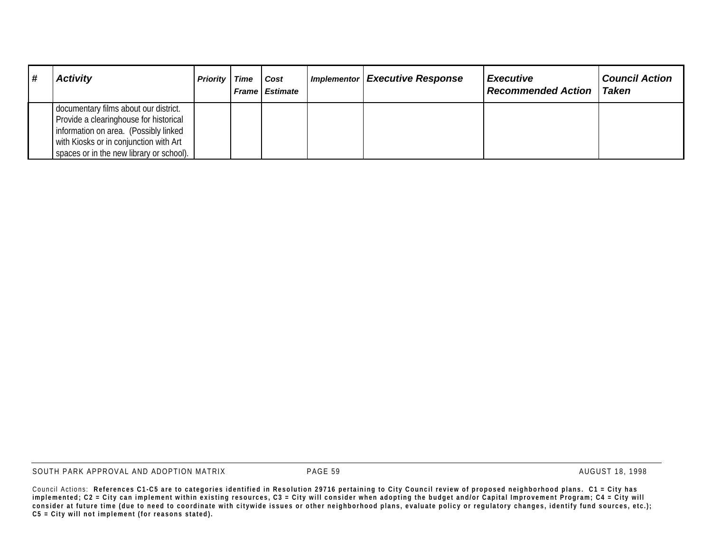| #<br><b>Activity</b>                                                                                                                                                                                           | <b>Priority</b> Time | Cost<br><b>Frame Estimate</b> | Implementor Executive Response | <b>Executive</b><br><b>Recommended Action</b> | <b>Council Action</b><br>Taken |
|----------------------------------------------------------------------------------------------------------------------------------------------------------------------------------------------------------------|----------------------|-------------------------------|--------------------------------|-----------------------------------------------|--------------------------------|
| documentary films about our district.<br>Provide a clearinghouse for historical<br>information on area. (Possibly linked<br>with Kiosks or in conjunction with Art<br>spaces or in the new library or school). |                      |                               |                                |                                               |                                |

SOUTH PARK APPROVAL AND ADOPTION MATRIX **PAGE 59** PAGE 59 AUGUST 18, 1998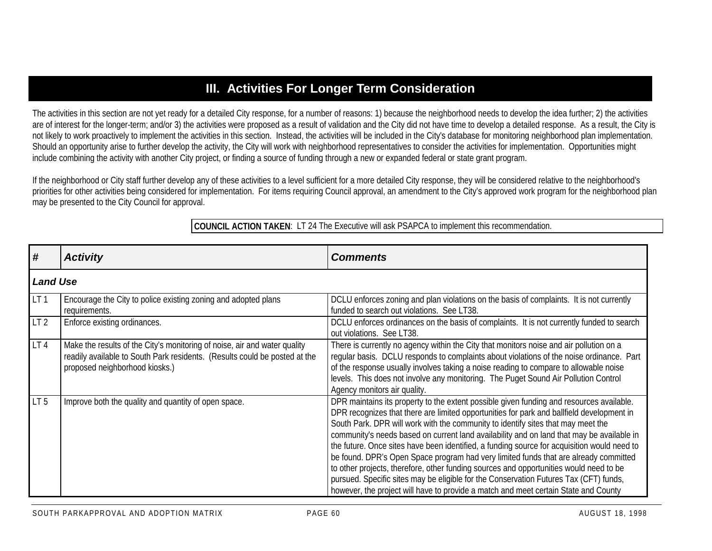### **III. Activities For Longer Term Consideration**

The activities in this section are not yet ready for a detailed City response, for a number of reasons: 1) because the neighborhood needs to develop the idea further; 2) the activities are of interest for the longer-term; and/or 3) the activities were proposed as a result of validation and the City did not have time to develop a detailed response. As a result, the City is not likely to work proactively to implement the activities in this section. Instead, the activities will be included in the City's database for monitoring neighborhood plan implementation. Should an opportunity arise to further develop the activity, the City will work with neighborhood representatives to consider the activities for implementation. Opportunities might include combining the activity with another City project, or finding a source of funding through a new or expanded federal or state grant program.

If the neighborhood or City staff further develop any of these activities to a level sufficient for a more detailed City response, they will be considered relative to the neighborhood's priorities for other activities being considered for implementation. For items requiring Council approval, an amendment to the City's approved work program for the neighborhood plan may be presented to the City Council for approval.

**COUNCIL ACTION TAKEN**: LT 24 The Executive will ask PSAPCA to implement this recommendation.

| #               | <b>Activity</b>                                                                                                                                                                           | <b>Comments</b>                                                                                                                                                                                                                                                                                                                                                                                                                                                                                                                                                                                                                                                                                                                                                                                                                         |
|-----------------|-------------------------------------------------------------------------------------------------------------------------------------------------------------------------------------------|-----------------------------------------------------------------------------------------------------------------------------------------------------------------------------------------------------------------------------------------------------------------------------------------------------------------------------------------------------------------------------------------------------------------------------------------------------------------------------------------------------------------------------------------------------------------------------------------------------------------------------------------------------------------------------------------------------------------------------------------------------------------------------------------------------------------------------------------|
| <b>Land Use</b> |                                                                                                                                                                                           |                                                                                                                                                                                                                                                                                                                                                                                                                                                                                                                                                                                                                                                                                                                                                                                                                                         |
| LT <sub>1</sub> | Encourage the City to police existing zoning and adopted plans<br>requirements.                                                                                                           | DCLU enforces zoning and plan violations on the basis of complaints. It is not currently<br>funded to search out violations. See LT38.                                                                                                                                                                                                                                                                                                                                                                                                                                                                                                                                                                                                                                                                                                  |
| LT <sub>2</sub> | Enforce existing ordinances.                                                                                                                                                              | DCLU enforces ordinances on the basis of complaints. It is not currently funded to search<br>out violations. See LT38.                                                                                                                                                                                                                                                                                                                                                                                                                                                                                                                                                                                                                                                                                                                  |
| LT4             | Make the results of the City's monitoring of noise, air and water quality<br>readily available to South Park residents. (Results could be posted at the<br>proposed neighborhood kiosks.) | There is currently no agency within the City that monitors noise and air pollution on a<br>regular basis. DCLU responds to complaints about violations of the noise ordinance. Part<br>of the response usually involves taking a noise reading to compare to allowable noise<br>levels. This does not involve any monitoring. The Puget Sound Air Pollution Control<br>Agency monitors air quality.                                                                                                                                                                                                                                                                                                                                                                                                                                     |
| LT <sub>5</sub> | Improve both the quality and quantity of open space.                                                                                                                                      | DPR maintains its property to the extent possible given funding and resources available.<br>DPR recognizes that there are limited opportunities for park and ballfield development in<br>South Park. DPR will work with the community to identify sites that may meet the<br>community's needs based on current land availability and on land that may be available in<br>the future. Once sites have been identified, a funding source for acquisition would need to<br>be found. DPR's Open Space program had very limited funds that are already committed<br>to other projects, therefore, other funding sources and opportunities would need to be<br>pursued. Specific sites may be eligible for the Conservation Futures Tax (CFT) funds,<br>however, the project will have to provide a match and meet certain State and County |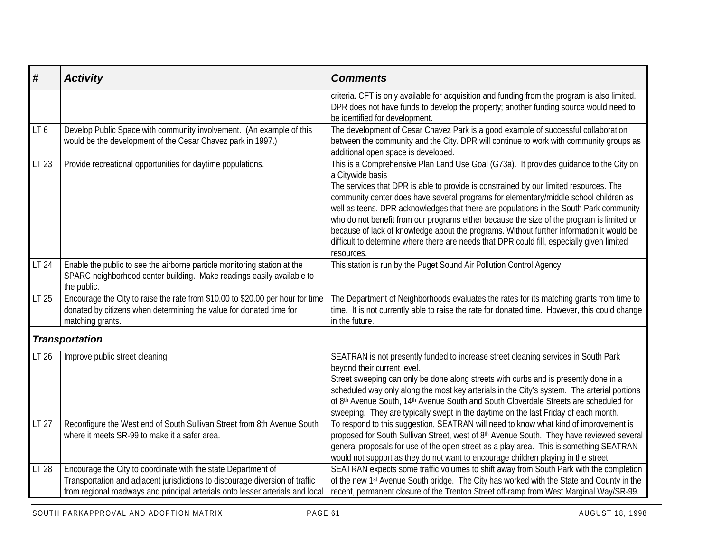| #     | <b>Activity</b>                                                                                                                                                                                                                 | <b>Comments</b>                                                                                                                                                                                                                                                                                                                                                                                                                                                                                                                                                                                                                                                                            |
|-------|---------------------------------------------------------------------------------------------------------------------------------------------------------------------------------------------------------------------------------|--------------------------------------------------------------------------------------------------------------------------------------------------------------------------------------------------------------------------------------------------------------------------------------------------------------------------------------------------------------------------------------------------------------------------------------------------------------------------------------------------------------------------------------------------------------------------------------------------------------------------------------------------------------------------------------------|
|       |                                                                                                                                                                                                                                 | criteria. CFT is only available for acquisition and funding from the program is also limited.<br>DPR does not have funds to develop the property; another funding source would need to<br>be identified for development.                                                                                                                                                                                                                                                                                                                                                                                                                                                                   |
| LT6   | Develop Public Space with community involvement. (An example of this<br>would be the development of the Cesar Chavez park in 1997.)                                                                                             | The development of Cesar Chavez Park is a good example of successful collaboration<br>between the community and the City. DPR will continue to work with community groups as<br>additional open space is developed.                                                                                                                                                                                                                                                                                                                                                                                                                                                                        |
| LT 23 | Provide recreational opportunities for daytime populations.                                                                                                                                                                     | This is a Comprehensive Plan Land Use Goal (G73a). It provides guidance to the City on<br>a Citywide basis<br>The services that DPR is able to provide is constrained by our limited resources. The<br>community center does have several programs for elementary/middle school children as<br>well as teens. DPR acknowledges that there are populations in the South Park community<br>who do not benefit from our programs either because the size of the program is limited or<br>because of lack of knowledge about the programs. Without further information it would be<br>difficult to determine where there are needs that DPR could fill, especially given limited<br>resources. |
| LT 24 | Enable the public to see the airborne particle monitoring station at the<br>SPARC neighborhood center building. Make readings easily available to<br>the public.                                                                | This station is run by the Puget Sound Air Pollution Control Agency.                                                                                                                                                                                                                                                                                                                                                                                                                                                                                                                                                                                                                       |
| LT 25 | Encourage the City to raise the rate from \$10.00 to \$20.00 per hour for time<br>donated by citizens when determining the value for donated time for<br>matching grants.                                                       | The Department of Neighborhoods evaluates the rates for its matching grants from time to<br>time. It is not currently able to raise the rate for donated time. However, this could change<br>in the future.                                                                                                                                                                                                                                                                                                                                                                                                                                                                                |
|       | <b>Transportation</b>                                                                                                                                                                                                           |                                                                                                                                                                                                                                                                                                                                                                                                                                                                                                                                                                                                                                                                                            |
| LT 26 | Improve public street cleaning                                                                                                                                                                                                  | SEATRAN is not presently funded to increase street cleaning services in South Park<br>beyond their current level.<br>Street sweeping can only be done along streets with curbs and is presently done in a<br>scheduled way only along the most key arterials in the City's system. The arterial portions<br>of 8th Avenue South, 14th Avenue South and South Cloverdale Streets are scheduled for<br>sweeping. They are typically swept in the daytime on the last Friday of each month.                                                                                                                                                                                                   |
| LT 27 | Reconfigure the West end of South Sullivan Street from 8th Avenue South<br>where it meets SR-99 to make it a safer area.                                                                                                        | To respond to this suggestion, SEATRAN will need to know what kind of improvement is<br>proposed for South Sullivan Street, west of 8th Avenue South. They have reviewed several<br>general proposals for use of the open street as a play area. This is something SEATRAN<br>would not support as they do not want to encourage children playing in the street.                                                                                                                                                                                                                                                                                                                           |
| LT 28 | Encourage the City to coordinate with the state Department of<br>Transportation and adjacent jurisdictions to discourage diversion of traffic<br>from regional roadways and principal arterials onto lesser arterials and local | SEATRAN expects some traffic volumes to shift away from South Park with the completion<br>of the new 1st Avenue South bridge. The City has worked with the State and County in the<br>recent, permanent closure of the Trenton Street off-ramp from West Marginal Way/SR-99.                                                                                                                                                                                                                                                                                                                                                                                                               |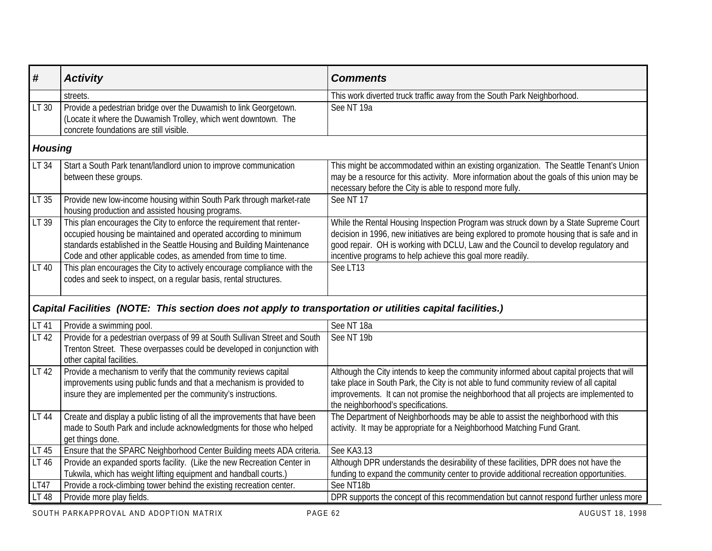| #              | <b>Activity</b>                                                                                                                                                                                                                                                                      | <b>Comments</b>                                                                                                                                                                                                                                                                                                                          |
|----------------|--------------------------------------------------------------------------------------------------------------------------------------------------------------------------------------------------------------------------------------------------------------------------------------|------------------------------------------------------------------------------------------------------------------------------------------------------------------------------------------------------------------------------------------------------------------------------------------------------------------------------------------|
|                | streets.                                                                                                                                                                                                                                                                             | This work diverted truck traffic away from the South Park Neighborhood.                                                                                                                                                                                                                                                                  |
| LT 30          | Provide a pedestrian bridge over the Duwamish to link Georgetown.<br>(Locate it where the Duwamish Trolley, which went downtown. The<br>concrete foundations are still visible.                                                                                                      | See NT 19a                                                                                                                                                                                                                                                                                                                               |
| <b>Housing</b> |                                                                                                                                                                                                                                                                                      |                                                                                                                                                                                                                                                                                                                                          |
| LT 34          | Start a South Park tenant/landlord union to improve communication<br>between these groups.                                                                                                                                                                                           | This might be accommodated within an existing organization. The Seattle Tenant's Union<br>may be a resource for this activity. More information about the goals of this union may be<br>necessary before the City is able to respond more fully.                                                                                         |
| LT 35          | Provide new low-income housing within South Park through market-rate<br>housing production and assisted housing programs.                                                                                                                                                            | See NT 17                                                                                                                                                                                                                                                                                                                                |
| LT 39          | This plan encourages the City to enforce the requirement that renter-<br>occupied housing be maintained and operated according to minimum<br>standards established in the Seattle Housing and Building Maintenance<br>Code and other applicable codes, as amended from time to time. | While the Rental Housing Inspection Program was struck down by a State Supreme Court<br>decision in 1996, new initiatives are being explored to promote housing that is safe and in<br>good repair. OH is working with DCLU, Law and the Council to develop regulatory and<br>incentive programs to help achieve this goal more readily. |
| LT 40          | This plan encourages the City to actively encourage compliance with the<br>codes and seek to inspect, on a regular basis, rental structures.                                                                                                                                         | See LT13                                                                                                                                                                                                                                                                                                                                 |
|                | Capital Facilities (NOTE: This section does not apply to transportation or utilities capital facilities.)                                                                                                                                                                            |                                                                                                                                                                                                                                                                                                                                          |
| LT 41          | Provide a swimming pool.                                                                                                                                                                                                                                                             | See NT 18a                                                                                                                                                                                                                                                                                                                               |
| LT 42          | Provide for a pedestrian overpass of 99 at South Sullivan Street and South<br>Trenton Street. These overpasses could be developed in conjunction with<br>other capital facilities.                                                                                                   | See NT 19b                                                                                                                                                                                                                                                                                                                               |
| LT 42          | Provide a mechanism to verify that the community reviews capital<br>improvements using public funds and that a mechanism is provided to<br>insure they are implemented per the community's instructions.                                                                             | Although the City intends to keep the community informed about capital projects that will<br>take place in South Park, the City is not able to fund community review of all capital<br>improvements. It can not promise the neighborhood that all projects are implemented to<br>the neighborhood's specifications.                      |
| LT 44          | Create and display a public listing of all the improvements that have been<br>made to South Park and include acknowledgments for those who helped<br>get things done.                                                                                                                | The Department of Neighborhoods may be able to assist the neighborhood with this<br>activity. It may be appropriate for a Neighborhood Matching Fund Grant.                                                                                                                                                                              |
| LT 45          | Ensure that the SPARC Neighborhood Center Building meets ADA criteria.                                                                                                                                                                                                               | See KA3.13                                                                                                                                                                                                                                                                                                                               |
| LT 46          | Provide an expanded sports facility. (Like the new Recreation Center in<br>Tukwila, which has weight lifting equipment and handball courts.)                                                                                                                                         | Although DPR understands the desirability of these facilities, DPR does not have the<br>funding to expand the community center to provide additional recreation opportunities.                                                                                                                                                           |
| <b>LT47</b>    | Provide a rock-climbing tower behind the existing recreation center.                                                                                                                                                                                                                 | See NT18b                                                                                                                                                                                                                                                                                                                                |
| LT 48          | Provide more play fields.                                                                                                                                                                                                                                                            | DPR supports the concept of this recommendation but cannot respond further unless more                                                                                                                                                                                                                                                   |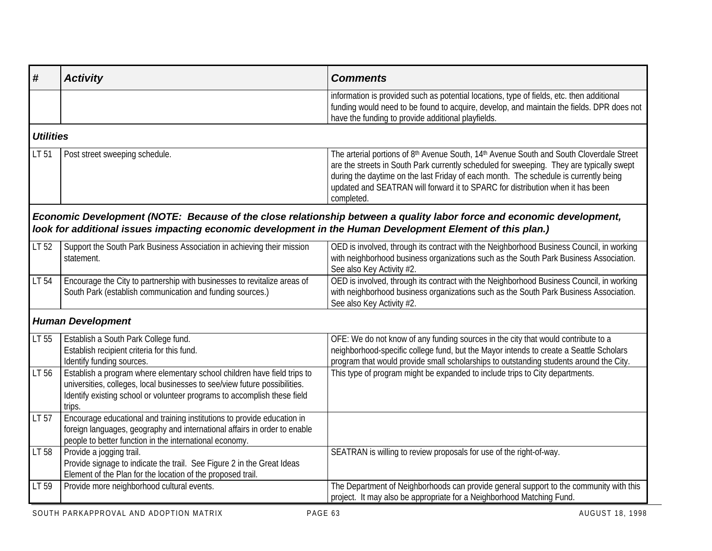|                                                                                                                                                                                                                                              | information is provided such as potential locations, type of fields, etc. then additional<br>funding would need to be found to acquire, develop, and maintain the fields. DPR does not<br>have the funding to provide additional playfields.                                                                                                                                 |
|----------------------------------------------------------------------------------------------------------------------------------------------------------------------------------------------------------------------------------------------|------------------------------------------------------------------------------------------------------------------------------------------------------------------------------------------------------------------------------------------------------------------------------------------------------------------------------------------------------------------------------|
| <b>Utilities</b>                                                                                                                                                                                                                             |                                                                                                                                                                                                                                                                                                                                                                              |
| Post street sweeping schedule.                                                                                                                                                                                                               | The arterial portions of 8th Avenue South, 14th Avenue South and South Cloverdale Street<br>are the streets in South Park currently scheduled for sweeping. They are typically swept<br>during the daytime on the last Friday of each month. The schedule is currently being<br>updated and SEATRAN will forward it to SPARC for distribution when it has been<br>completed. |
| look for additional issues impacting economic development in the Human Development Element of this plan.)                                                                                                                                    | Economic Development (NOTE: Because of the close relationship between a quality labor force and economic development,                                                                                                                                                                                                                                                        |
| Support the South Park Business Association in achieving their mission<br>statement.                                                                                                                                                         | OED is involved, through its contract with the Neighborhood Business Council, in working<br>with neighborhood business organizations such as the South Park Business Association.<br>See also Key Activity #2.                                                                                                                                                               |
| Encourage the City to partnership with businesses to revitalize areas of<br>South Park (establish communication and funding sources.)                                                                                                        | OED is involved, through its contract with the Neighborhood Business Council, in working<br>with neighborhood business organizations such as the South Park Business Association.<br>See also Key Activity #2.                                                                                                                                                               |
| <b>Human Development</b>                                                                                                                                                                                                                     |                                                                                                                                                                                                                                                                                                                                                                              |
| Establish a South Park College fund.<br>Establish recipient criteria for this fund.                                                                                                                                                          | OFE: We do not know of any funding sources in the city that would contribute to a<br>neighborhood-specific college fund, but the Mayor intends to create a Seattle Scholars<br>program that would provide small scholarships to outstanding students around the City.                                                                                                        |
| Establish a program where elementary school children have field trips to<br>universities, colleges, local businesses to see/view future possibilities.<br>Identify existing school or volunteer programs to accomplish these field<br>trips. | This type of program might be expanded to include trips to City departments.                                                                                                                                                                                                                                                                                                 |
| Encourage educational and training institutions to provide education in<br>foreign languages, geography and international affairs in order to enable                                                                                         |                                                                                                                                                                                                                                                                                                                                                                              |
| Provide a jogging trail.<br>Provide signage to indicate the trail. See Figure 2 in the Great Ideas                                                                                                                                           | SEATRAN is willing to review proposals for use of the right-of-way.                                                                                                                                                                                                                                                                                                          |
| Provide more neighborhood cultural events.                                                                                                                                                                                                   | The Department of Neighborhoods can provide general support to the community with this<br>project. It may also be appropriate for a Neighborhood Matching Fund.                                                                                                                                                                                                              |
|                                                                                                                                                                                                                                              | Identify funding sources.<br>people to better function in the international economy.<br>Element of the Plan for the location of the proposed trail.                                                                                                                                                                                                                          |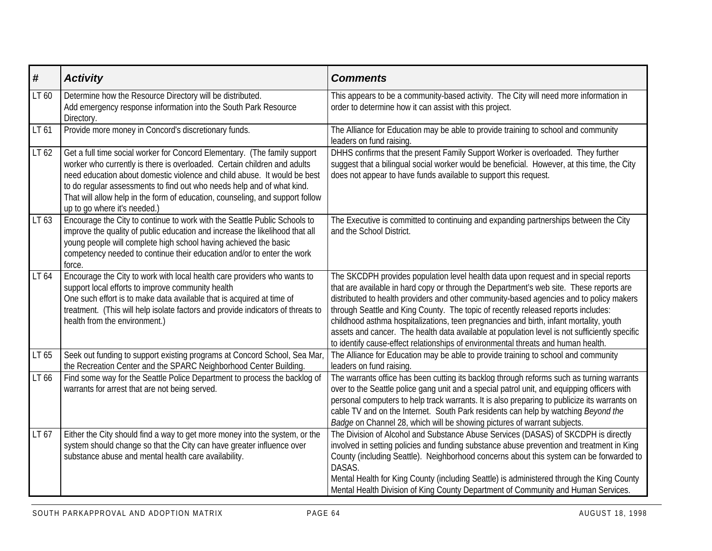| #                | <b>Activity</b>                                                                                                                                                                                                                                                                                                                                                                                                              | <b>Comments</b>                                                                                                                                                                                                                                                                                                                                                                                                                                                                                                                                                                                                                                 |
|------------------|------------------------------------------------------------------------------------------------------------------------------------------------------------------------------------------------------------------------------------------------------------------------------------------------------------------------------------------------------------------------------------------------------------------------------|-------------------------------------------------------------------------------------------------------------------------------------------------------------------------------------------------------------------------------------------------------------------------------------------------------------------------------------------------------------------------------------------------------------------------------------------------------------------------------------------------------------------------------------------------------------------------------------------------------------------------------------------------|
| LT 60            | Determine how the Resource Directory will be distributed.<br>Add emergency response information into the South Park Resource<br>Directory.                                                                                                                                                                                                                                                                                   | This appears to be a community-based activity. The City will need more information in<br>order to determine how it can assist with this project.                                                                                                                                                                                                                                                                                                                                                                                                                                                                                                |
| LT <sub>61</sub> | Provide more money in Concord's discretionary funds.                                                                                                                                                                                                                                                                                                                                                                         | The Alliance for Education may be able to provide training to school and community<br>leaders on fund raising.                                                                                                                                                                                                                                                                                                                                                                                                                                                                                                                                  |
| LT 62            | Get a full time social worker for Concord Elementary. (The family support<br>worker who currently is there is overloaded. Certain children and adults<br>need education about domestic violence and child abuse. It would be best<br>to do regular assessments to find out who needs help and of what kind.<br>That will allow help in the form of education, counseling, and support follow<br>up to go where it's needed.) | DHHS confirms that the present Family Support Worker is overloaded. They further<br>suggest that a bilingual social worker would be beneficial. However, at this time, the City<br>does not appear to have funds available to support this request.                                                                                                                                                                                                                                                                                                                                                                                             |
| LT 63            | Encourage the City to continue to work with the Seattle Public Schools to<br>improve the quality of public education and increase the likelihood that all<br>young people will complete high school having achieved the basic<br>competency needed to continue their education and/or to enter the work<br>force.                                                                                                            | The Executive is committed to continuing and expanding partnerships between the City<br>and the School District.                                                                                                                                                                                                                                                                                                                                                                                                                                                                                                                                |
| LT 64            | Encourage the City to work with local health care providers who wants to<br>support local efforts to improve community health<br>One such effort is to make data available that is acquired at time of<br>treatment. (This will help isolate factors and provide indicators of threats to<br>health from the environment.)                                                                                                   | The SKCDPH provides population level health data upon request and in special reports<br>that are available in hard copy or through the Department's web site. These reports are<br>distributed to health providers and other community-based agencies and to policy makers<br>through Seattle and King County. The topic of recently released reports includes:<br>childhood asthma hospitalizations, teen pregnancies and birth, infant mortality, youth<br>assets and cancer. The health data available at population level is not sufficiently specific<br>to identify cause-effect relationships of environmental threats and human health. |
| LT 65            | Seek out funding to support existing programs at Concord School, Sea Mar,<br>the Recreation Center and the SPARC Neighborhood Center Building.                                                                                                                                                                                                                                                                               | The Alliance for Education may be able to provide training to school and community<br>leaders on fund raising.                                                                                                                                                                                                                                                                                                                                                                                                                                                                                                                                  |
| LT 66            | Find some way for the Seattle Police Department to process the backlog of<br>warrants for arrest that are not being served.                                                                                                                                                                                                                                                                                                  | The warrants office has been cutting its backlog through reforms such as turning warrants<br>over to the Seattle police gang unit and a special patrol unit, and equipping officers with<br>personal computers to help track warrants. It is also preparing to publicize its warrants on<br>cable TV and on the Internet. South Park residents can help by watching Beyond the<br>Badge on Channel 28, which will be showing pictures of warrant subjects.                                                                                                                                                                                      |
| LT 67            | Either the City should find a way to get more money into the system, or the<br>system should change so that the City can have greater influence over<br>substance abuse and mental health care availability.                                                                                                                                                                                                                 | The Division of Alcohol and Substance Abuse Services (DASAS) of SKCDPH is directly<br>involved in setting policies and funding substance abuse prevention and treatment in King<br>County (including Seattle). Neighborhood concerns about this system can be forwarded to<br>DASAS.<br>Mental Health for King County (including Seattle) is administered through the King County<br>Mental Health Division of King County Department of Community and Human Services.                                                                                                                                                                          |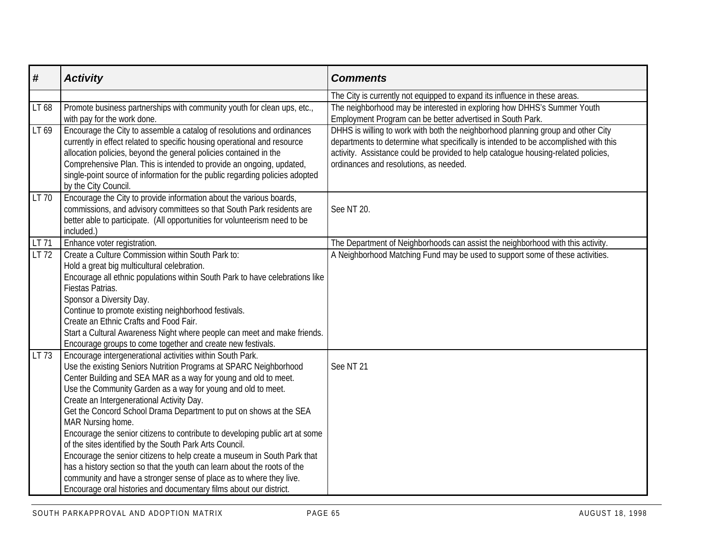| #     | <b>Activity</b>                                                                                                                                                                                                                                                                                                                                                                                                                                                                                                                                                                                                                                                                                                                                                                                                                                           | <b>Comments</b>                                                                                                                                                                                                                                                                                         |
|-------|-----------------------------------------------------------------------------------------------------------------------------------------------------------------------------------------------------------------------------------------------------------------------------------------------------------------------------------------------------------------------------------------------------------------------------------------------------------------------------------------------------------------------------------------------------------------------------------------------------------------------------------------------------------------------------------------------------------------------------------------------------------------------------------------------------------------------------------------------------------|---------------------------------------------------------------------------------------------------------------------------------------------------------------------------------------------------------------------------------------------------------------------------------------------------------|
|       |                                                                                                                                                                                                                                                                                                                                                                                                                                                                                                                                                                                                                                                                                                                                                                                                                                                           | The City is currently not equipped to expand its influence in these areas.                                                                                                                                                                                                                              |
| LT 68 | Promote business partnerships with community youth for clean ups, etc.,<br>with pay for the work done.                                                                                                                                                                                                                                                                                                                                                                                                                                                                                                                                                                                                                                                                                                                                                    | The neighborhood may be interested in exploring how DHHS's Summer Youth<br>Employment Program can be better advertised in South Park.                                                                                                                                                                   |
| LT 69 | Encourage the City to assemble a catalog of resolutions and ordinances<br>currently in effect related to specific housing operational and resource<br>allocation policies, beyond the general policies contained in the<br>Comprehensive Plan. This is intended to provide an ongoing, updated,<br>single-point source of information for the public regarding policies adopted<br>by the City Council.                                                                                                                                                                                                                                                                                                                                                                                                                                                   | DHHS is willing to work with both the neighborhood planning group and other City<br>departments to determine what specifically is intended to be accomplished with this<br>activity. Assistance could be provided to help catalogue housing-related policies,<br>ordinances and resolutions, as needed. |
| LT 70 | Encourage the City to provide information about the various boards,<br>commissions, and advisory committees so that South Park residents are<br>better able to participate. (All opportunities for volunteerism need to be<br>included.)                                                                                                                                                                                                                                                                                                                                                                                                                                                                                                                                                                                                                  | See NT 20.                                                                                                                                                                                                                                                                                              |
| LT 71 | Enhance voter registration.                                                                                                                                                                                                                                                                                                                                                                                                                                                                                                                                                                                                                                                                                                                                                                                                                               | The Department of Neighborhoods can assist the neighborhood with this activity.                                                                                                                                                                                                                         |
| LT 72 | Create a Culture Commission within South Park to:<br>Hold a great big multicultural celebration.<br>Encourage all ethnic populations within South Park to have celebrations like<br>Fiestas Patrias.<br>Sponsor a Diversity Day.<br>Continue to promote existing neighborhood festivals.<br>Create an Ethnic Crafts and Food Fair.<br>Start a Cultural Awareness Night where people can meet and make friends.<br>Encourage groups to come together and create new festivals.                                                                                                                                                                                                                                                                                                                                                                             | A Neighborhood Matching Fund may be used to support some of these activities.                                                                                                                                                                                                                           |
| LT 73 | Encourage intergenerational activities within South Park.<br>Use the existing Seniors Nutrition Programs at SPARC Neighborhood<br>Center Building and SEA MAR as a way for young and old to meet.<br>Use the Community Garden as a way for young and old to meet.<br>Create an Intergenerational Activity Day.<br>Get the Concord School Drama Department to put on shows at the SEA<br>MAR Nursing home.<br>Encourage the senior citizens to contribute to developing public art at some<br>of the sites identified by the South Park Arts Council.<br>Encourage the senior citizens to help create a museum in South Park that<br>has a history section so that the youth can learn about the roots of the<br>community and have a stronger sense of place as to where they live.<br>Encourage oral histories and documentary films about our district. | See NT 21                                                                                                                                                                                                                                                                                               |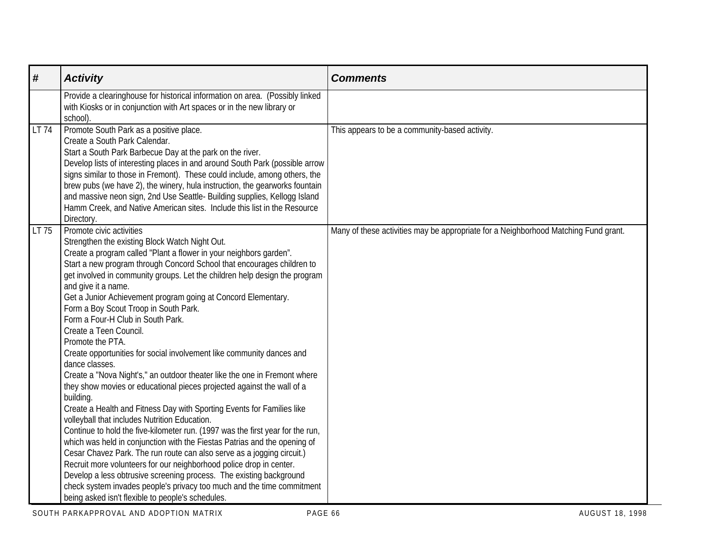| #     | <b>Activity</b>                                                                                                                                                                                                                                                                                                                                                                                                                                                                                                                                                                                                                                                                                                                                                                                                                                                                                                                                                                                                                                                                                                                                                                                                                                                                                                                                                                                                                              | <b>Comments</b>                                                                     |
|-------|----------------------------------------------------------------------------------------------------------------------------------------------------------------------------------------------------------------------------------------------------------------------------------------------------------------------------------------------------------------------------------------------------------------------------------------------------------------------------------------------------------------------------------------------------------------------------------------------------------------------------------------------------------------------------------------------------------------------------------------------------------------------------------------------------------------------------------------------------------------------------------------------------------------------------------------------------------------------------------------------------------------------------------------------------------------------------------------------------------------------------------------------------------------------------------------------------------------------------------------------------------------------------------------------------------------------------------------------------------------------------------------------------------------------------------------------|-------------------------------------------------------------------------------------|
|       | Provide a clearinghouse for historical information on area. (Possibly linked<br>with Kiosks or in conjunction with Art spaces or in the new library or<br>school).                                                                                                                                                                                                                                                                                                                                                                                                                                                                                                                                                                                                                                                                                                                                                                                                                                                                                                                                                                                                                                                                                                                                                                                                                                                                           |                                                                                     |
| LT 74 | Promote South Park as a positive place.<br>Create a South Park Calendar.<br>Start a South Park Barbecue Day at the park on the river.<br>Develop lists of interesting places in and around South Park (possible arrow<br>signs similar to those in Fremont). These could include, among others, the<br>brew pubs (we have 2), the winery, hula instruction, the gearworks fountain<br>and massive neon sign, 2nd Use Seattle- Building supplies, Kellogg Island<br>Hamm Creek, and Native American sites. Include this list in the Resource<br>Directory.                                                                                                                                                                                                                                                                                                                                                                                                                                                                                                                                                                                                                                                                                                                                                                                                                                                                                    | This appears to be a community-based activity.                                      |
| LT 75 | Promote civic activities<br>Strengthen the existing Block Watch Night Out.<br>Create a program called "Plant a flower in your neighbors garden".<br>Start a new program through Concord School that encourages children to<br>get involved in community groups. Let the children help design the program<br>and give it a name.<br>Get a Junior Achievement program going at Concord Elementary.<br>Form a Boy Scout Troop in South Park.<br>Form a Four-H Club in South Park.<br>Create a Teen Council.<br>Promote the PTA.<br>Create opportunities for social involvement like community dances and<br>dance classes.<br>Create a "Nova Night's," an outdoor theater like the one in Fremont where<br>they show movies or educational pieces projected against the wall of a<br>building.<br>Create a Health and Fitness Day with Sporting Events for Families like<br>volleyball that includes Nutrition Education.<br>Continue to hold the five-kilometer run. (1997 was the first year for the run,<br>which was held in conjunction with the Fiestas Patrias and the opening of<br>Cesar Chavez Park. The run route can also serve as a jogging circuit.)<br>Recruit more volunteers for our neighborhood police drop in center.<br>Develop a less obtrusive screening process. The existing background<br>check system invades people's privacy too much and the time commitment<br>being asked isn't flexible to people's schedules. | Many of these activities may be appropriate for a Neighborhood Matching Fund grant. |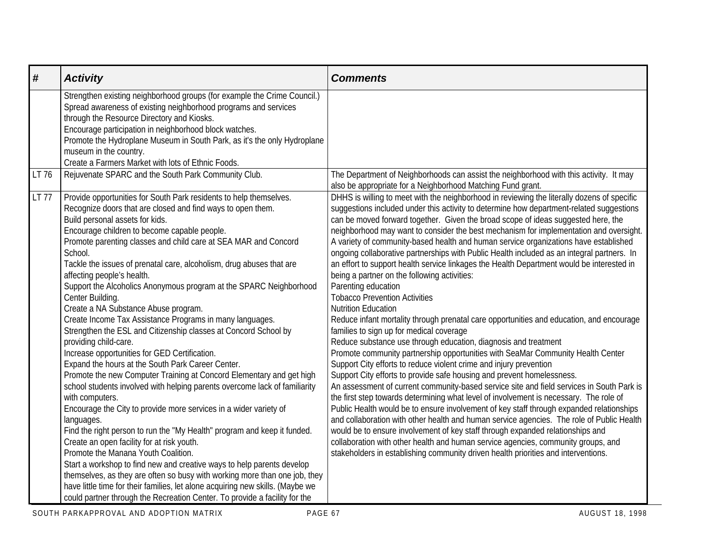| $\pmb{\#}$ | <b>Activity</b>                                                                                                                                                                                                                                                                                                                                                                                                                                                                                                                                                                                                                                                                                                                                                                                                                                                                                                                                                                                                                                                                                                                                                                                                                                                                                                                                                                                                                                                                                                                                               | <b>Comments</b>                                                                                                                                                                                                                                                                                                                                                                                                                                                                                                                                                                                                                                                                                                                                                                                                                                                                                                                                                                                                                                                                                                                                                                                                                                                                                                                                                                                                                                                                                                                                                                                                                                                                                                                                                                                                                                                                                   |
|------------|---------------------------------------------------------------------------------------------------------------------------------------------------------------------------------------------------------------------------------------------------------------------------------------------------------------------------------------------------------------------------------------------------------------------------------------------------------------------------------------------------------------------------------------------------------------------------------------------------------------------------------------------------------------------------------------------------------------------------------------------------------------------------------------------------------------------------------------------------------------------------------------------------------------------------------------------------------------------------------------------------------------------------------------------------------------------------------------------------------------------------------------------------------------------------------------------------------------------------------------------------------------------------------------------------------------------------------------------------------------------------------------------------------------------------------------------------------------------------------------------------------------------------------------------------------------|---------------------------------------------------------------------------------------------------------------------------------------------------------------------------------------------------------------------------------------------------------------------------------------------------------------------------------------------------------------------------------------------------------------------------------------------------------------------------------------------------------------------------------------------------------------------------------------------------------------------------------------------------------------------------------------------------------------------------------------------------------------------------------------------------------------------------------------------------------------------------------------------------------------------------------------------------------------------------------------------------------------------------------------------------------------------------------------------------------------------------------------------------------------------------------------------------------------------------------------------------------------------------------------------------------------------------------------------------------------------------------------------------------------------------------------------------------------------------------------------------------------------------------------------------------------------------------------------------------------------------------------------------------------------------------------------------------------------------------------------------------------------------------------------------------------------------------------------------------------------------------------------------|
|            | Strengthen existing neighborhood groups (for example the Crime Council.)<br>Spread awareness of existing neighborhood programs and services<br>through the Resource Directory and Kiosks.<br>Encourage participation in neighborhood block watches.<br>Promote the Hydroplane Museum in South Park, as it's the only Hydroplane<br>museum in the country.<br>Create a Farmers Market with lots of Ethnic Foods.                                                                                                                                                                                                                                                                                                                                                                                                                                                                                                                                                                                                                                                                                                                                                                                                                                                                                                                                                                                                                                                                                                                                               |                                                                                                                                                                                                                                                                                                                                                                                                                                                                                                                                                                                                                                                                                                                                                                                                                                                                                                                                                                                                                                                                                                                                                                                                                                                                                                                                                                                                                                                                                                                                                                                                                                                                                                                                                                                                                                                                                                   |
| LT 76      | Rejuvenate SPARC and the South Park Community Club.                                                                                                                                                                                                                                                                                                                                                                                                                                                                                                                                                                                                                                                                                                                                                                                                                                                                                                                                                                                                                                                                                                                                                                                                                                                                                                                                                                                                                                                                                                           | The Department of Neighborhoods can assist the neighborhood with this activity. It may<br>also be appropriate for a Neighborhood Matching Fund grant.                                                                                                                                                                                                                                                                                                                                                                                                                                                                                                                                                                                                                                                                                                                                                                                                                                                                                                                                                                                                                                                                                                                                                                                                                                                                                                                                                                                                                                                                                                                                                                                                                                                                                                                                             |
| LT 77      | Provide opportunities for South Park residents to help themselves.<br>Recognize doors that are closed and find ways to open them.<br>Build personal assets for kids.<br>Encourage children to become capable people.<br>Promote parenting classes and child care at SEA MAR and Concord<br>School.<br>Tackle the issues of prenatal care, alcoholism, drug abuses that are<br>affecting people's health.<br>Support the Alcoholics Anonymous program at the SPARC Neighborhood<br>Center Building.<br>Create a NA Substance Abuse program.<br>Create Income Tax Assistance Programs in many languages.<br>Strengthen the ESL and Citizenship classes at Concord School by<br>providing child-care.<br>Increase opportunities for GED Certification.<br>Expand the hours at the South Park Career Center.<br>Promote the new Computer Training at Concord Elementary and get high<br>school students involved with helping parents overcome lack of familiarity<br>with computers.<br>Encourage the City to provide more services in a wider variety of<br>languages.<br>Find the right person to run the "My Health" program and keep it funded.<br>Create an open facility for at risk youth.<br>Promote the Manana Youth Coalition.<br>Start a workshop to find new and creative ways to help parents develop<br>themselves, as they are often so busy with working more than one job, they<br>have little time for their families, let alone acquiring new skills. (Maybe we<br>could partner through the Recreation Center. To provide a facility for the | DHHS is willing to meet with the neighborhood in reviewing the literally dozens of specific<br>suggestions included under this activity to determine how department-related suggestions<br>can be moved forward together. Given the broad scope of ideas suggested here, the<br>neighborhood may want to consider the best mechanism for implementation and oversight.<br>A variety of community-based health and human service organizations have established<br>ongoing collaborative partnerships with Public Health included as an integral partners. In<br>an effort to support health service linkages the Health Department would be interested in<br>being a partner on the following activities:<br>Parenting education<br><b>Tobacco Prevention Activities</b><br><b>Nutrition Education</b><br>Reduce infant mortality through prenatal care opportunities and education, and encourage<br>families to sign up for medical coverage<br>Reduce substance use through education, diagnosis and treatment<br>Promote community partnership opportunities with SeaMar Community Health Center<br>Support City efforts to reduce violent crime and injury prevention<br>Support City efforts to provide safe housing and prevent homelessness.<br>An assessment of current community-based service site and field services in South Park is<br>the first step towards determining what level of involvement is necessary. The role of<br>Public Health would be to ensure involvement of key staff through expanded relationships<br>and collaboration with other health and human service agencies. The role of Public Health<br>would be to ensure involvement of key staff through expanded relationships and<br>collaboration with other health and human service agencies, community groups, and<br>stakeholders in establishing community driven health priorities and interventions. |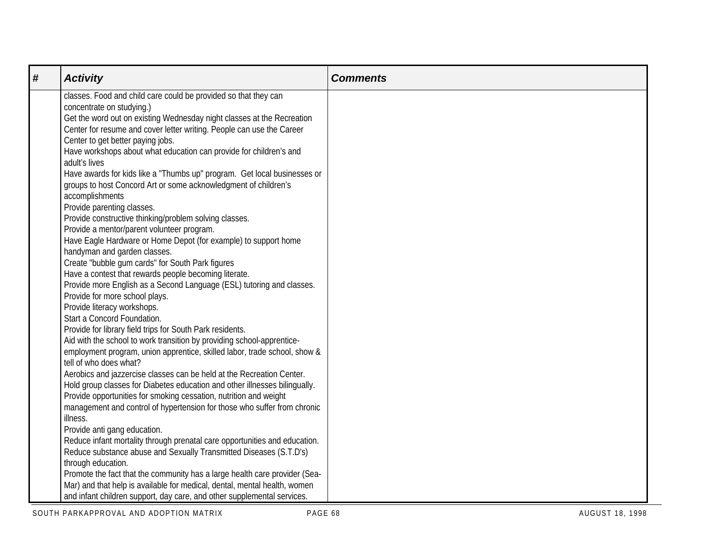| # | <b>Activity</b>                                                                                         | <b>Comments</b> |
|---|---------------------------------------------------------------------------------------------------------|-----------------|
|   | classes. Food and child care could be provided so that they can                                         |                 |
|   | concentrate on studying.)                                                                               |                 |
|   | Get the word out on existing Wednesday night classes at the Recreation                                  |                 |
|   | Center for resume and cover letter writing. People can use the Career                                   |                 |
|   | Center to get better paying jobs.                                                                       |                 |
|   | Have workshops about what education can provide for children's and                                      |                 |
|   | adult's lives                                                                                           |                 |
|   | Have awards for kids like a "Thumbs up" program. Get local businesses or                                |                 |
|   | groups to host Concord Art or some acknowledgment of children's                                         |                 |
|   | accomplishments                                                                                         |                 |
|   | Provide parenting classes.                                                                              |                 |
|   | Provide constructive thinking/problem solving classes.                                                  |                 |
|   | Provide a mentor/parent volunteer program.                                                              |                 |
|   | Have Eagle Hardware or Home Depot (for example) to support home                                         |                 |
|   | handyman and garden classes.                                                                            |                 |
|   | Create "bubble gum cards" for South Park figures                                                        |                 |
|   | Have a contest that rewards people becoming literate.                                                   |                 |
|   | Provide more English as a Second Language (ESL) tutoring and classes.<br>Provide for more school plays. |                 |
|   | Provide literacy workshops.                                                                             |                 |
|   | Start a Concord Foundation.                                                                             |                 |
|   | Provide for library field trips for South Park residents.                                               |                 |
|   | Aid with the school to work transition by providing school-apprentice-                                  |                 |
|   | employment program, union apprentice, skilled labor, trade school, show &                               |                 |
|   | tell of who does what?                                                                                  |                 |
|   | Aerobics and jazzercise classes can be held at the Recreation Center.                                   |                 |
|   | Hold group classes for Diabetes education and other illnesses bilingually.                              |                 |
|   | Provide opportunities for smoking cessation, nutrition and weight                                       |                 |
|   | management and control of hypertension for those who suffer from chronic                                |                 |
|   | illness.                                                                                                |                 |
|   | Provide anti gang education.                                                                            |                 |
|   | Reduce infant mortality through prenatal care opportunities and education.                              |                 |
|   | Reduce substance abuse and Sexually Transmitted Diseases (S.T.D's)                                      |                 |
|   | through education.                                                                                      |                 |
|   | Promote the fact that the community has a large health care provider (Sea-                              |                 |
|   | Mar) and that help is available for medical, dental, mental health, women                               |                 |
|   | and infant children support, day care, and other supplemental services.                                 |                 |